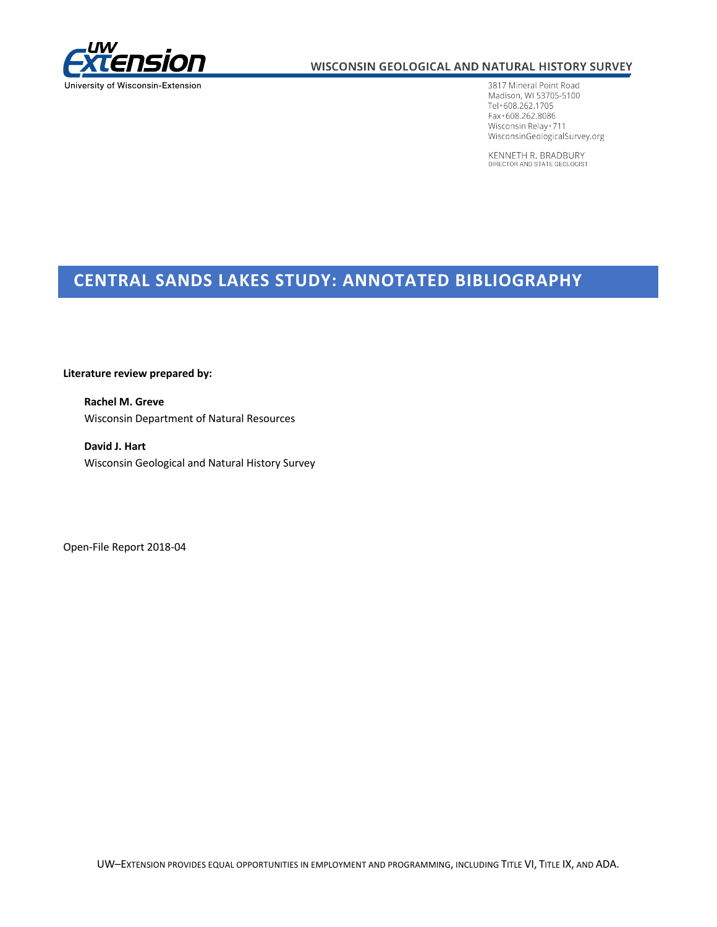

### WISCONSIN GEOLOGICAL AND NATURAL HISTORY SURVEY

3817 Mineral Point Road Madison, WI 53705-5100 Tel · 608.262.1705 Fax + 608.262.8086 Wisconsin Relay \* 711 WisconsinGeologicalSurvey.org

KENNETH R. BRADBURY DIRECTOR AND STATE GEOLOGIST

# **CENTRAL SANDS LAKES STUDY: ANNOTATED BIBLIOGRAPHY**

**Literature review prepared by:** 

 Wisconsin Department of Natural Resources **Rachel M. Greve** 

 Wisconsin Geological and Natural History Survey **David J. Hart** 

Open-File Report 2018-04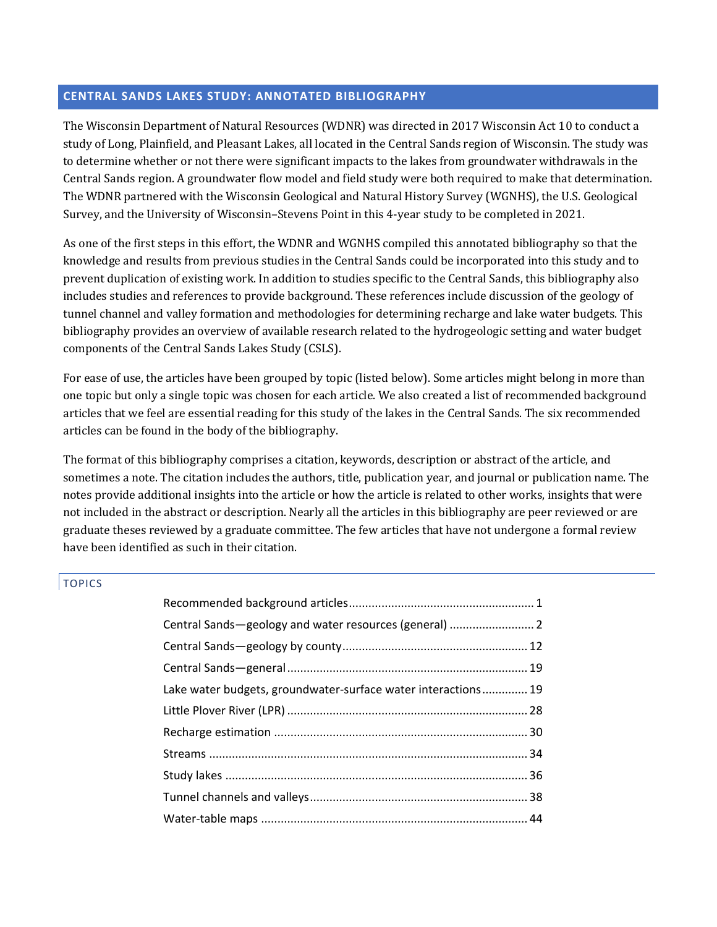### **CENTRAL SANDS LAKES STUDY: ANNOTATED BIBLIOGRAPHY**

 The Wisconsin Department of Natural Resources (WDNR) was directed in 2017 Wisconsin Act 10 to conduct a study of Long, Plainfield, and Pleasant Lakes, all located in the Central Sands region of Wisconsin. The study was to determine whether or not there were significant impacts to the lakes from groundwater withdrawals in the Central Sands region. A groundwater flow model and field study were both required to make that determination. The WDNR partnered with the Wisconsin Geological and Natural History Survey (WGNHS), the U.S. Geological Survey, and the University of Wisconsin–Stevens Point in this 4-year study to be completed in 2021.

As one of the first steps in this effort, the WDNR and WGNHS compiled this annotated bibliography so that the knowledge and results from previous studies in the Central Sands could be incorporated into this study and to prevent duplication of existing work. In addition to studies specific to the Central Sands, this bibliography also includes studies and references to provide background. These references include discussion of the geology of tunnel channel and valley formation and methodologies for determining recharge and lake water budgets. This bibliography provides an overview of available research related to the hydrogeologic setting and water budget components of the Central Sands Lakes Study (CSLS). 

For ease of use, the articles have been grouped by topic (listed below). Some articles might belong in more than one topic but only a single topic was chosen for each article. We also created a list of recommended background articles that we feel are essential reading for this study of the lakes in the Central Sands. The six recommended articles can be found in the body of the bibliography.

 The format of this bibliography comprises a citation, keywords, description or abstract of the article, and sometimes a note. The citation includes the authors, title, publication year, and journal or publication name. The not included in the abstract or description. Nearly all the articles in this bibliography are peer reviewed or are graduate theses reviewed by a graduate committee. The few articles that have not undergone a formal review have been identified as such in their citation. notes provide additional insights into the article or how the article is related to other works, insights that were

# TOPICS

| Lake water budgets, groundwater-surface water interactions 19 |  |
|---------------------------------------------------------------|--|
|                                                               |  |
|                                                               |  |
|                                                               |  |
|                                                               |  |
|                                                               |  |
|                                                               |  |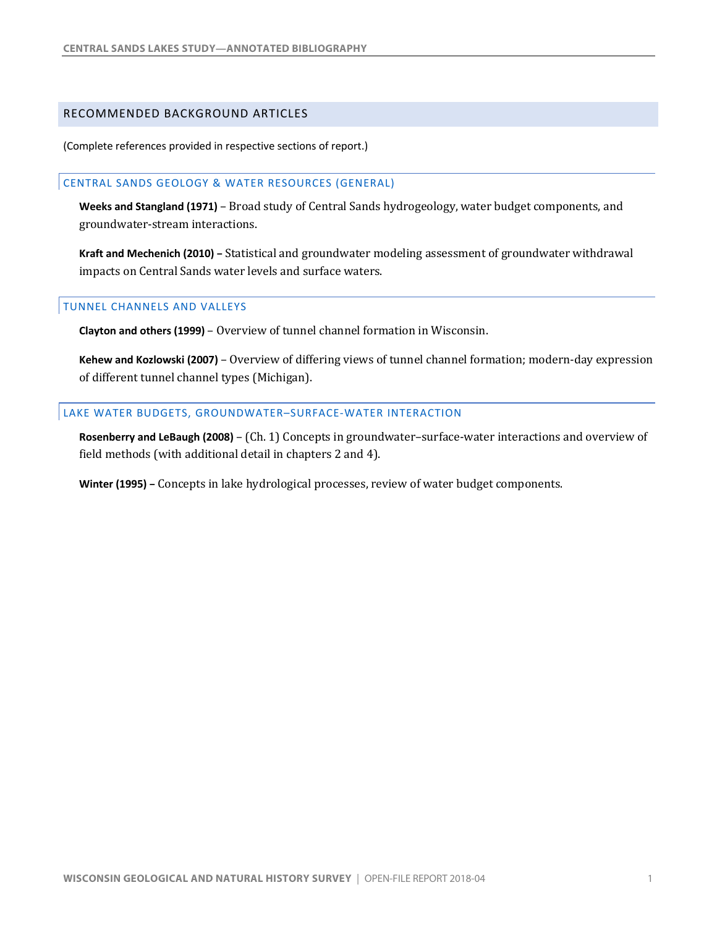#### <span id="page-2-0"></span>RECOMMENDED BACKGROUND ARTICLES

(Complete references provided in respective sections of report.)

#### CENTRAL SANDS GEOLOGY & WATER RESOURCES (GENERAL)

[Weeks and Stangland \(1971\)](#page-12-0) - Broad study of Central Sands hydrogeology, water budget components, and groundwater-stream interactions.

**Kraft and Mechenich (2010) – Statistical and groundwater modeling assessment of groundwater withdrawal**  impacts on Central Sands water levels and surface waters.

#### TUNNEL CHANNELS AND VALLEYS

**Clayton and others (1999)** - Overview of tunnel channel formation in Wisconsin.

 **Kehew and Kozlowski (2007)** – Overview of differing views of tunnel channel formation; modern-day expression of different tunnel channel types (Michigan).

#### LAKE WATER BUDGETS, GROUNDWATER–SURFACE-WATER INTERACTION

Rosenberry and LeBaugh (2008) - (Ch. 1) Concepts in groundwater-surface-water interactions and overview of  field methods (with additional detail in chapters 2 and 4).

**Winter (1995)** – Concepts in lake hydrological processes, review of water budget components.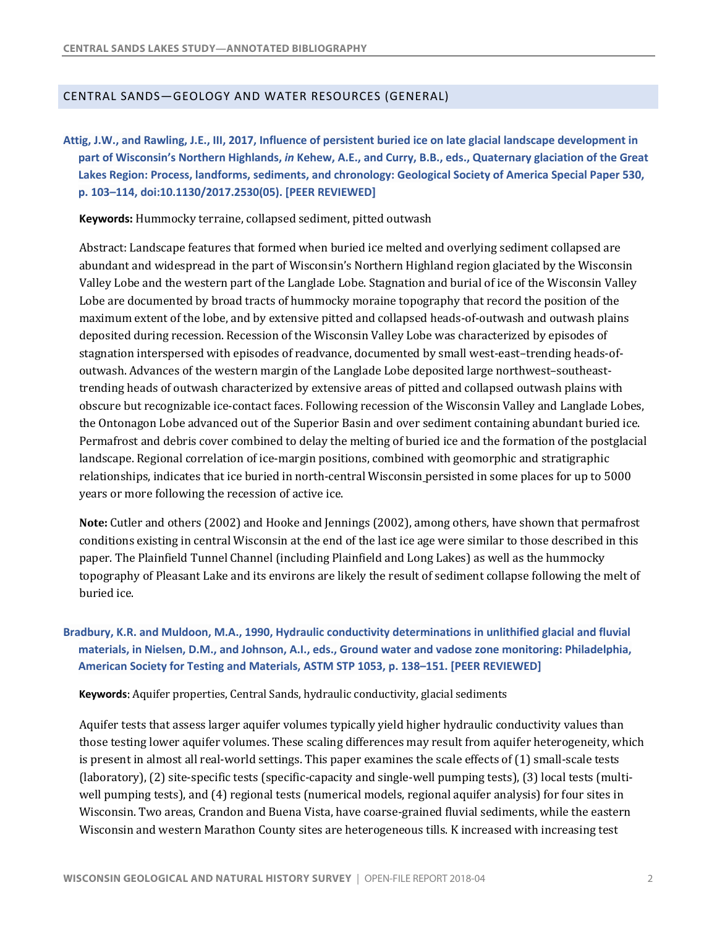### <span id="page-3-0"></span>CENTRAL SANDS—GEOLOGY AND WATER RESOURCES (GENERAL)

 **part of Wisconsin's Northern Highlands,** *in* **Kehew, A.E., and Curry, B.B., eds., Quaternary glaciation of the Great Lakes Region: Process, landforms, sediments, and chronology: Geological Society of America Special Paper 530, Attig, J.W., and Rawling, J.E., III, 2017, Influence of persistent buried ice on late glacial landscape development in p. 103–114, doi:10.1130/2017.2530(05). [PEER REVIEWED]** 

**Keywords:** Hummocky terraine, collapsed sediment, pitted outwash

Abstract: Landscape features that formed when buried ice melted and overlying sediment collapsed are abundant and widespread in the part of Wisconsin's Northern Highland region glaciated by the Wisconsin Valley Lobe and the western part of the Langlade Lobe. Stagnation and burial of ice of the Wisconsin Valley Lobe are documented by broad tracts of hummocky moraine topography that record the position of the maximum extent of the lobe, and by extensive pitted and collapsed heads-of-outwash and outwash plains deposited during recession. Recession of the Wisconsin Valley Lobe was characterized by episodes of stagnation interspersed with episodes of readvance, documented by small west-east-trending heads-ofoutwash. Advances of the western margin of the Langlade Lobe deposited large northwest-southeasttrending heads of outwash characterized by extensive areas of pitted and collapsed outwash plains with obscure but recognizable ice-contact faces. Following recession of the Wisconsin Valley and Langlade Lobes, the Ontonagon Lobe advanced out of the Superior Basin and over sediment containing abundant buried ice. Permafrost and debris cover combined to delay the melting of buried ice and the formation of the postglacial landscape. Regional correlation of ice-margin positions, combined with geomorphic and stratigraphic relationships, indicates that ice buried in north-central Wisconsin persisted in some places for up to 5000 years or more following the recession of active ice.

**Note:** Cutler and others (2002) and Hooke and Jennings (2002), among others, have shown that permafrost conditions existing in central Wisconsin at the end of the last ice age were similar to those described in this paper. The Plainfield Tunnel Channel (including Plainfield and Long Lakes) as well as the hummocky topography of Pleasant Lake and its environs are likely the result of sediment collapse following the melt of buried ice.

 **Bradbury, K.R. and Muldoon, M.A., 1990, Hydraulic conductivity determinations in unlithified glacial and fluvial materials, in Nielsen, D.M., and Johnson, A.I., eds., Ground water and vadose zone monitoring: Philadelphia, American Society for Testing and Materials, ASTM STP 1053, p. 138–151. [PEER REVIEWED]** 

**Keywords:** Aquifer properties, Central Sands, hydraulic conductivity, glacial sediments

Aquifer tests that assess larger aquifer volumes typically yield higher hydraulic conductivity values than those testing lower aquifer volumes. These scaling differences may result from aquifer heterogeneity, which is present in almost all real-world settings. This paper examines the scale effects of (1) small-scale tests (laboratory), (2) site-specific tests (specific-capacity and single-well pumping tests), (3) local tests (multiwell pumping tests), and (4) regional tests (numerical models, regional aquifer analysis) for four sites in Wisconsin. Two areas, Crandon and Buena Vista, have coarse-grained fluvial sediments, while the eastern Wisconsin and western Marathon County sites are heterogeneous tills. K increased with increasing test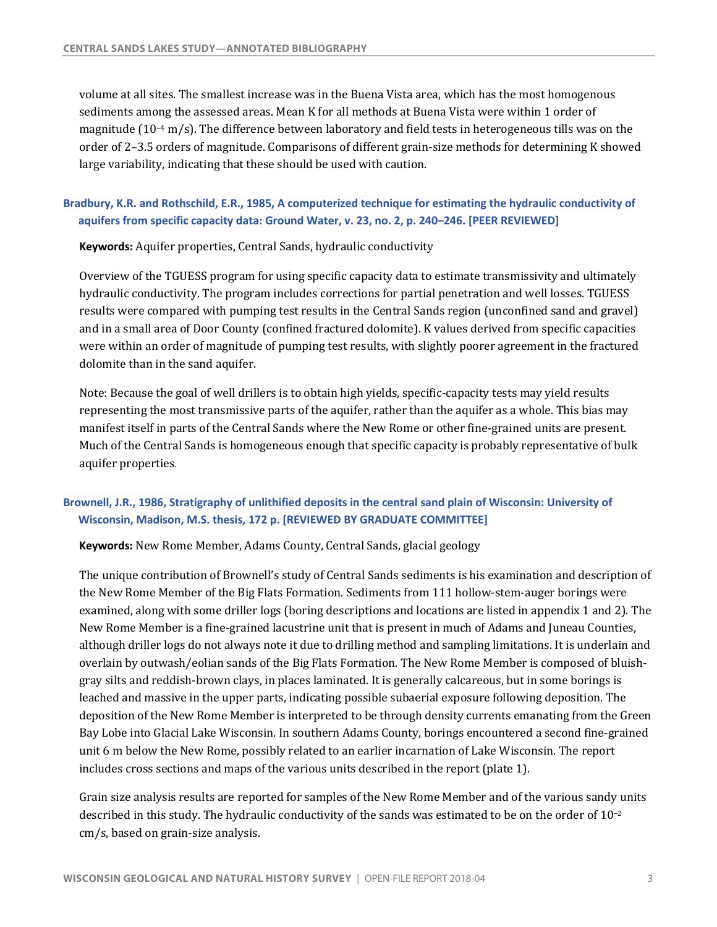volume at all sites. The smallest increase was in the Buena Vista area, which has the most homogenous sediments among the assessed areas. Mean K for all methods at Buena Vista were within 1 order of magnitude ( $10^{-4}$  m/s). The difference between laboratory and field tests in heterogeneous tills was on the order of 2-3.5 orders of magnitude. Comparisons of different grain-size methods for determining K showed large variability, indicating that these should be used with caution.

# **Bradbury, K.R. and Rothschild, E.R., 1985, A computerized technique for estimating the hydraulic conductivity of aquifers from specific capacity data: Ground Water, v. 23, no. 2, p. 240–246. [PEER REVIEWED]**

 **Keywords:** Aquifer properties, Central Sands, hydraulic conductivity

Overview of the TGUESS program for using specific capacity data to estimate transmissivity and ultimately hydraulic conductivity. The program includes corrections for partial penetration and well losses. TGUESS results were compared with pumping test results in the Central Sands region (unconfined sand and gravel) and in a small area of Door County (confined fractured dolomite). K values derived from specific capacities were within an order of magnitude of pumping test results, with slightly poorer agreement in the fractured dolomite than in the sand aquifer.

Note: Because the goal of well drillers is to obtain high yields, specific-capacity tests may yield results representing the most transmissive parts of the aquifer, rather than the aquifer as a whole. This bias may manifest itself in parts of the Central Sands where the New Rome or other fine-grained units are present. Much of the Central Sands is homogeneous enough that specific capacity is probably representative of bulk aquifer properties.

# **Brownell, J.R., 1986, Stratigraphy of unlithified deposits in the central sand plain of Wisconsin: University of Wisconsin, Madison, M.S. thesis, 172 p. [REVIEWED BY GRADUATE COMMITTEE]**

**Keywords:** New Rome Member, Adams County, Central Sands, glacial geology

The unique contribution of Brownell's study of Central Sands sediments is his examination and description of the New Rome Member of the Big Flats Formation. Sediments from 111 hollow-stem-auger borings were examined, along with some driller logs (boring descriptions and locations are listed in appendix 1 and 2). The New Rome Member is a fine-grained lacustrine unit that is present in much of Adams and Juneau Counties, although driller logs do not always note it due to drilling method and sampling limitations. It is underlain and overlain by outwash/eolian sands of the Big Flats Formation. The New Rome Member is composed of bluishgray silts and reddish-brown clays, in places laminated. It is generally calcareous, but in some borings is leached and massive in the upper parts, indicating possible subaerial exposure following deposition. The deposition of the New Rome Member is interpreted to be through density currents emanating from the Green unit 6 m below the New Rome, possibly related to an earlier incarnation of Lake Wisconsin. The report includes cross sections and maps of the various units described in the report (plate  $1$ ). Bay Lobe into Glacial Lake Wisconsin. In southern Adams County, borings encountered a second fine-grained

Grain size analysis results are reported for samples of the New Rome Member and of the various sandy units described in this study. The hydraulic conductivity of the sands was estimated to be on the order of  $10^{-2}$ cm/s, based on grain-size analysis.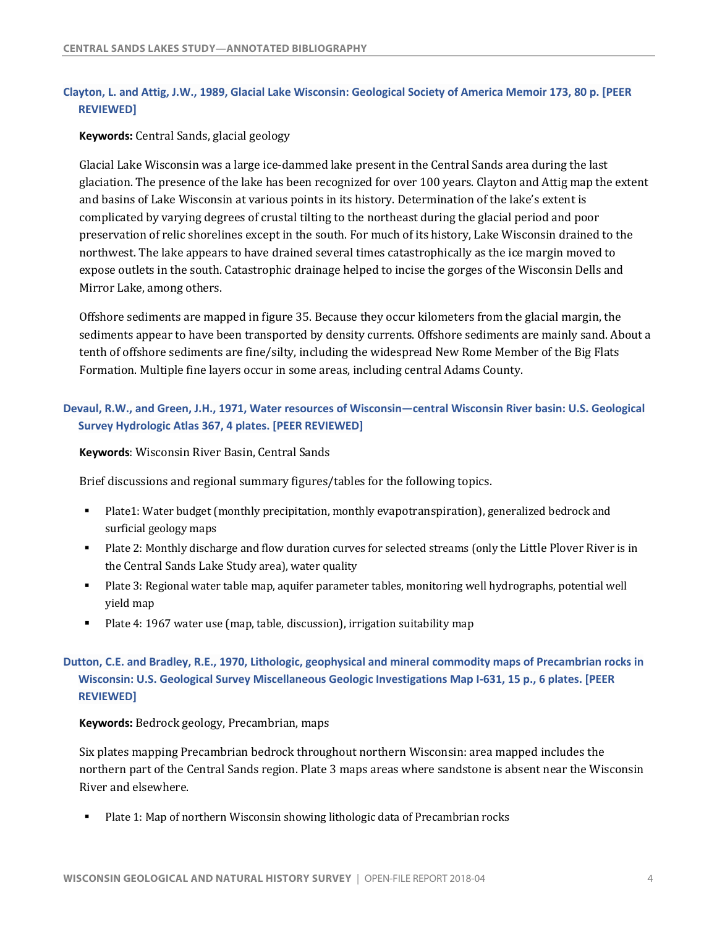### **Clayton, L. and Attig, J.W., 1989, Glacial Lake Wisconsin: Geological Society of America Memoir 173, 80 p. [PEER REVIEWED]**

### **Keywords:** Central Sands, glacial geology

Glacial Lake Wisconsin was a large ice-dammed lake present in the Central Sands area during the last glaciation. The presence of the lake has been recognized for over 100 years. Clayton and Attig map the extent and basins of Lake Wisconsin at various points in its history. Determination of the lake's extent is complicated by varying degrees of crustal tilting to the northeast during the glacial period and poor preservation of relic shorelines except in the south. For much of its history, Lake Wisconsin drained to the northwest. The lake appears to have drained several times catastrophically as the ice margin moved to expose outlets in the south. Catastrophic drainage helped to incise the gorges of the Wisconsin Dells and Mirror Lake, among others.

Offshore sediments are mapped in figure 35. Because they occur kilometers from the glacial margin, the sediments appear to have been transported by density currents. Offshore sediments are mainly sand. About a tenth of offshore sediments are fine/silty, including the widespread New Rome Member of the Big Flats Formation. Multiple fine layers occur in some areas, including central Adams County.

# **Devaul, R.W., and Green, J.H., 1971, Water resources of Wisconsin—central Wisconsin River basin: U.S. Geological Survey Hydrologic Atlas 367, 4 plates. [PEER REVIEWED]**

 **Keywords**: Wisconsin River Basin, Central Sands

Brief discussions and regional summary figures/tables for the following topics.

- Plate1: Water budget (monthly precipitation, monthly evapotranspiration), generalized bedrock and surficial geology maps
- Plate 2: Monthly discharge and flow duration curves for selected streams (only the Little Plover River is in the Central Sands Lake Study area), water quality
- Plate 3: Regional water table map, aquifer parameter tables, monitoring well hydrographs, potential well yield map
- Plate 4: 1967 water use (map, table, discussion), irrigation suitability map

# **Dutton, C.E. and Bradley, R.E., 1970, Lithologic, geophysical and mineral commodity maps of Precambrian rocks in Wisconsin: U.S. Geological Survey Miscellaneous Geologic Investigations Map I-631, 15 p., 6 plates. [PEER REVIEWED]**

#### **Keywords:** Bedrock geology, Precambrian, maps

Six plates mapping Precambrian bedrock throughout northern Wisconsin: area mapped includes the northern part of the Central Sands region. Plate 3 maps areas where sandstone is absent near the Wisconsin River and elsewhere.

• Plate 1: Map of northern Wisconsin showing lithologic data of Precambrian rocks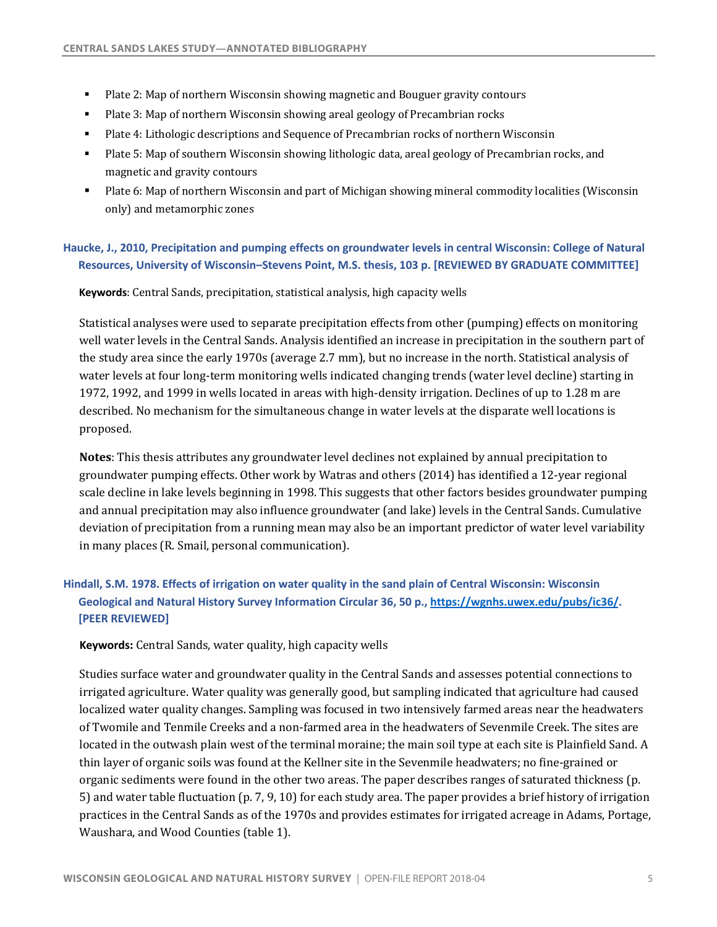- Plate 2: Map of northern Wisconsin showing magnetic and Bouguer gravity contours
- Plate 3: Map of northern Wisconsin showing areal geology of Precambrian rocks
- Plate 4: Lithologic descriptions and Sequence of Precambrian rocks of northern Wisconsin
- Plate 5: Map of southern Wisconsin showing lithologic data, areal geology of Precambrian rocks, and magnetic and gravity contours
- Plate 6: Map of northern Wisconsin and part of Michigan showing mineral commodity localities (Wisconsin only) and metamorphic zones

# **Haucke, J., 2010, Precipitation and pumping effects on groundwater levels in central Wisconsin: College of Natural Resources, University of Wisconsin–Stevens Point, M.S. thesis, 103 p. [REVIEWED BY GRADUATE COMMITTEE]**

 **Keywords**: Central Sands, precipitation, statistical analysis, high capacity wells

Statistical analyses were used to separate precipitation effects from other (pumping) effects on monitoring well water levels in the Central Sands. Analysis identified an increase in precipitation in the southern part of the study area since the early 1970s (average 2.7 mm), but no increase in the north. Statistical analysis of water levels at four long-term monitoring wells indicated changing trends (water level decline) starting in 1972, 1992, and 1999 in wells located in areas with high-density irrigation. Declines of up to 1.28 m are described. No mechanism for the simultaneous change in water levels at the disparate well locations is proposed.

**Notes**: This thesis attributes any groundwater level declines not explained by annual precipitation to groundwater  $p$ umping effects. Other work by Watras and others (2014) has identified a 12-year regional and annual precipitation may also influence groundwater (and lake) levels in the Central Sands. Cumulative deviation of precipitation from a running mean may also be an important predictor of water level variability in many places (R. Smail, personal communication). scale decline in lake levels beginning in 1998. This suggests that other factors besides groundwater pumping

# **Hindall, S.M. 1978. Effects of irrigation on water quality in the sand plain of Central Wisconsin: Wisconsin Geological and Natural History Survey Information Circular 36, 50 p., [https://wgnhs.uwex.edu/pubs/ic36/](https://wgnhs.uwex.edu/pubs/ic36). [PEER REVIEWED]**

**Keywords:** Central Sands, water quality, high capacity wells

Studies surface water and groundwater quality in the Central Sands and assesses potential connections to irrigated agriculture. Water quality was generally good, but sampling indicated that agriculture had caused localized water quality changes. Sampling was focused in two intensively farmed areas near the headwaters of Twomile and Tenmile Creeks and a non-farmed area in the headwaters of Sevenmile Creek. The sites are located in the outwash plain west of the terminal moraine; the main soil type at each site is Plainfield Sand. A thin layer of organic soils was found at the Kellner site in the Sevenmile headwaters; no fine-grained or organic sediments were found in the other two areas. The paper describes ranges of saturated thickness (p. 5) and water table fluctuation (p. 7, 9, 10) for each study area. The paper provides a brief history of irrigation practices in the Central Sands as of the 1970s and provides estimates for irrigated acreage in Adams, Portage, Waushara, and Wood Counties (table 1).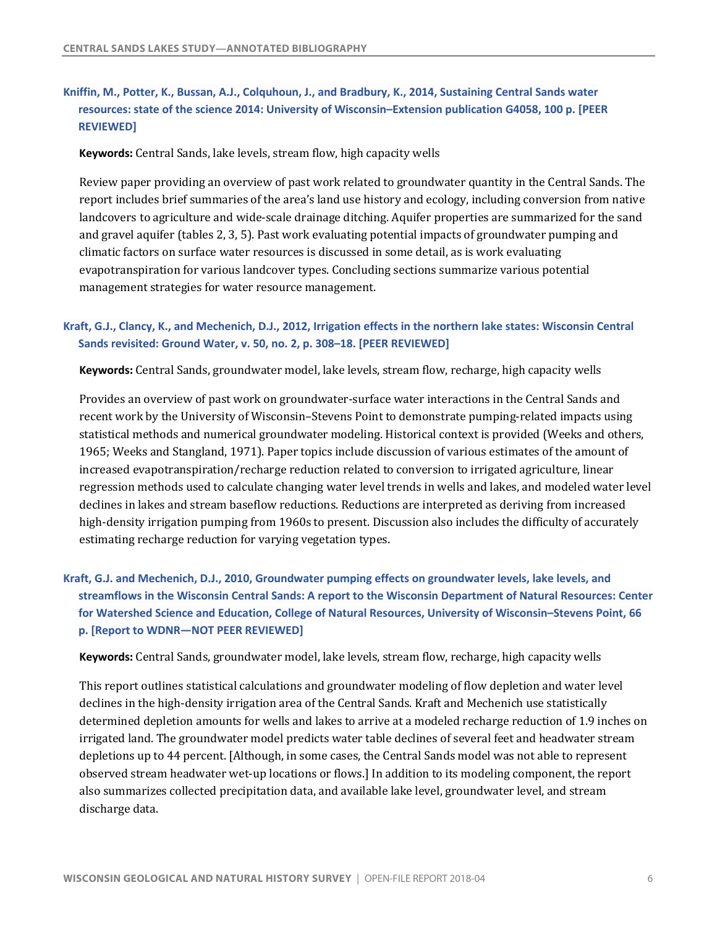# <span id="page-7-0"></span> **Kniffin, M., Potter, K., Bussan, A.J., Colquhoun, J., and Bradbury, K., 2014, Sustaining Central Sands water resources: state of the science 2014: University of Wisconsin–Extension publication G4058, 100 p. [PEER REVIEWED]**

**Keywords:** Central Sands, lake levels, stream flow, high capacity wells

Review paper providing an overview of past work related to groundwater quantity in the Central Sands. The report includes brief summaries of the area's land use history and ecology, including conversion from native and gravel aquifer (tables 2, 3, 5). Past work evaluating potential impacts of groundwater pumping and climatic factors on surface water resources is discussed in some detail, as is work evaluating management strategies for water resource management. landcovers to agriculture and wide-scale drainage ditching. Aquifer properties are summarized for the sand evapotranspiration for various landcover types. Concluding sections summarize various potential

### **Kraft, G.J., Clancy, K., and Mechenich, D.J., 2012, Irrigation effects in the northern lake states: Wisconsin Central Sands revisited: Ground Water, v. 50, no. 2, p. 308–18. [PEER REVIEWED]**

**Keywords**: Central Sands, groundwater model, lake levels, stream flow, recharge, high capacity wells

Provides an overview of past work on groundwater-surface water interactions in the Central Sands and recent work by the University of Wisconsin-Stevens Point to demonstrate pumping-related impacts using statistical methods and numerical groundwater modeling. Historical context is provided (Weeks and others, 1965; Weeks and Stangland, 1971). Paper topics include discussion of various estimates of the amount of increased evapotranspiration/recharge reduction related to conversion to irrigated agriculture, linear regression methods used to calculate changing water level trends in wells and lakes, and modeled water level declines in lakes and stream baseflow reductions. Reductions are interpreted as deriving from increased high-density irrigation pumping from 1960s to present. Discussion also includes the difficulty of accurately estimating recharge reduction for varying vegetation types.

 **Kraft, G.J. and Mechenich, D.J., 2010, Groundwater pumping effects on groundwater levels, lake levels, and streamflows in the Wisconsin Central Sands: A report to the Wisconsin Department of Natural Resources: Center for Watershed Science and Education, College of Natural Resources, University of Wisconsin–Stevens Point, 66 p. [Report to WDNR—NOT PEER REVIEWED]** 

Keywords: Central Sands, groundwater model, lake levels, stream flow, recharge, high capacity wells

This report outlines statistical calculations and groundwater modeling of flow depletion and water level declines in the high-density irrigation area of the Central Sands. Kraft and Mechenich use statistically determined depletion amounts for wells and lakes to arrive at a modeled recharge reduction of 1.9 inches on irrigated land. The groundwater model predicts water table declines of several feet and headwater stream depletions up to 44 percent. [Although, in some cases, the Central Sands model was not able to represent observed stream headwater wet-up locations or flows.] In addition to its modeling component, the report also summarizes collected precipitation data, and available lake level, groundwater level, and stream discharge data.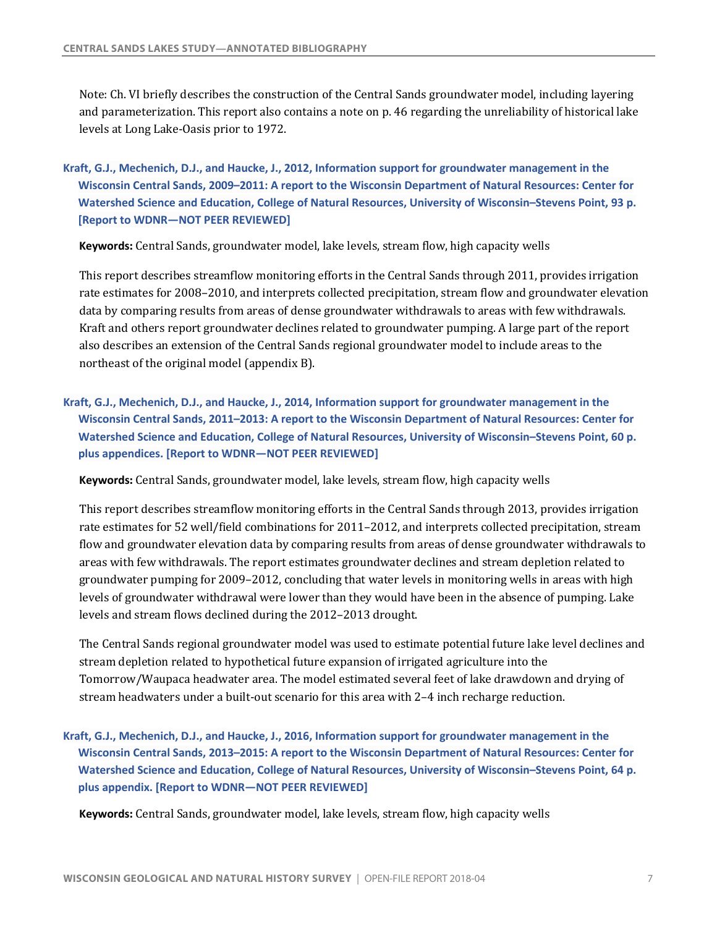Note: Ch. VI briefly describes the construction of the Central Sands groundwater model, including layering and parameterization. This report also contains a note on p. 46 regarding the unreliability of historical lake levels at Long Lake-Oasis prior to 1972.

 **Kraft, G.J., Mechenich, D.J., and Haucke, J., 2012, Information support for groundwater management in the Wisconsin Central Sands, 2009–2011: A report to the Wisconsin Department of Natural Resources: Center for Watershed Science and Education, College of Natural Resources, University of Wisconsin–Stevens Point, 93 p. [Report to WDNR—NOT PEER REVIEWED]** 

**Keywords**: Central Sands, groundwater model, lake levels, stream flow, high capacity wells

This report describes streamflow monitoring efforts in the Central Sands through 2011, provides irrigation rate estimates for 2008–2010, and interprets collected precipitation, stream flow and groundwater elevation data by comparing results from areas of dense groundwater withdrawals to areas with few withdrawals. Kraft and others report groundwater declines related to groundwater pumping. A large part of the report also describes an extension of the Central Sands regional groundwater model to include areas to the northeast of the original model (appendix B).

 **Kraft, G.J., Mechenich, D.J., and Haucke, J., 2014, Information support for groundwater management in the Wisconsin Central Sands, 2011–2013: A report to the Wisconsin Department of Natural Resources: Center for Watershed Science and Education, College of Natural Resources, University of Wisconsin–Stevens Point, 60 p. plus appendices. [Report to WDNR—NOT PEER REVIEWED]** 

**Keywords**: Central Sands, groundwater model, lake levels, stream flow, high capacity wells

This report describes streamflow monitoring efforts in the Central Sands through 2013, provides irrigation rate estimates for 52 well/field combinations for 2011–2012, and interprets collected precipitation, stream flow and groundwater elevation data by comparing results from areas of dense groundwater withdrawals to areas with few withdrawals. The report estimates groundwater declines and stream depletion related to groundwater pumping for 2009–2012, concluding that water levels in monitoring wells in areas with high levels of groundwater withdrawal were lower than they would have been in the absence of pumping. Lake levels and stream flows declined during the 2012–2013 drought.

The Central Sands regional groundwater model was used to estimate potential future lake level declines and stream depletion related to hypothetical future expansion of irrigated agriculture into the Tomorrow/Waupaca headwater area. The model estimated several feet of lake drawdown and drying of stream headwaters under a built-out scenario for this area with 2-4 inch recharge reduction.

 **Kraft, G.J., Mechenich, D.J., and Haucke, J., 2016, Information support for groundwater management in the Wisconsin Central Sands, 2013–2015: A report to the Wisconsin Department of Natural Resources: Center for Watershed Science and Education, College of Natural Resources, University of Wisconsin–Stevens Point, 64 p. plus appendix. [Report to WDNR—NOT PEER REVIEWED]** 

**Keywords**: Central Sands, groundwater model, lake levels, stream flow, high capacity wells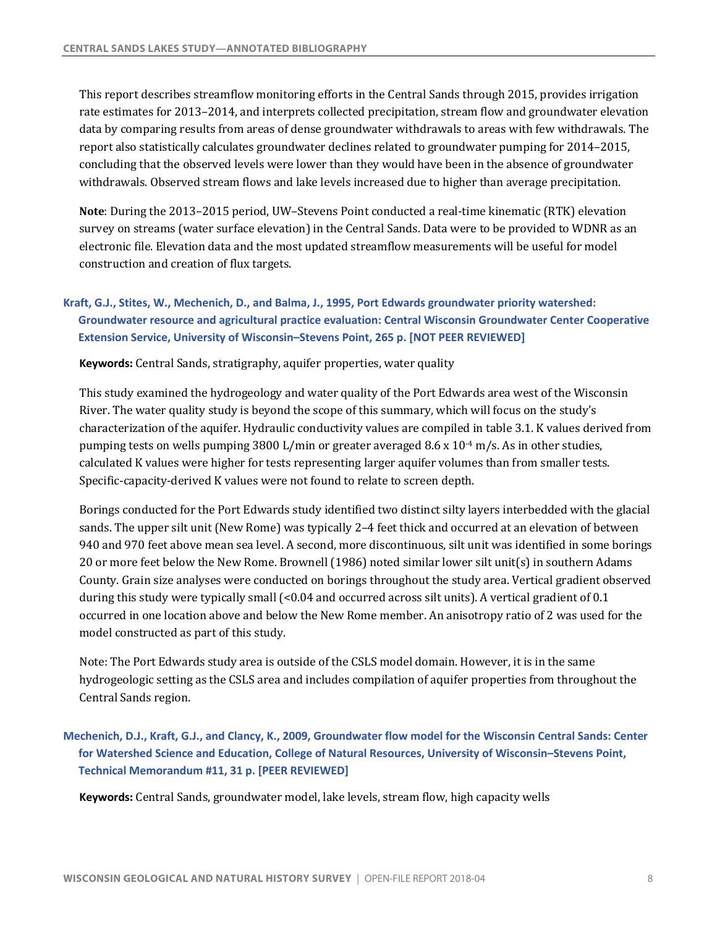This report describes streamflow monitoring efforts in the Central Sands through 2015, provides irrigation rate estimates for 2013–2014, and interprets collected precipitation, stream flow and groundwater elevation data by comparing results from areas of dense groundwater withdrawals to areas with few withdrawals. The report also statistically calculates groundwater declines related to groundwater pumping for 2014-2015, concluding that the observed levels were lower than they would have been in the absence of groundwater withdrawals. Observed stream flows and lake levels increased due to higher than average precipitation.

**Note**: During the 2013–2015 period, UW–Stevens Point conducted a real-time kinematic (RTK) elevation survey on streams (water surface elevation) in the Central Sands. Data were to be provided to WDNR as an electronic file. Elevation data and the most updated streamflow measurements will be useful for model construction and creation of flux targets.

# **Kraft, G.J., Stites, W., Mechenich, D., and Balma, J., 1995, Port Edwards groundwater priority watershed: Groundwater resource and agricultural practice evaluation: Central Wisconsin Groundwater Center Cooperative Extension Service, University of Wisconsin–Stevens Point, 265 p. [NOT PEER REVIEWED]**

 **Keywords:** Central Sands, stratigraphy, aquifer properties, water quality

This study examined the hydrogeology and water quality of the Port Edwards area west of the Wisconsin River. The water quality study is beyond the scope of this summary, which will focus on the study's characterization of the aquifer. Hydraulic conductivity values are compiled in table 3.1. K values derived from pumping tests on wells pumping  $3800$  L/min or greater averaged  $8.6 \times 10^{-4}$  m/s. As in other studies, calculated K values were higher for tests representing larger aquifer volumes than from smaller tests. Specific-capacity-derived K values were not found to relate to screen depth.

sands. The upper silt unit (New Rome) was typically 2–4 feet thick and occurred at an elevation of between 940 and 970 feet above mean sea level. A second, more discontinuous, silt unit was identified in some borings 20 or more feet below the New Rome. Brownell (1986) noted similar lower silt unit(s) in southern Adams County. Grain size analyses were conducted on borings throughout the study area. Vertical gradient observed during this study were typically small (<0.04 and occurred across silt units). A vertical gradient of 0.1 occurred in one location above and below the New Rome member. An anisotropy ratio of 2 was used for the model constructed as part of this study. Borings conducted for the Port Edwards study identified two distinct silty layers interbedded with the glacial

 Note: The Port Edwards study area is outside of the CSLS model domain. However, it is in the same hydrogeologic setting as the CSLS area and includes compilation of aquifer properties from throughout the Central Sands region.

 **Mechenich, D.J., Kraft, G.J., and Clancy, K., 2009, Groundwater flow model for the Wisconsin Central Sands: Center for Watershed Science and Education, College of Natural Resources, University of Wisconsin–Stevens Point, Technical Memorandum #11, 31 p. [PEER REVIEWED]** 

**Keywords**: Central Sands, groundwater model, lake levels, stream flow, high capacity wells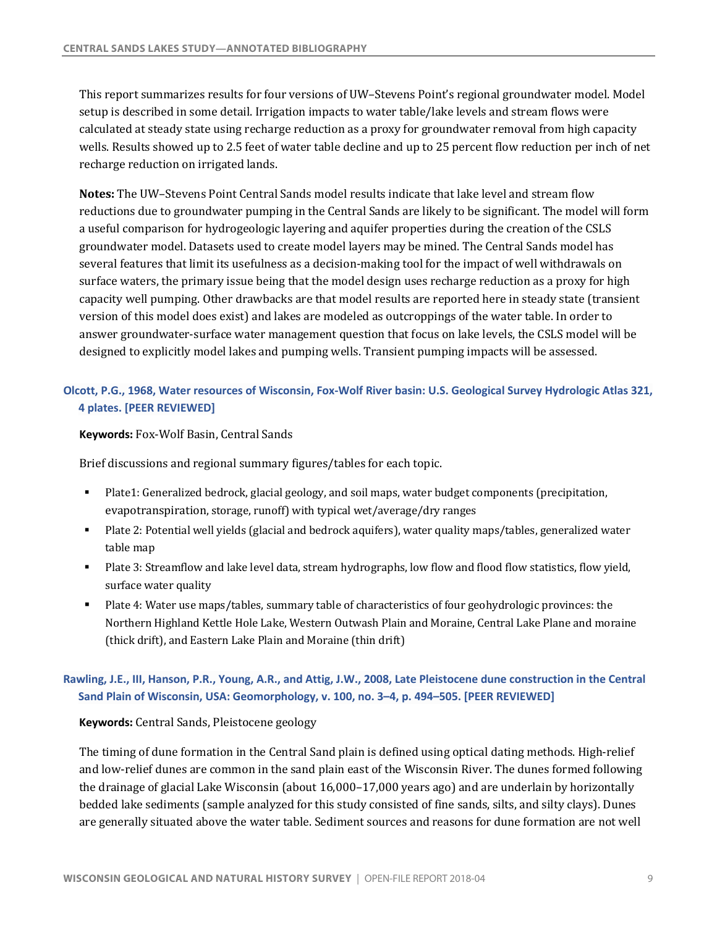This report summarizes results for four versions of UW–Stevens Point's regional groundwater model. Model setup is described in some detail. Irrigation impacts to water table/lake levels and stream flows were calculated at steady state using recharge reduction as a proxy for groundwater removal from high capacity wells. Results showed up to 2.5 feet of water table decline and up to 25 percent flow reduction per inch of net recharge reduction on irrigated lands.

**Notes:** The UW-Stevens Point Central Sands model results indicate that lake level and stream flow reductions due to groundwater pumping in the Central Sands are likely to be significant. The model will form a useful comparison for hydrogeologic layering and aquifer properties during the creation of the CSLS groundwater model. Datasets used to create model layers may be mined. The Central Sands model has several features that limit its usefulness as a decision-making tool for the impact of well withdrawals on surface waters, the primary issue being that the model design uses recharge reduction as a proxy for high capacity well pumping. Other drawbacks are that model results are reported here in steady state (transient version of this model does exist) and lakes are modeled as outcroppings of the water table. In order to answer groundwater-surface water management question that focus on lake levels, the CSLS model will be designed to explicitly model lakes and pumping wells. Transient pumping impacts will be assessed.

### **Olcott, P.G., 1968, Water resources of Wisconsin, Fox-Wolf River basin: U.S. Geological Survey Hydrologic Atlas 321, 4 plates. [PEER REVIEWED]**

#### **Keywords:** Fox-Wolf Basin, Central Sands

Brief discussions and regional summary figures/tables for each topic.

- Plate1: Generalized bedrock, glacial geology, and soil maps, water budget components (precipitation, evapotranspiration, storage, runoff) with typical wet/average/dry ranges
- Plate 2: Potential well yields (glacial and bedrock aquifers), water quality maps/tables, generalized water table map
- Plate 3: Streamflow and lake level data, stream hydrographs, low flow and flood flow statistics, flow yield, surface water quality
- Plate 4: Water use maps/tables, summary table of characteristics of four geohydrologic provinces: the Northern Highland Kettle Hole Lake, Western Outwash Plain and Moraine, Central Lake Plane and moraine (thick drift), and Eastern Lake Plain and Moraine (thin drift)

# **Rawling, J.E., III, Hanson, P.R., Young, A.R., and Attig, J.W., 2008, Late Pleistocene dune construction in the Central**  Sand Plain of Wisconsin, USA: Geomorphology, v. 100, no. 3–4, p. 494–505. [PEER REVIEWED]

#### **Keywords:** Central Sands, Pleistocene geology

The timing of dune formation in the Central Sand plain is defined using optical dating methods. High-relief and low-relief dunes are common in the sand plain east of the Wisconsin River. The dunes formed following the drainage of glacial Lake Wisconsin (about 16,000–17,000 years ago) and are underlain by horizontally bedded lake sediments (sample analyzed for this study consisted of fine sands, silts, and silty clays). Dunes are generally situated above the water table. Sediment sources and reasons for dune formation are not well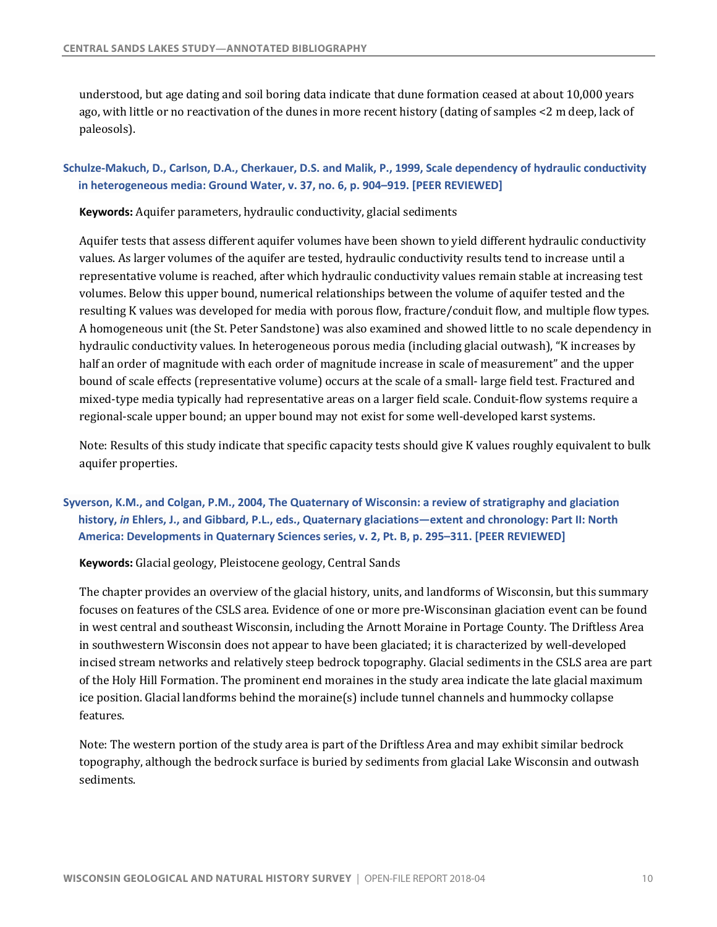understood, but age dating and soil boring data indicate that dune formation ceased at about 10,000 years ago, with little or no reactivation of the dunes in more recent history (dating of samples  $\lt 2$  m deep, lack of paleosols).

## **Schulze-Makuch, D., Carlson, D.A., Cherkauer, D.S. and Malik, P., 1999, Scale dependency of hydraulic conductivity in heterogeneous media: Ground Water, v. 37, no. 6, p. 904–919. [PEER REVIEWED]**

 **Keywords:** Aquifer parameters, hydraulic conductivity, glacial sediments

Aquifer tests that assess different aquifer volumes have been shown to yield different hydraulic conductivity values. As larger volumes of the aquifer are tested, hydraulic conductivity results tend to increase until a representative volume is reached, after which hydraulic conductivity values remain stable at increasing test volumes. Below this upper bound, numerical relationships between the volume of aquifer tested and the resulting K values was developed for media with porous flow, fracture/conduit flow, and multiple flow types. A homogeneous unit (the St. Peter Sandstone) was also examined and showed little to no scale dependency in hydraulic conductivity values. In heterogeneous porous media (including glacial outwash), "K increases by half an order of magnitude with each order of magnitude increase in scale of measurement" and the upper bound of scale effects (representative volume) occurs at the scale of a small- large field test. Fractured and mixed-type media typically had representative areas on a larger field scale. Conduit-flow systems require a regional-scale upper bound; an upper bound may not exist for some well-developed karst systems.

Note: Results of this study indicate that specific capacity tests should give K values roughly equivalent to bulk aquifer properties.

# **Syverson, K.M., and Colgan, P.M., 2004, The Quaternary of Wisconsin: a review of stratigraphy and glaciation history,** *in* **Ehlers, J., and Gibbard, P.L., eds., Quaternary glaciations—extent and chronology: Part II: North America: Developments in Quaternary Sciences series, v. 2, Pt. B, p. 295–311. [PEER REVIEWED]**

 **Keywords:** Glacial geology, Pleistocene geology, Central Sands

The chapter provides an overview of the glacial history, units, and landforms of Wisconsin, but this summary focuses on features of the CSLS area. Evidence of one or more pre-Wisconsinan glaciation event can be found in west central and southeast Wisconsin, including the Arnott Moraine in Portage County. The Driftless Area in southwestern Wisconsin does not appear to have been glaciated; it is characterized by well-developed incised stream networks and relatively steep bedrock topography. Glacial sediments in the CSLS area are part of the Holy Hill Formation. The prominent end moraines in the study area indicate the late glacial maximum ice position. Glacial landforms behind the moraine(s) include tunnel channels and hummocky collapse features.

Note: The western portion of the study area is part of the Driftless Area and may exhibit similar bedrock topography, although the bedrock surface is buried by sediments from glacial Lake Wisconsin and outwash sediments.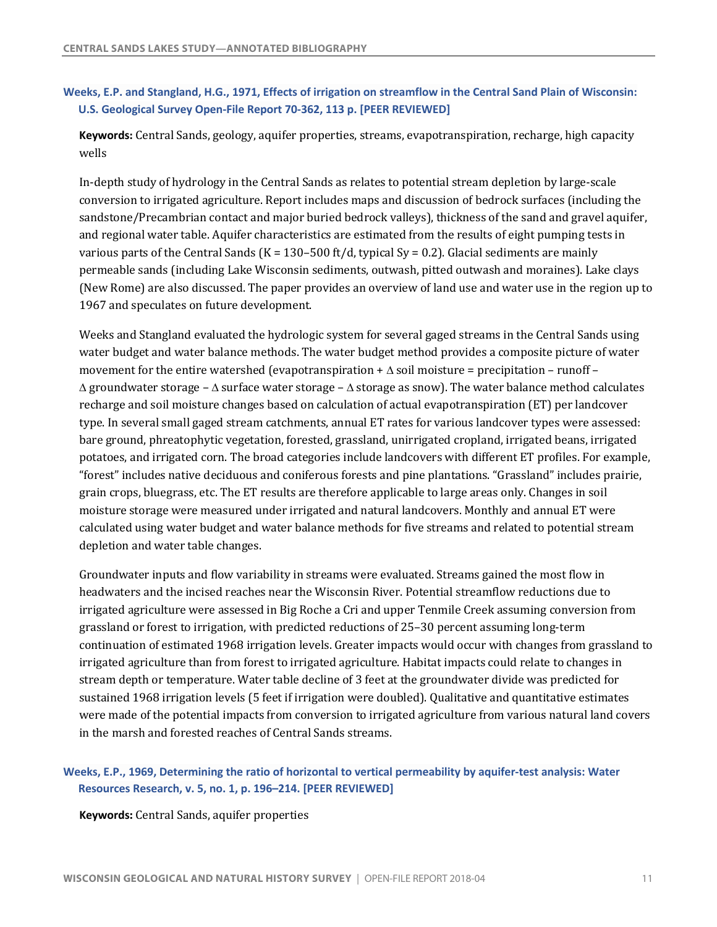# <span id="page-12-0"></span> **Weeks, E.P. and Stangland, H.G., 1971, Effects of irrigation on streamflow in the Central Sand Plain of Wisconsin: U.S. Geological Survey Open-File Report 70-362, 113 p. [PEER REVIEWED]**

Keywords: Central Sands, geology, aquifer properties, streams, evapotranspiration, recharge, high capacity wells

In-depth study of hydrology in the Central Sands as relates to potential stream depletion by large-scale conversion to irrigated agriculture. Report includes maps and discussion of bedrock surfaces (including the sandstone/Precambrian contact and major buried bedrock valleys), thickness of the sand and gravel aquifer, and regional water table. Aquifer characteristics are estimated from the results of eight pumping tests in various parts of the Central Sands (K =  $130-500$  ft/d, typical Sy = 0.2). Glacial sediments are mainly permeable sands (including Lake Wisconsin sediments, outwash, pitted outwash and moraines). Lake clays (New Rome) are also discussed. The paper provides an overview of land use and water use in the region up to 1967 and speculates on future development.

Weeks and Stangland evaluated the hydrologic system for several gaged streams in the Central Sands using water budget and water balance methods. The water budget method provides a composite picture of water movement for the entire watershed (evapotranspiration +  $\Delta$  soil moisture = precipitation – runoff –  $\Delta$  groundwater storage –  $\Delta$  surface water storage –  $\Delta$  storage as snow). The water balance method calculates recharge and soil moisture changes based on calculation of actual evapotranspiration (ET) per landcover type. In several small gaged stream catchments, annual ET rates for various landcover types were assessed: bare ground, phreatophytic vegetation, forested, grassland, unirrigated cropland, irrigated beans, irrigated potatoes, and irrigated corn. The broad categories include landcovers with different ET profiles. For example, "forest" includes native deciduous and coniferous forests and pine plantations. "Grassland" includes prairie, grain crops, bluegrass, etc. The ET results are therefore applicable to large areas only. Changes in soil moisture storage were measured under irrigated and natural landcovers. Monthly and annual ET were calculated using water budget and water balance methods for five streams and related to potential stream depletion and water table changes.

Groundwater inputs and flow variability in streams were evaluated. Streams gained the most flow in headwaters and the incised reaches near the Wisconsin River. Potential streamflow reductions due to irrigated agriculture were assessed in Big Roche a Cri and upper Tenmile Creek assuming conversion from grassland or forest to irrigation, with predicted reductions of 25–30 percent assuming long-term continuation of estimated 1968 irrigation levels. Greater impacts would occur with changes from grassland to irrigated agriculture than from forest to irrigated agriculture. Habitat impacts could relate to changes in stream depth or temperature. Water table decline of 3 feet at the groundwater divide was predicted for sustained 1968 irrigation levels (5 feet if irrigation were doubled). Qualitative and quantitative estimates were made of the potential impacts from conversion to irrigated agriculture from various natural land covers in the marsh and forested reaches of Central Sands streams.

### **Weeks, E.P., 1969, Determining the ratio of horizontal to vertical permeability by aquifer-test analysis: Water Resources Research, v. 5, no. 1, p. 196–214. [PEER REVIEWED]**

 **Keywords:** Central Sands, aquifer properties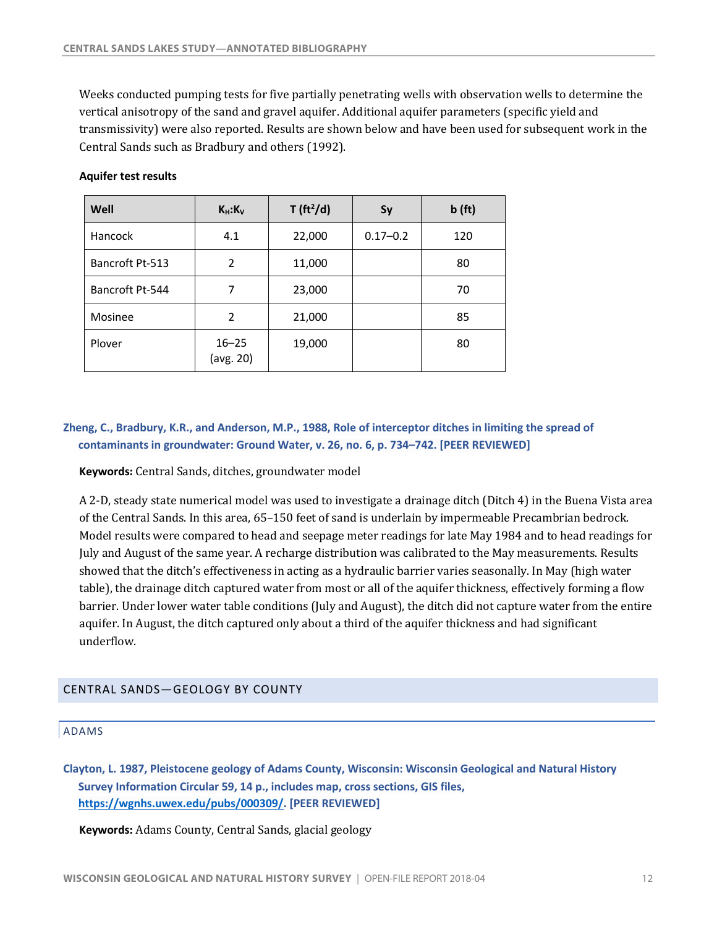<span id="page-13-0"></span>Weeks conducted pumping tests for five partially penetrating wells with observation wells to determine the vertical anisotropy of the sand and gravel aquifer. Additional aquifer parameters (specific yield and transmissivity) were also reported. Results are shown below and have been used for subsequent work in the Central Sands such as Bradbury and others (1992).

| Well            | $K_H: K_V$             | T (ft <sup>2</sup> /d) | Sy           | b(ft) |
|-----------------|------------------------|------------------------|--------------|-------|
| Hancock         | 4.1                    | 22,000                 | $0.17 - 0.2$ | 120   |
| Bancroft Pt-513 | $\overline{2}$         | 11,000                 |              | 80    |
| Bancroft Pt-544 | 7                      | 23,000                 |              | 70    |
| Mosinee         | 2                      | 21,000                 |              | 85    |
| Plover          | $16 - 25$<br>(avg. 20) | 19,000                 |              | 80    |

#### **Aquifer test results**

### **Zheng, C., Bradbury, K.R., and Anderson, M.P., 1988, Role of interceptor ditches in limiting the spread of contaminants in groundwater: Ground Water, v. 26, no. 6, p. 734–742. [PEER REVIEWED]**

 **Keywords:** Central Sands, ditches, groundwater model

A 2-D, steady state numerical model was used to investigate a drainage ditch (Ditch 4) in the Buena Vista area of the Central Sands. In this area, 65-150 feet of sand is underlain by impermeable Precambrian bedrock. Model results were compared to head and seepage meter readings for late May 1984 and to head readings for July and August of the same year. A recharge distribution was calibrated to the May measurements. Results showed that the ditch's effectiveness in acting as a hydraulic barrier varies seasonally. In May (high water table), the drainage ditch captured water from most or all of the aquifer thickness, effectively forming a flow barrier. Under lower water table conditions (July and August), the ditch did not capture water from the entire aquifer. In August, the ditch captured only about a third of the aquifer thickness and had significant underflow.

#### CENTRAL SANDS—GEOLOGY BY COUNTY

#### ADAMS

 **Clayton, L. 1987, Pleistocene geology of Adams County, Wisconsin: Wisconsin Geological and Natural History Survey Information Circular 59, 14 p., includes map, cross sections, GIS files, [https://wgnhs.uwex.edu/pubs/000309/](https://wgnhs.uwex.edu/pubs/000309). [PEER REVIEWED]** 

 **Keywords:** Adams County, Central Sands, glacial geology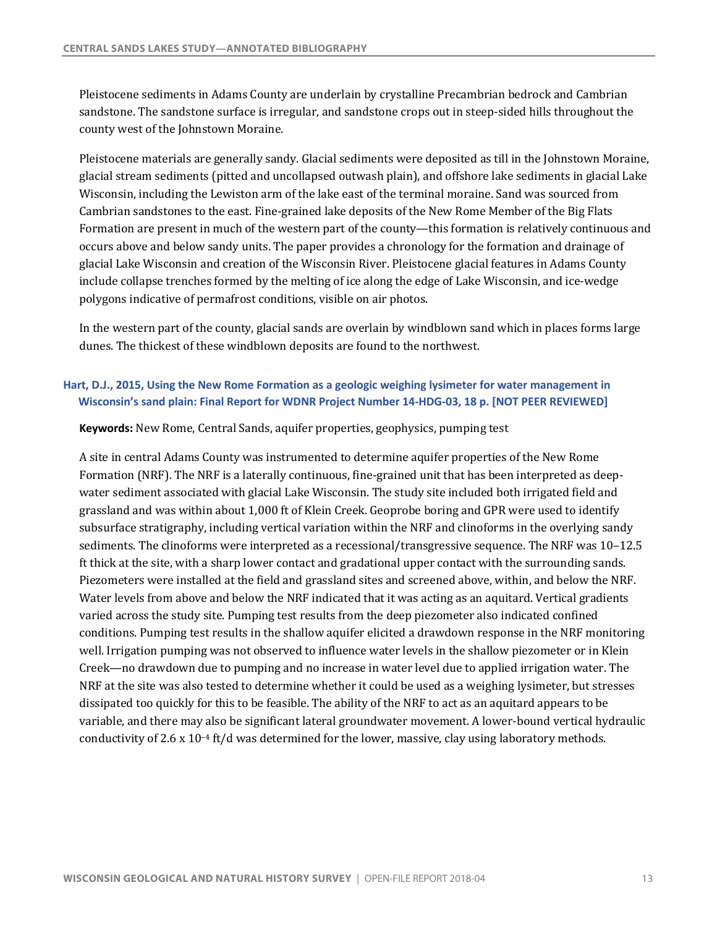Pleistocene sediments in Adams County are underlain by crystalline Precambrian bedrock and Cambrian sandstone. The sandstone surface is irregular, and sandstone crops out in steep-sided hills throughout the county west of the Johnstown Moraine.

Pleistocene materials are generally sandy. Glacial sediments were deposited as till in the Johnstown Moraine, glacial stream sediments (pitted and uncollapsed outwash plain), and offshore lake sediments in glacial Lake Wisconsin, including the Lewiston arm of the lake east of the terminal moraine. Sand was sourced from Cambrian sandstones to the east. Fine-grained lake deposits of the New Rome Member of the Big Flats Formation are present in much of the western part of the county—this formation is relatively continuous and occurs above and below sandy units. The paper provides a chronology for the formation and drainage of glacial Lake Wisconsin and creation of the Wisconsin River. Pleistocene glacial features in Adams County include collapse trenches formed by the melting of ice along the edge of Lake Wisconsin, and ice-wedge polygons indicative of permafrost conditions, visible on air photos.

In the western part of the county, glacial sands are overlain by windblown sand which in places forms large dunes. The thickest of these windblown deposits are found to the northwest.

# **Hart, D.J., 2015, Using the New Rome Formation as a geologic weighing lysimeter for water management in Wisconsin's sand plain: Final Report for WDNR Project Number 14-HDG-03, 18 p. [NOT PEER REVIEWED]**

 **Keywords:** New Rome, Central Sands, aquifer properties, geophysics, pumping test

A site in central Adams County was instrumented to determine aquifer properties of the New Rome Formation (NRF). The NRF is a laterally continuous, fine-grained unit that has been interpreted as deep- water sediment associated with glacial Lake Wisconsin. The study site included both irrigated field and grassland and was within about 1,000 ft of Klein Creek. Geoprobe boring and GPR were used to identify subsurface stratigraphy, including vertical variation within the NRF and clinoforms in the overlying sandy sediments. The clinoforms were interpreted as a recessional/transgressive sequence. The NRF was 10-12.5 ft thick at the site, with a sharp lower contact and gradational upper contact with the surrounding sands. Piezometers were installed at the field and grassland sites and screened above, within, and below the NRF. Water levels from above and below the NRF indicated that it was acting as an aquitard. Vertical gradients conditions. Pumping test results in the shallow aquifer elicited a drawdown response in the NRF monitoring well. Irrigation pumping was not observed to influence water levels in the shallow piezometer or in Klein NRF at the site was also tested to determine whether it could be used as a weighing lysimeter, but stresses dissipated too quickly for this to be feasible. The ability of the NRF to act as an aquitard appears to be variable, and there may also be significant lateral groundwater movement. A lower-bound vertical hydraulic conductivity of 2.6 x  $10^{-4}$  ft/d was determined for the lower, massive, clay using laboratory methods. varied across the study site. Pumping test results from the deep piezometer also indicated confined Creek—no drawdown due to pumping and no increase in water level due to applied irrigation water. The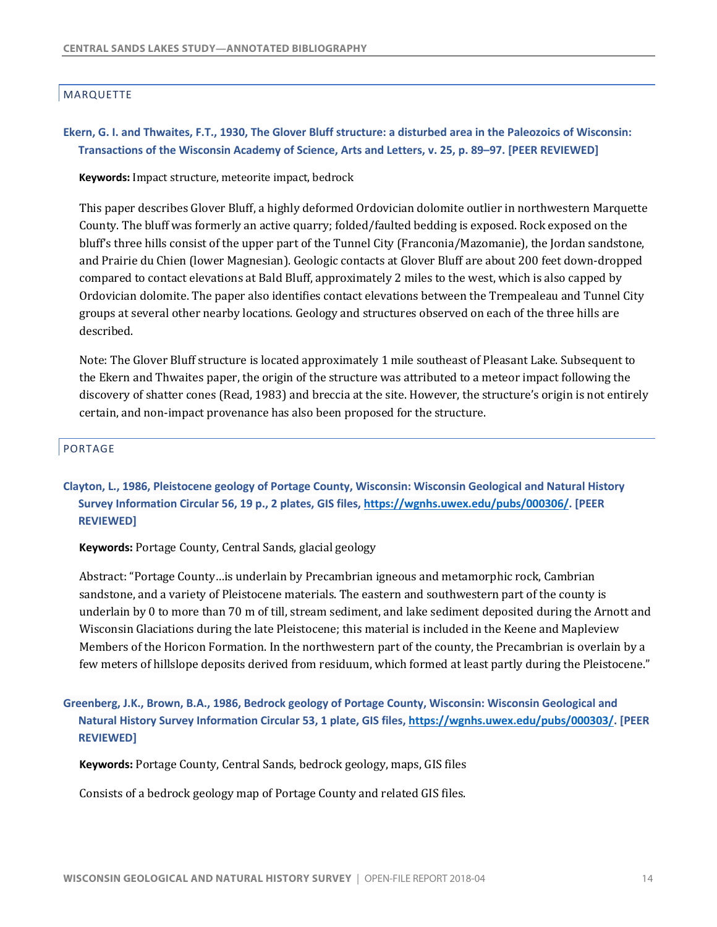### MARQUETTE

### **Ekern, G. I. and Thwaites, F.T., 1930, The Glover Bluff structure: a disturbed area in the Paleozoics of Wisconsin: Transactions of the Wisconsin Academy of Science, Arts and Letters, v. 25, p. 89–97. [PEER REVIEWED]**

**Keywords:** Impact structure, meteorite impact, bedrock

This paper describes Glover Bluff, a highly deformed Ordovician dolomite outlier in northwestern Marquette County. The bluff was formerly an active quarry; folded/faulted bedding is exposed. Rock exposed on the bluff's three hills consist of the upper part of the Tunnel City (Franconia/Mazomanie), the Jordan sandstone, and Prairie du Chien (lower Magnesian). Geologic contacts at Glover Bluff are about 200 feet down-dropped compared to contact elevations at Bald Bluff, approximately 2 miles to the west, which is also capped by Ordovician dolomite. The paper also identifies contact elevations between the Trempealeau and Tunnel City groups at several other nearby locations. Geology and structures observed on each of the three hills are described.

Note: The Glover Bluff structure is located approximately 1 mile southeast of Pleasant Lake. Subsequent to the Ekern and Thwaites paper, the origin of the structure was attributed to a meteor impact following the discovery of shatter cones (Read, 1983) and breccia at the site. However, the structure's origin is not entirely certain, and non-impact provenance has also been proposed for the structure.

#### PORTAGE

# **Clayton, L., 1986, Pleistocene geology of Portage County, Wisconsin: Wisconsin Geological and Natural History Survey Information Circular 56, 19 p., 2 plates, GIS files, <https://wgnhs.uwex.edu/pubs/000306>/. [PEER REVIEWED]**

 **Keywords:** Portage County, Central Sands, glacial geology

 Abstract: "Portage County…is underlain by Precambrian igneous and metamorphic rock, Cambrian sandstone, and a variety of Pleistocene materials. The eastern and southwestern part of the county is underlain by 0 to more than 70 m of till, stream sediment, and lake sediment deposited during the Arnott and Members of the Horicon Formation. In the northwestern part of the county, the Precambrian is overlain by a few meters of hillslope deposits derived from residuum, which formed at least partly during the Pleistocene." Wisconsin Glaciations during the late Pleistocene; this material is included in the Keene and Mapleview

 **Greenberg, J.K., Brown, B.A., 1986, Bedrock geology of Portage County, Wisconsin: Wisconsin Geological and Natural History Survey Information Circular 53, 1 plate, GIS files, [https://wgnhs.uwex.edu/pubs/000303/](https://wgnhs.uwex.edu/pubs/000303). [PEER REVIEWED]** 

**Keywords:** Portage County, Central Sands, bedrock geology, maps, GIS files

Consists of a bedrock geology map of Portage County and related GIS files.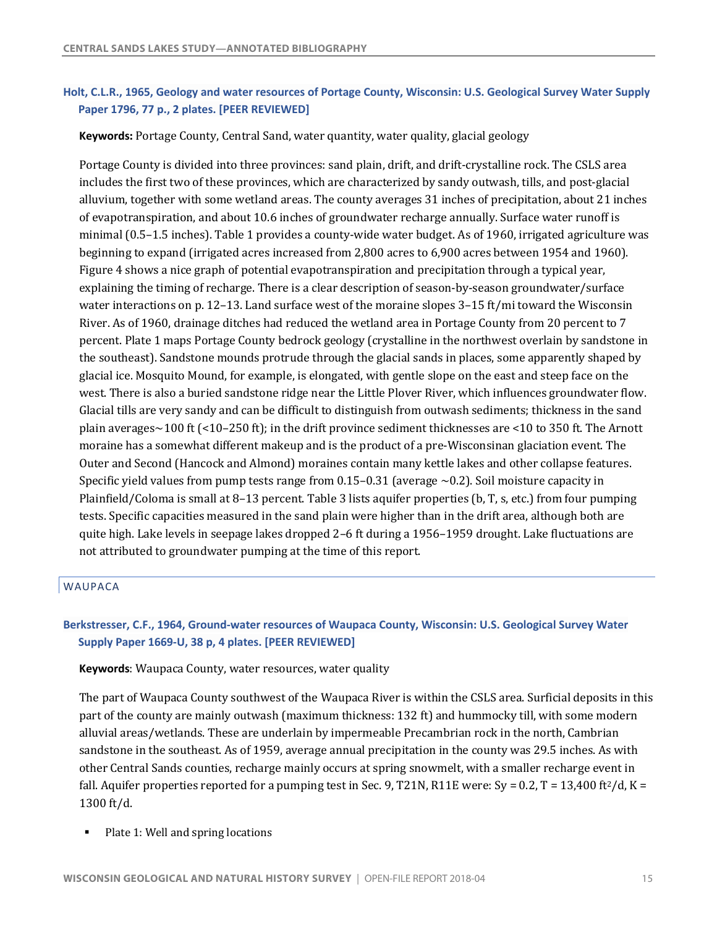# **Holt, C.L.R., 1965, Geology and water resources of Portage County, Wisconsin: U.S. Geological Survey Water Supply Paper 1796, 77 p., 2 plates. [PEER REVIEWED]**

**Keywords**: Portage County, Central Sand, water quantity, water quality, glacial geology

Portage County is divided into three provinces: sand plain, drift, and drift-crystalline rock. The CSLS area includes the first two of these provinces, which are characterized by sandy outwash, tills, and post-glacial alluvium, together with some wetland areas. The county averages 31 inches of precipitation, about 21 inches minimal (0.5–1.5 inches). Table 1 provides a county-wide water budget. As of 1960, irrigated agriculture was beginning to expand (irrigated acres increased from 2,800 acres to 6,900 acres between 1954 and 1960). Figure 4 shows a nice graph of potential evapotranspiration and precipitation through a typical year, explaining the timing of recharge. There is a clear description of season-by-season groundwater/surface water interactions on p. 12–13. Land surface west of the moraine slopes  $3-15$  ft/mi toward the Wisconsin River. As of 1960, drainage ditches had reduced the wetland area in Portage County from 20 percent to 7 percent. Plate 1 maps Portage County bedrock geology (crystalline in the northwest overlain by sandstone in the southeast). Sandstone mounds protrude through the glacial sands in places, some apparently shaped by glacial ice. Mosquito Mound, for example, is elongated, with gentle slope on the east and steep face on the west. There is also a buried sandstone ridge near the Little Plover River, which influences groundwater flow. Glacial tills are very sandy and can be difficult to distinguish from outwash sediments; thickness in the sand plain averages~100 ft (<10–250 ft); in the drift province sediment thicknesses are <10 to 350 ft. The Arnott moraine has a somewhat different makeup and is the product of a pre-Wisconsinan glaciation event. The Outer and Second (Hancock and Almond) moraines contain many kettle lakes and other collapse features. Specific yield values from pump tests range from  $0.15-0.31$  (average  $\sim 0.2$ ). Soil moisture capacity in Plainfield/Coloma is small at 8–13 percent. Table 3 lists aquifer properties (b, T, s, etc.) from four pumping tests. Specific capacities measured in the sand plain were higher than in the drift area, although both are quite high. Lake levels in seepage lakes dropped 2–6 ft during a 1956–1959 drought. Lake fluctuations are not attributed to groundwater pumping at the time of this report. of evapotranspiration, and about 10.6 inches of groundwater recharge annually. Surface water runoff is

### WAUPACA

# **Berkstresser, C.F., 1964, Ground-water resources of Waupaca County, Wisconsin: U.S. Geological Survey Water Supply Paper 1669-U, 38 p, 4 plates. [PEER REVIEWED]**

#### **Keywords**: Waupaca County, water resources, water quality

The part of Waupaca County southwest of the Waupaca River is within the CSLS area. Surficial deposits in this part of the county are mainly outwash (maximum thickness: 132 ft) and hummocky till, with some modern alluvial areas/wetlands. These are underlain by impermeable Precambrian rock in the north, Cambrian sandstone in the southeast. As of 1959, average annual precipitation in the county was 29.5 inches. As with other Central Sands counties, recharge mainly occurs at spring snowmelt, with a smaller recharge event in fall. Aquifer properties reported for a pumping test in Sec. 9, T21N, R11E were: Sy = 0.2, T = 13,400 ft<sup>2</sup>/d, K = 1300 ft/d.

• Plate 1: Well and spring locations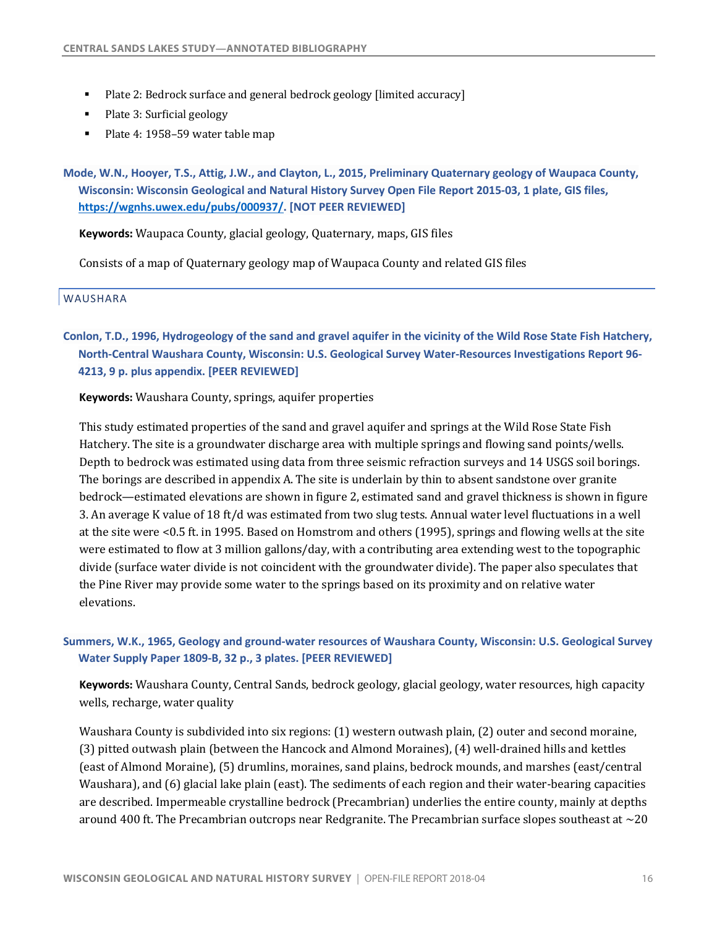- Plate 2: Bedrock surface and general bedrock geology [limited accuracy]
- Plate 3: Surficial geology
- Plate 4: 1958–59 water table map

 **Mode, W.N., Hooyer, T.S., Attig, J.W., and Clayton, L., 2015, Preliminary Quaternary geology of Waupaca County, Wisconsin: Wisconsin Geological and Natural History Survey Open File Report 2015-03, 1 plate, GIS files, [https://wgnhs.uwex.edu/pubs/000937/](https://wgnhs.uwex.edu/pubs/000937). [NOT PEER REVIEWED]** 

 **Keywords:** Waupaca County, glacial geology, Quaternary, maps, GIS files

Consists of a map of Quaternary geology map of Waupaca County and related GIS files

#### WAUSHARA

 **Conlon, T.D., 1996, Hydrogeology of the sand and gravel aquifer in the vicinity of the Wild Rose State Fish Hatchery, North-Central Waushara County, Wisconsin: U.S. Geological Survey Water-Resources Investigations Report 96- 4213, 9 p. plus appendix. [PEER REVIEWED]** 

**Keywords:** Waushara County, springs, aquifer properties

This study estimated properties of the sand and gravel aquifer and springs at the Wild Rose State Fish Hatchery. The site is a groundwater discharge area with multiple springs and flowing sand points/wells. Depth to bedrock was estimated using data from three seismic refraction surveys and 14 USGS soil borings. The borings are described in appendix A. The site is underlain by thin to absent sandstone over granite bedrock—estimated elevations are shown in figure 2, estimated sand and gravel thickness is shown in figure 3. An average K value of 18 ft/d was estimated from two slug tests. Annual water level fluctuations in a well at the site were <0.5 ft. in 1995. Based on Homstrom and others (1995), springs and flowing wells at the site were estimated to flow at 3 million gallons/day, with a contributing area extending west to the topographic divide (surface water divide is not coincident with the groundwater divide). The paper also speculates that the Pine River may provide some water to the springs based on its proximity and on relative water elevations.

### **Summers, W.K., 1965, Geology and ground-water resources of Waushara County, Wisconsin: U.S. Geological Survey Water Supply Paper 1809-B, 32 p., 3 plates. [PEER REVIEWED]**

Keywords: Waushara County, Central Sands, bedrock geology, glacial geology, water resources, high capacity wells, recharge, water quality

 Waushara County is subdivided into six regions: (1) western outwash plain, (2) outer and second moraine, (3) pitted outwash plain (between the Hancock and Almond Moraines), (4) well-drained hills and kettles (east of Almond Moraine), (5) drumlins, moraines, sand plains, bedrock mounds, and marshes (east/central Waushara), and (6) glacial lake plain (east). The sediments of each region and their water-bearing capacities are described. Impermeable crystalline bedrock (Precambrian) underlies the entire county, mainly at depths around 400 ft. The Precambrian outcrops near Redgranite. The Precambrian surface slopes southeast at  $\sim$  20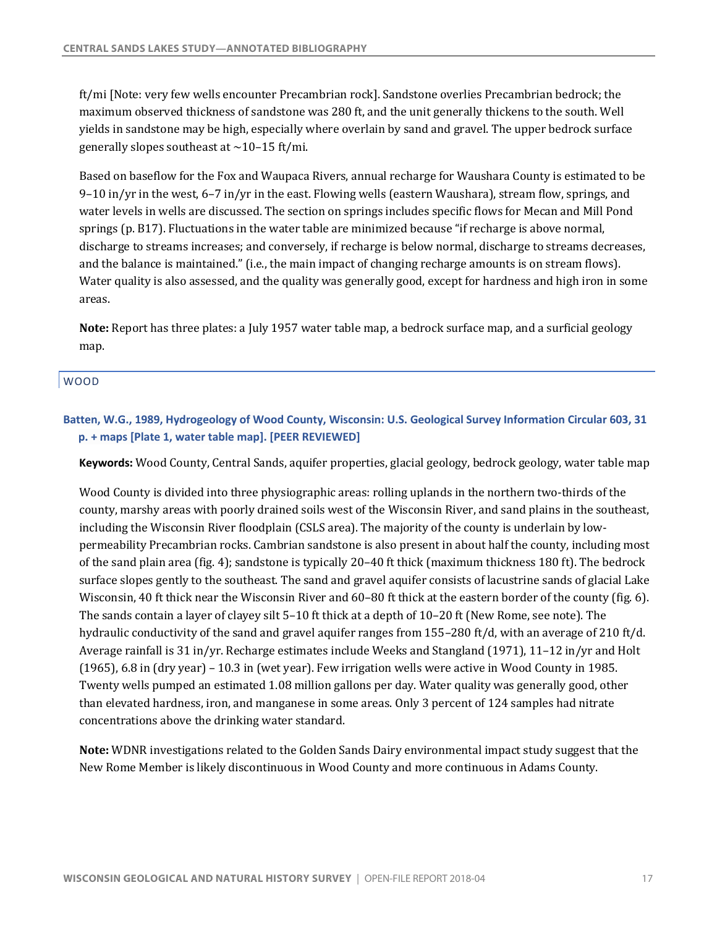ft/mi [Note: very few wells encounter Precambrian rock]. Sandstone overlies Precambrian bedrock; the maximum observed thickness of sandstone was 280 ft, and the unit generally thickens to the south. Well yields in sandstone may be high, especially where overlain by sand and gravel. The upper bedrock surface generally slopes southeast at  $\sim$ 10-15 ft/mi.

Based on baseflow for the Fox and Waupaca Rivers, annual recharge for Waushara County is estimated to be  $9-10$  in/yr in the west, 6–7 in/yr in the east. Flowing wells (eastern Waushara), stream flow, springs, and water levels in wells are discussed. The section on springs includes specific flows for Mecan and Mill Pond discharge to streams increases; and conversely, if recharge is below normal, discharge to streams decreases, and the balance is maintained." (i.e., the main impact of changing recharge amounts is on stream flows). Water quality is also assessed, and the quality was generally good, except for hardness and high iron in some springs (p. B17). Fluctuations in the water table are minimized because "if recharge is above normal, areas.

**Note:** Report has three plates: a July 1957 water table map, a bedrock surface map, and a surficial geology map.

#### WOOD

# **Batten, W.G., 1989, Hydrogeology of Wood County, Wisconsin: U.S. Geological Survey Information Circular 603, 31 p. + maps [Plate 1, water table map]. [PEER REVIEWED]**

 **Keywords:** Wood County, Central Sands, aquifer properties, glacial geology, bedrock geology, water table map

Wood County is divided into three physiographic areas: rolling uplands in the northern two-thirds of the county, marshy areas with poorly drained soils west of the Wisconsin River, and sand plains in the southeast, including the Wisconsin River floodplain (CSLS area). The majority of the county is underlain by lowpermeability Precambrian rocks. Cambrian sandstone is also present in about half the county, including most of the sand plain area (fig. 4); sandstone is typically 20–40 ft thick (maximum thickness 180 ft). The bedrock surface slopes gently to the southeast. The sand and gravel aquifer consists of lacustrine sands of glacial Lake Wisconsin, 40 ft thick near the Wisconsin River and 60–80 ft thick at the eastern border of the county (fig. 6). The sands contain a layer of clayey silt 5–10 ft thick at a depth of 10–20 ft (New Rome, see note). The hydraulic conductivity of the sand and gravel aquifer ranges from  $155$ –280 ft/d, with an average of 210 ft/d. Average rainfall is 31 in/yr. Recharge estimates include Weeks and Stangland (1971), 11–12 in/yr and Holt  $(1965)$ , 6.8 in  $(dry year)$  – 10.3 in (wet year). Few irrigation wells were active in Wood County in 1985. Twenty wells pumped an estimated 1.08 million gallons per day. Water quality was generally good, other than elevated hardness, iron, and manganese in some areas. Only 3 percent of 124 samples had nitrate concentrations above the drinking water standard.

 **Note:** WDNR investigations related to the Golden Sands Dairy environmental impact study suggest that the New Rome Member is likely discontinuous in Wood County and more continuous in Adams County.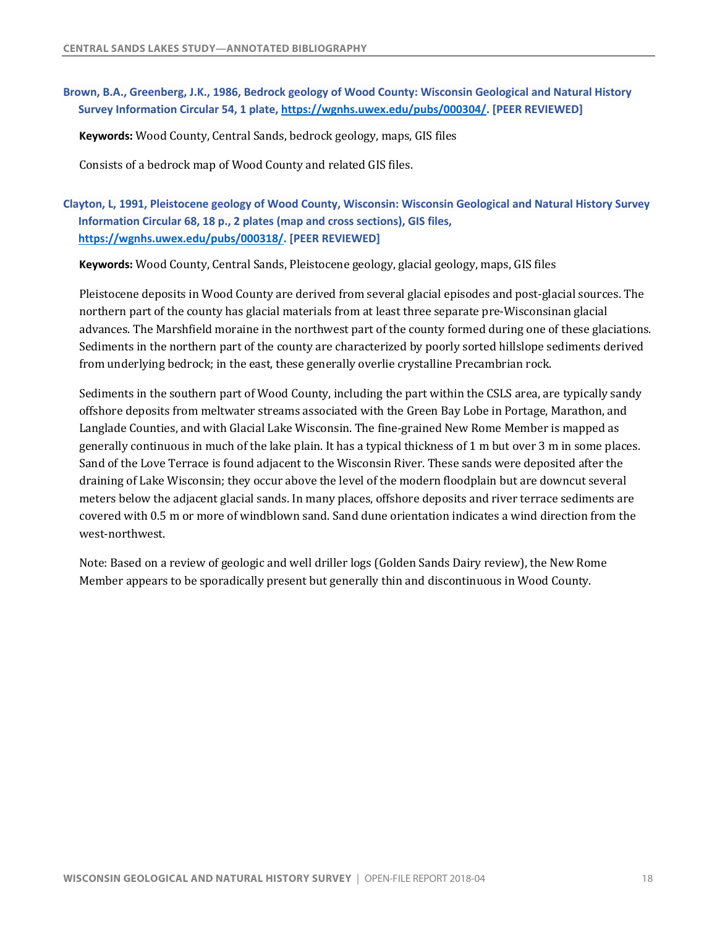### **Brown, B.A., Greenberg, J.K., 1986, Bedrock geology of Wood County: Wisconsin Geological and Natural History Survey Information Circular 54, 1 plate, [https://wgnhs.uwex.edu/pubs/000304/](https://wgnhs.uwex.edu/pubs/000304). [PEER REVIEWED]**

**Keywords:** Wood County, Central Sands, bedrock geology, maps, GIS files

Consists of a bedrock map of Wood County and related GIS files.

 **Clayton, L, 1991, Pleistocene geology of Wood County, Wisconsin: Wisconsin Geological and Natural History Survey Information Circular 68, 18 p., 2 plates (map and cross sections), GIS files, [https://wgnhs.uwex.edu/pubs/000318/](https://wgnhs.uwex.edu/pubs/000318). [PEER REVIEWED]** 

 **Keywords:** Wood County, Central Sands, Pleistocene geology, glacial geology, maps, GIS files

Pleistocene deposits in Wood County are derived from several glacial episodes and post-glacial sources. The northern part of the county has glacial materials from at least three separate pre-Wisconsinan glacial advances. The Marshfield moraine in the northwest part of the county formed during one of these glaciations. Sediments in the northern part of the county are characterized by poorly sorted hillslope sediments derived from underlying bedrock; in the east, these generally overlie crystalline Precambrian rock.

Sediments in the southern part of Wood County, including the part within the CSLS area, are typically sandy offshore deposits from meltwater streams associated with the Green Bay Lobe in Portage, Marathon, and Langlade Counties, and with Glacial Lake Wisconsin. The fine-grained New Rome Member is mapped as generally continuous in much of the lake plain. It has a typical thickness of 1 m but over 3 m in some places. Sand of the Love Terrace is found adjacent to the Wisconsin River. These sands were deposited after the draining of Lake Wisconsin; they occur above the level of the modern floodplain but are downcut several meters below the adjacent glacial sands. In many places, offshore deposits and river terrace sediments are covered with 0.5 m or more of windblown sand. Sand dune orientation indicates a wind direction from the west-northwest.

Note: Based on a review of geologic and well driller logs (Golden Sands Dairy review), the New Rome Member appears to be sporadically present but generally thin and discontinuous in Wood County.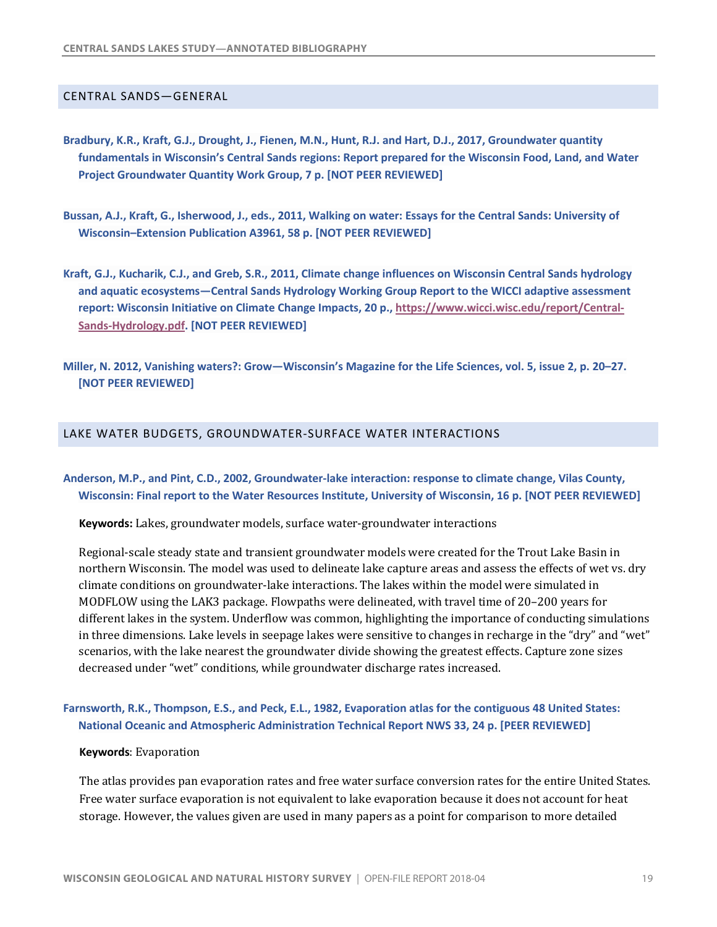#### <span id="page-20-0"></span>CENTRAL SANDS—GENERAL

- **Project Groundwater Quantity Work Group, 7 p. [NOT PEER REVIEWED] Bradbury, K.R., Kraft, G.J., Drought, J., Fienen, M.N., Hunt, R.J. and Hart, D.J., 2017, Groundwater quantity fundamentals in Wisconsin's Central Sands regions: Report prepared for the Wisconsin Food, Land, and Water**
- **Bussan, A.J., Kraft, G., Isherwood, J., eds., 2011, Walking on water: Essays for the Central Sands: University of Wisconsin–Extension Publication A3961, 58 p. [NOT PEER REVIEWED]**
- **Kraft, G.J., Kucharik, C.J., and Greb, S.R., 2011, Climate change influences on Wisconsin Central Sands hydrology report: Wisconsin Initiative on Climate Change Impacts, 20 p., <https://www.wicci.wisc.edu/report/Central>- Sands-Hydrology.pdf. [NOT PEER REVIEWED] and aquatic ecosystems—Central Sands Hydrology Working Group Report to the WICCI adaptive assessment**
- **Miller, N. 2012, Vanishing waters?: Grow—Wisconsin's Magazine for the Life Sciences, vol. 5, issue 2, p. 20–27. [NOT PEER REVIEWED]**

#### LAKE WATER BUDGETS, GROUNDWATER-SURFACE WATER INTERACTIONS

### **Anderson, M.P., and Pint, C.D., 2002, Groundwater-lake interaction: response to climate change, Vilas County, Wisconsin: Final report to the Water Resources Institute, University of Wisconsin, 16 p. [NOT PEER REVIEWED]**

**Keywords:** Lakes, groundwater models, surface water-groundwater interactions

Regional-scale steady state and transient groundwater models were created for the Trout Lake Basin in northern Wisconsin. The model was used to delineate lake capture areas and assess the effects of wet vs. dry MODFLOW using the LAK3 package. Flowpaths were delineated, with travel time of 20-200 years for different lakes in the system. Underflow was common, highlighting the importance of conducting simulations in three dimensions. Lake levels in seepage lakes were sensitive to changes in recharge in the "dry" and "wet" scenarios, with the lake nearest the groundwater divide showing the greatest effects. Capture zone sizes decreased under "wet" conditions, while groundwater discharge rates increased. climate conditions on groundwater-lake interactions. The lakes within the model were simulated in

### **Farnsworth, R.K., Thompson, E.S., and Peck, E.L., 1982, Evaporation atlas for the contiguous 48 United States: National Oceanic and Atmospheric Administration Technical Report NWS 33, 24 p. [PEER REVIEWED]**

#### **Keywords: Evaporation**

The atlas provides pan evaporation rates and free water surface conversion rates for the entire United States. Free water surface evaporation is not equivalent to lake evaporation because it does not account for heat storage. However, the values given are used in many papers as a point for comparison to more detailed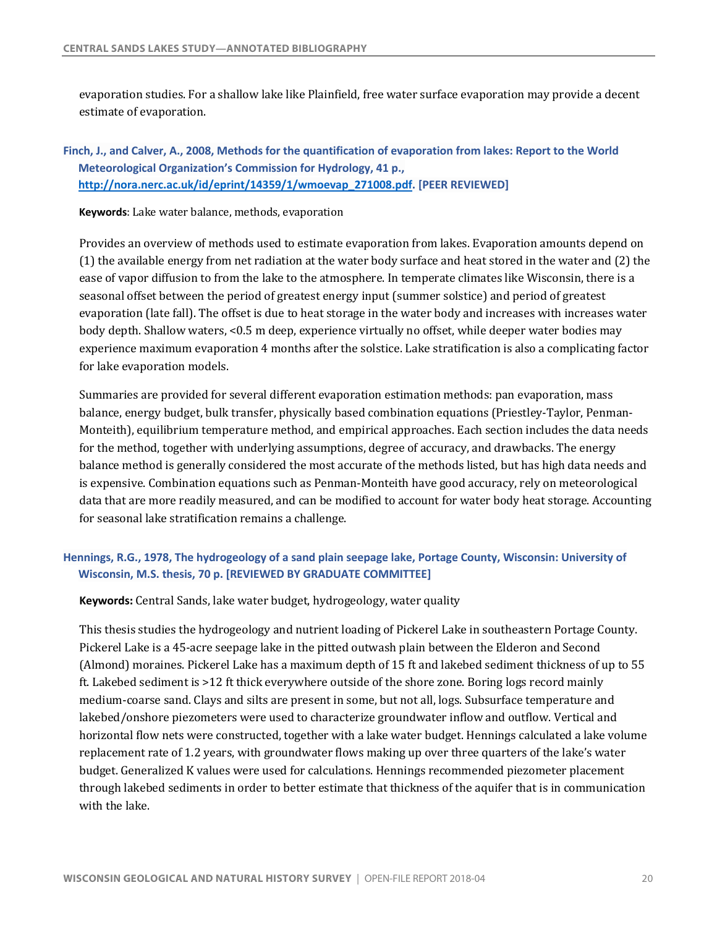evaporation studies. For a shallow lake like Plainfield, free water surface evaporation may provide a decent estimate of evaporation.

# **Finch, J., and Calver, A., 2008, Methods for the quantification of evaporation from lakes: Report to the World Meteorological Organization's Commission for Hydrology, 41 p., [http://nora.nerc.ac.uk/id/eprint/14359/1/wmoevap\\_271008.pdf](http://nora.nerc.ac.uk/id/eprint/14359/1/wmoevap_271008.pdf). [PEER REVIEWED]**

 **Keywords**: Lake water balance, methods, evaporation

Provides an overview of methods used to estimate evaporation from lakes. Evaporation amounts depend on  $(1)$  the available energy from net radiation at the water body surface and heat stored in the water and  $(2)$  the ease of vapor diffusion to from the lake to the atmosphere. In temperate climates like Wisconsin, there is a seasonal offset between the period of greatest energy input (summer solstice) and period of greatest evaporation (late fall). The offset is due to heat storage in the water body and increases with increases water body depth. Shallow waters, <0.5 m deep, experience virtually no offset, while deeper water bodies may experience maximum evaporation 4 months after the solstice. Lake stratification is also a complicating factor for lake evaporation models.

Summaries are provided for several different evaporation estimation methods: pan evaporation, mass Monteith), equilibrium temperature method, and empirical approaches. Each section includes the data needs for the method, together with underlying assumptions, degree of accuracy, and drawbacks. The energy balance method is generally considered the most accurate of the methods listed, but has high data needs and is expensive. Combination equations such as Penman-Monteith have good accuracy, rely on meteorological data that are more readily measured, and can be modified to account for water body heat storage. Accounting for seasonal lake stratification remains a challenge. balance, energy budget, bulk transfer, physically based combination equations (Priestley-Taylor, Penman-

# **Hennings, R.G., 1978, The hydrogeology of a sand plain seepage lake, Portage County, Wisconsin: University of Wisconsin, M.S. thesis, 70 p. [REVIEWED BY GRADUATE COMMITTEE]**

 **Keywords:** Central Sands, lake water budget, hydrogeology, water quality

This thesis studies the hydrogeology and nutrient loading of Pickerel Lake in southeastern Portage County. Pickerel Lake is a 45-acre seepage lake in the pitted outwash plain between the Elderon and Second (Almond) moraines. Pickerel Lake has a maximum depth of 15 ft and lakebed sediment thickness of up to 55 ft. Lakebed sediment is >12 ft thick everywhere outside of the shore zone. Boring logs record mainly medium-coarse sand. Clays and silts are present in some, but not all, logs. Subsurface temperature and lakebed/onshore piezometers were used to characterize groundwater inflow and outflow. Vertical and horizontal flow nets were constructed, together with a lake water budget. Hennings calculated a lake volume replacement rate of 1.2 years, with groundwater flows making up over three quarters of the lake's water budget. Generalized K values were used for calculations. Hennings recommended piezometer placement through lakebed sediments in order to better estimate that thickness of the aquifer that is in communication with the lake.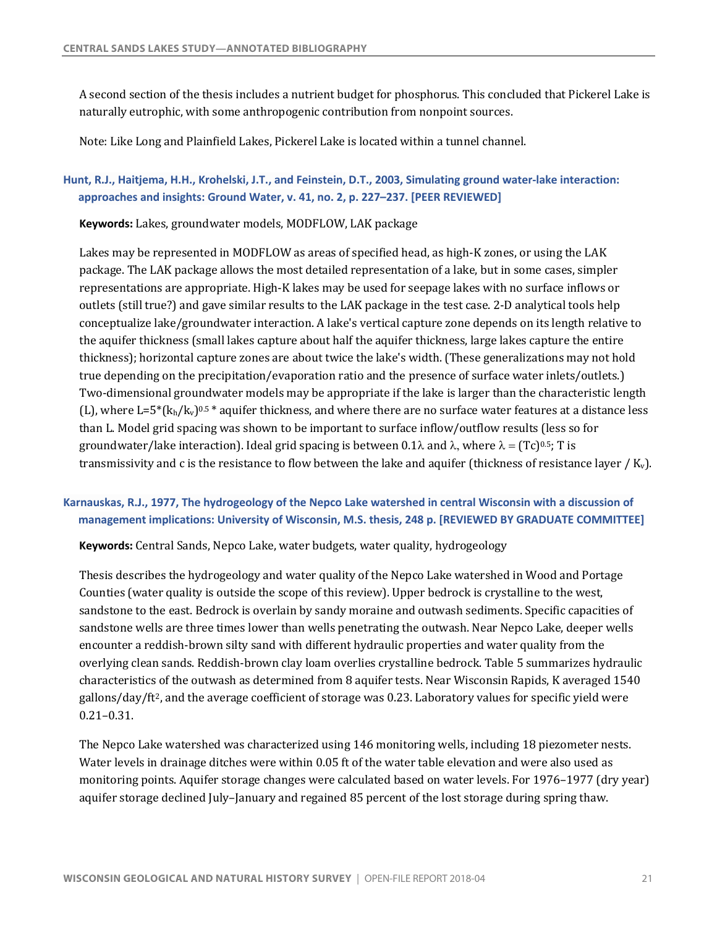A second section of the thesis includes a nutrient budget for phosphorus. This concluded that Pickerel Lake is naturally eutrophic, with some anthropogenic contribution from nonpoint sources.

Note: Like Long and Plainfield Lakes, Pickerel Lake is located within a tunnel channel.

### **Hunt, R.J., Haitjema, H.H., Krohelski, J.T., and Feinstein, D.T., 2003, Simulating ground water-lake interaction: approaches and insights: Ground Water, v. 41, no. 2, p. 227–237. [PEER REVIEWED]**

 **Keywords:** Lakes, groundwater models, MODFLOW, LAK package

Lakes may be represented in MODFLOW as areas of specified head, as high-K zones, or using the LAK package. The LAK package allows the most detailed representation of a lake, but in some cases, simpler outlets (still true?) and gave similar results to the LAK package in the test case. 2-D analytical tools help conceptualize lake/groundwater interaction. A lake's vertical capture zone depends on its length relative to the aquifer thickness (small lakes capture about half the aquifer thickness, large lakes capture the entire thickness); horizontal capture zones are about twice the lake's width. (These generalizations may not hold true depending on the precipitation/evaporation ratio and the presence of surface water inlets/outlets.) Two-dimensional groundwater models may be appropriate if the lake is larger than the characteristic length (L), where L=5 $*(k_h/k_v)^{0.5*}$  aquifer thickness, and where there are no surface water features at a distance less than L. Model grid spacing was shown to be important to surface inflow/outflow results (less so for groundwater/lake interaction). Ideal grid spacing is between 0.1 $\lambda$  and  $\lambda$ , where  $\lambda = (Tc)^{0.5}$ ; T is transmissivity and c is the resistance to flow between the lake and aquifer (thickness of resistance layer / K<sub>v</sub>). representations are appropriate. High-K lakes may be used for seepage lakes with no surface inflows or

## **Karnauskas, R.J., 1977, The hydrogeology of the Nepco Lake watershed in central Wisconsin with a discussion of management implications: University of Wisconsin, M.S. thesis, 248 p. [REVIEWED BY GRADUATE COMMITTEE]**

 **Keywords:** Central Sands, Nepco Lake, water budgets, water quality, hydrogeology

Thesis describes the hydrogeology and water quality of the Nepco Lake watershed in Wood and Portage Counties (water quality is outside the scope of this review). Upper bedrock is crystalline to the west, sandstone to the east. Bedrock is overlain by sandy moraine and outwash sediments. Specific capacities of sandstone wells are three times lower than wells penetrating the outwash. Near Nepco Lake, deeper wells encounter a reddish-brown silty sand with different hydraulic properties and water quality from the characteristics of the outwash as determined from 8 aquifer tests. Near Wisconsin Rapids, K averaged 1540 gallons/day/ft<sup>2</sup>, and the average coefficient of storage was 0.23. Laboratory values for specific yield were overlying clean sands. Reddish-brown clay loam overlies crystalline bedrock. Table 5 summarizes hydraulic [0.21–0.31](https://0.21�0.31).

The Nepco Lake watershed was characterized using 146 monitoring wells, including 18 piezometer nests. Water levels in drainage ditches were within 0.05 ft of the water table elevation and were also used as monitoring points. Aquifer storage changes were calculated based on water levels. For 1976–1977 (dry year) aquifer storage declined July–January and regained 85 percent of the lost storage during spring thaw.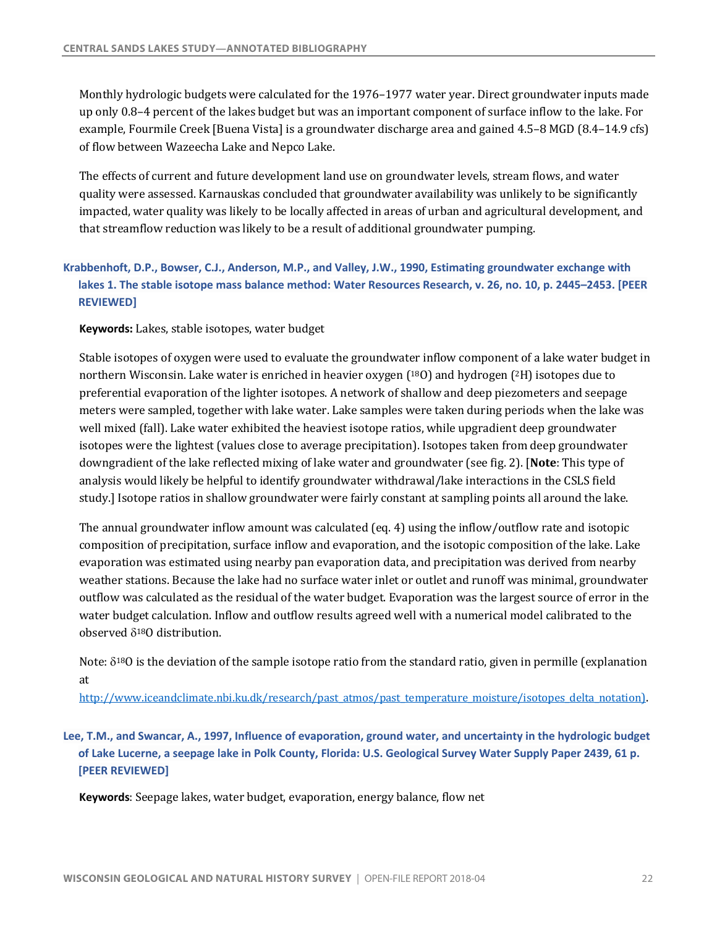Monthly hydrologic budgets were calculated for the 1976–1977 water year. Direct groundwater inputs made up only 0.8–4 percent of the lakes budget but was an important component of surface inflow to the lake. For example, Fourmile Creek [Buena Vista] is a groundwater discharge area and gained 4.5–8 MGD (8.4–14.9 cfs) of flow between Wazeecha Lake and Nepco Lake.

The effects of current and future development land use on groundwater levels, stream flows, and water impacted, water quality was likely to be locally affected in areas of urban and agricultural development, and that streamflow reduction was likely to be a result of additional groundwater pumping. quality were assessed. Karnauskas concluded that groundwater availability was unlikely to be significantly

# **Krabbenhoft, D.P., Bowser, C.J., Anderson, M.P., and Valley, J.W., 1990, Estimating groundwater exchange with lakes 1. The stable isotope mass balance method: Water Resources Research, v. 26, no. 10, p. 2445–2453. [PEER REVIEWED]**

**Keywords:** Lakes, stable isotopes, water budget

Stable isotopes of oxygen were used to evaluate the groundwater inflow component of a lake water budget in northern Wisconsin. Lake water is enriched in heavier oxygen (<sup>18</sup>O) and hydrogen (<sup>2</sup>H) isotopes due to preferential evaporation of the lighter isotopes. A network of shallow and deep piezometers and seepage meters were sampled, together with lake water. Lake samples were taken during periods when the lake was well mixed (fall). Lake water exhibited the heaviest isotope ratios, while upgradient deep groundwater isotopes were the lightest (values close to average precipitation). Isotopes taken from deep groundwater downgradient of the lake reflected mixing of lake water and groundwater (see fig. 2). [Note: This type of analysis would likely be helpful to identify groundwater withdrawal/lake interactions in the CSLS field study.] Isotope ratios in shallow groundwater were fairly constant at sampling points all around the lake.

The annual groundwater inflow amount was calculated (eq. 4) using the inflow/outflow rate and isotopic composition of precipitation, surface inflow and evaporation, and the isotopic composition of the lake. Lake evaporation was estimated using nearby pan evaporation data, and precipitation was derived from nearby weather stations. Because the lake had no surface water inlet or outlet and runoff was minimal, groundwater outflow was calculated as the residual of the water budget. Evaporation was the largest source of error in the water budget calculation. Inflow and outflow results agreed well with a numerical model calibrated to the observed  $\delta^{18}$ O distribution.

Note:  $\delta^{18}$ O is the deviation of the sample isotope ratio from the standard ratio, given in permille (explanation at

[http://www.iceandclimate.nbi.ku.dk/research/past\\_atmos/past\\_temperature\\_moisture/isotopes\\_delta\\_notation\)](http://www.iceandclimate.nbi.ku.dk/research/past_atmos/past_temperature_moisture/isotopes_delta_notation).

 **Lee, T.M., and Swancar, A., 1997, Influence of evaporation, ground water, and uncertainty in the hydrologic budget of Lake Lucerne, a seepage lake in Polk County, Florida: U.S. Geological Survey Water Supply Paper 2439, 61 p. [PEER REVIEWED]** 

 **Keywords**: Seepage lakes, water budget, evaporation, energy balance, flow net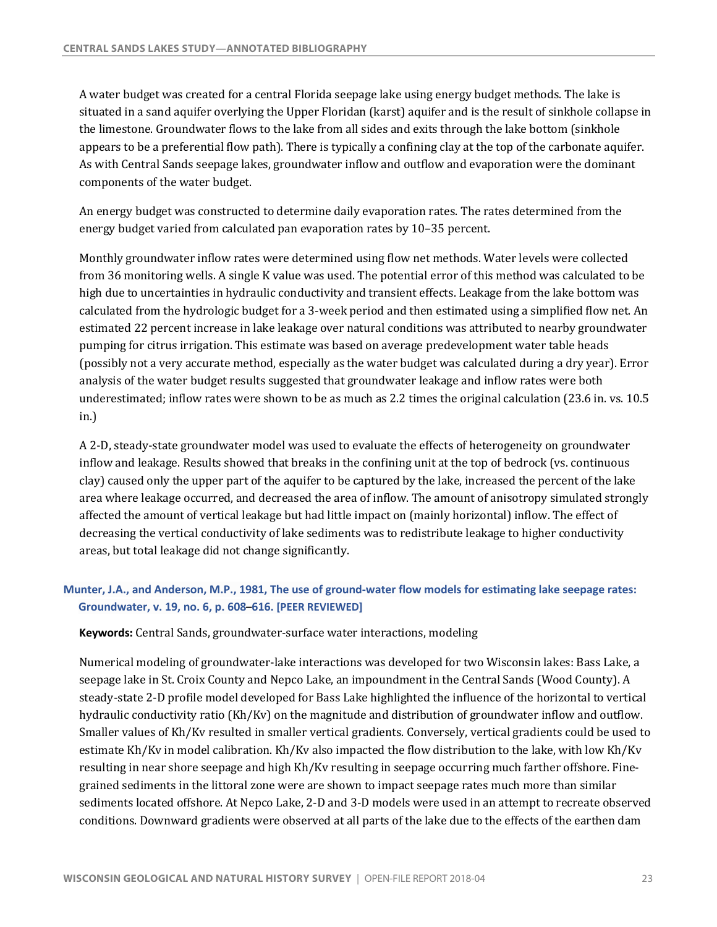A water budget was created for a central Florida seepage lake using energy budget methods. The lake is situated in a sand aquifer overlying the Upper Floridan (karst) aquifer and is the result of sinkhole collapse in the limestone. Groundwater flows to the lake from all sides and exits through the lake bottom (sinkhole appears to be a preferential flow path). There is typically a confining clay at the top of the carbonate aquifer. As with Central Sands seepage lakes, groundwater inflow and outflow and evaporation were the dominant components of the water budget.

An energy budget was constructed to determine daily evaporation rates. The rates determined from the energy budget varied from calculated pan evaporation rates by 10-35 percent.

Monthly groundwater inflow rates were determined using flow net methods. Water levels were collected from 36 monitoring wells. A single K value was used. The potential error of this method was calculated to be high due to uncertainties in hydraulic conductivity and transient effects. Leakage from the lake bottom was calculated from the hydrologic budget for a 3-week period and then estimated using a simplified flow net. An estimated 22 percent increase in lake leakage over natural conditions was attributed to nearby groundwater (possibly not a very accurate method, especially as the water budget was calculated during a dry year). Error analysis of the water budget results suggested that groundwater leakage and inflow rates were both underestimated; inflow rates were shown to be as much as  $2.2$  times the original calculation  $(23.6$  in. vs.  $10.5$ pumping for citrus irrigation. This estimate was based on average predevelopment water table heads in.)

A 2-D, steady-state groundwater model was used to evaluate the effects of heterogeneity on groundwater inflow and leakage. Results showed that breaks in the confining unit at the top of bedrock (vs. continuous clay) caused only the upper part of the aquifer to be captured by the lake, increased the percent of the lake area where leakage occurred, and decreased the area of inflow. The amount of anisotropy simulated strongly affected the amount of vertical leakage but had little impact on (mainly horizontal) inflow. The effect of decreasing the vertical conductivity of lake sediments was to redistribute leakage to higher conductivity areas, but total leakage did not change significantly.

# **Munter, J.A., and Anderson, M.P., 1981, The use of ground-water flow models for estimating lake seepage rates: Groundwater, v. 19, no. 6, p. 608–616. [PEER REVIEWED]**

**Keywords:** Central Sands, groundwater-surface water interactions, modeling

Numerical modeling of groundwater-lake interactions was developed for two Wisconsin lakes: Bass Lake, a seepage lake in St. Croix County and Nepco Lake, an impoundment in the Central Sands (Wood County). A steady-state 2-D profile model developed for Bass Lake highlighted the influence of the horizontal to vertical hydraulic conductivity ratio (Kh/Kv) on the magnitude and distribution of groundwater inflow and outflow. Smaller values of Kh/Kv resulted in smaller vertical gradients. Conversely, vertical gradients could be used to estimate Kh/Kv in model calibration. Kh/Kv also impacted the flow distribution to the lake, with low Kh/Kv resulting in near shore seepage and high Kh/Kv resulting in seepage occurring much farther offshore. Finegrained sediments in the littoral zone were are shown to impact seepage rates much more than similar sediments located offshore. At Nepco Lake, 2-D and 3-D models were used in an attempt to recreate observed conditions. Downward gradients were observed at all parts of the lake due to the effects of the earthen dam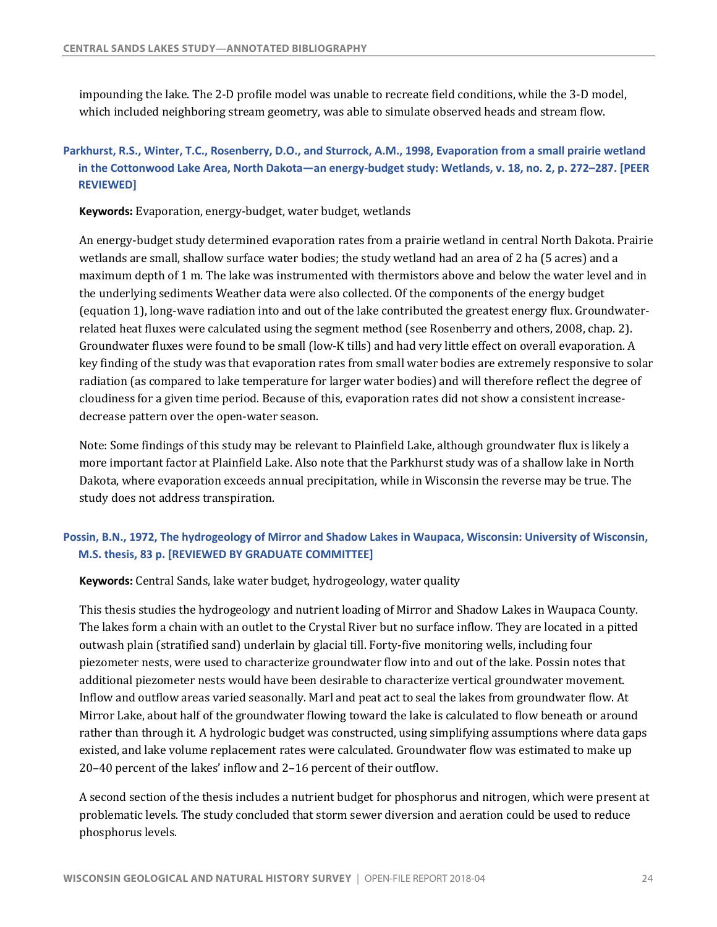impounding the lake. The 2-D profile model was unable to recreate field conditions, while the 3-D model, which included neighboring stream geometry, was able to simulate observed heads and stream flow.

# **Parkhurst, R.S., Winter, T.C., Rosenberry, D.O., and Sturrock, A.M., 1998, Evaporation from a small prairie wetland in the Cottonwood Lake Area, North Dakota—an energy-budget study: Wetlands, v. 18, no. 2, p. 272–287. [PEER REVIEWED]**

**Keywords:** Evaporation, energy-budget, water budget, wetlands

An energy-budget study determined evaporation rates from a prairie wetland in central North Dakota. Prairie wetlands are small, shallow surface water bodies; the study wetland had an area of 2 ha (5 acres) and a maximum depth of 1 m. The lake was instrumented with thermistors above and below the water level and in the underlying sediments Weather data were also collected. Of the components of the energy budget (equation 1), long-wave radiation into and out of the lake contributed the greatest energy flux. Groundwaterrelated heat fluxes were calculated using the segment method (see Rosenberry and others, 2008, chap. 2). Groundwater fluxes were found to be small (low-K tills) and had very little effect on overall evaporation. A key finding of the study was that evaporation rates from small water bodies are extremely responsive to solar radiation (as compared to lake temperature for larger water bodies) and will therefore reflect the degree of cloudiness for a given time period. Because of this, evaporation rates did not show a consistent increasedecrease pattern over the open-water season.

 Note: Some findings of this study may be relevant to Plainfield Lake, although groundwater flux is likely a more important factor at Plainfield Lake. Also note that the Parkhurst study was of a shallow lake in North Dakota, where evaporation exceeds annual precipitation, while in Wisconsin the reverse may be true. The study does not address transpiration.

# **Possin, B.N., 1972, The hydrogeology of Mirror and Shadow Lakes in Waupaca, Wisconsin: University of Wisconsin, M.S. thesis, 83 p. [REVIEWED BY GRADUATE COMMITTEE]**

 **Keywords:** Central Sands, lake water budget, hydrogeology, water quality

This thesis studies the hydrogeology and nutrient loading of Mirror and Shadow Lakes in Waupaca County. The lakes form a chain with an outlet to the Crystal River but no surface inflow. They are located in a pitted outwash plain (stratified sand) underlain by glacial till. Forty-five monitoring wells, including four piezometer nests, were used to characterize groundwater flow into and out of the lake. Possin notes that additional piezometer nests would have been desirable to characterize vertical groundwater movement. Inflow and outflow areas varied seasonally. Marl and peat act to seal the lakes from groundwater flow. At Mirror Lake, about half of the groundwater flowing toward the lake is calculated to flow beneath or around rather than through it. A hydrologic budget was constructed, using simplifying assumptions where data gaps existed, and lake volume replacement rates were calculated. Groundwater flow was estimated to make up 20-40 percent of the lakes' inflow and 2-16 percent of their outflow.

A second section of the thesis includes a nutrient budget for phosphorus and nitrogen, which were present at problematic levels. The study concluded that storm sewer diversion and aeration could be used to reduce phosphorus levels.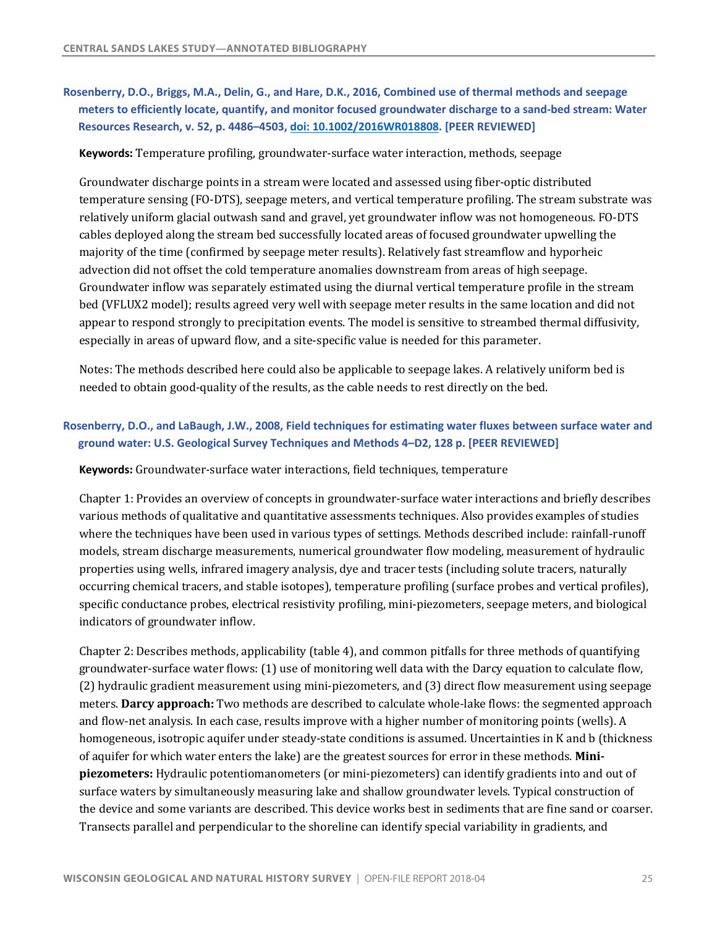# <span id="page-26-0"></span> **Rosenberry, D.O., Briggs, M.A., Delin, G., and Hare, D.K., 2016, Combined use of thermal methods and seepage meters to efficiently locate, quantify, and monitor focused groundwater discharge to a sand-bed stream: Water Resources Research, v. 52, p. 4486–4503, doi: 10.1002/2016WR018808. [PEER REVIEWED]**

#### **Keywords:** Temperature profiling, groundwater-surface water interaction, methods, seepage

 Groundwater discharge points in a stream were located and assessed using fiber-optic distributed temperature sensing (FO-DTS), seepage meters, and vertical temperature profiling. The stream substrate was relatively uniform glacial outwash sand and gravel, yet groundwater inflow was not homogeneous. FO-DTS cables deployed along the stream bed successfully located areas of focused groundwater upwelling the majority of the time (confirmed by seepage meter results). Relatively fast streamflow and hyporheic advection did not offset the cold temperature anomalies downstream from areas of high seepage. Groundwater inflow was separately estimated using the diurnal vertical temperature profile in the stream bed (VFLUX2 model); results agreed very well with seepage meter results in the same location and did not appear to respond strongly to precipitation events. The model is sensitive to streambed thermal diffusivity, especially in areas of upward flow, and a site-specific value is needed for this parameter.

Notes: The methods described here could also be applicable to seepage lakes. A relatively uniform bed is needed to obtain good-quality of the results, as the cable needs to rest directly on the bed.

### **Rosenberry, D.O., and LaBaugh, J.W., 2008, Field techniques for estimating water fluxes between surface water and ground water: U.S. Geological Survey Techniques and Methods 4–D2, 128 p. [PEER REVIEWED]**

**Keywords**: Groundwater-surface water interactions, field techniques, temperature

Chapter 1: Provides an overview of concepts in groundwater-surface water interactions and briefly describes where the techniques have been used in various types of settings. Methods described include: rainfall-runoff models, stream discharge measurements, numerical groundwater flow modeling, measurement of hydraulic properties using wells, infrared imagery analysis, dye and tracer tests (including solute tracers, naturally occurring chemical tracers, and stable isotopes), temperature profiling (surface probes and vertical profiles), specific conductance probes, electrical resistivity profiling, mini-piezometers, seepage meters, and biological various methods of qualitative and quantitative assessments techniques. Also provides examples of studies indicators of groundwater inflow.

Chapter 2: Describes methods, applicability (table 4), and common pitfalls for three methods of quantifying groundwater-surface water flows: (1) use of monitoring well data with the Darcy equation to calculate flow, (2) hydraulic gradient measurement using mini-piezometers, and (3) direct flow measurement using seepage meters. **Darcy approach:** Two methods are described to calculate whole-lake flows: the segmented approach and flow-net analysis. In each case, results improve with a higher number of monitoring points (wells). A homogeneous, isotropic aquifer under steady-state conditions is assumed. Uncertainties in K and b (thickness of aquifer for which water enters the lake) are the greatest sources for error in these methods. Mini**piezometers:** Hydraulic potentiomanometers (or mini-piezometers) can identify gradients into and out of surface waters by simultaneously measuring lake and shallow groundwater levels. Typical construction of the device and some variants are described. This device works best in sediments that are fine sand or coarser. Transects parallel and perpendicular to the shoreline can identify special variability in gradients, and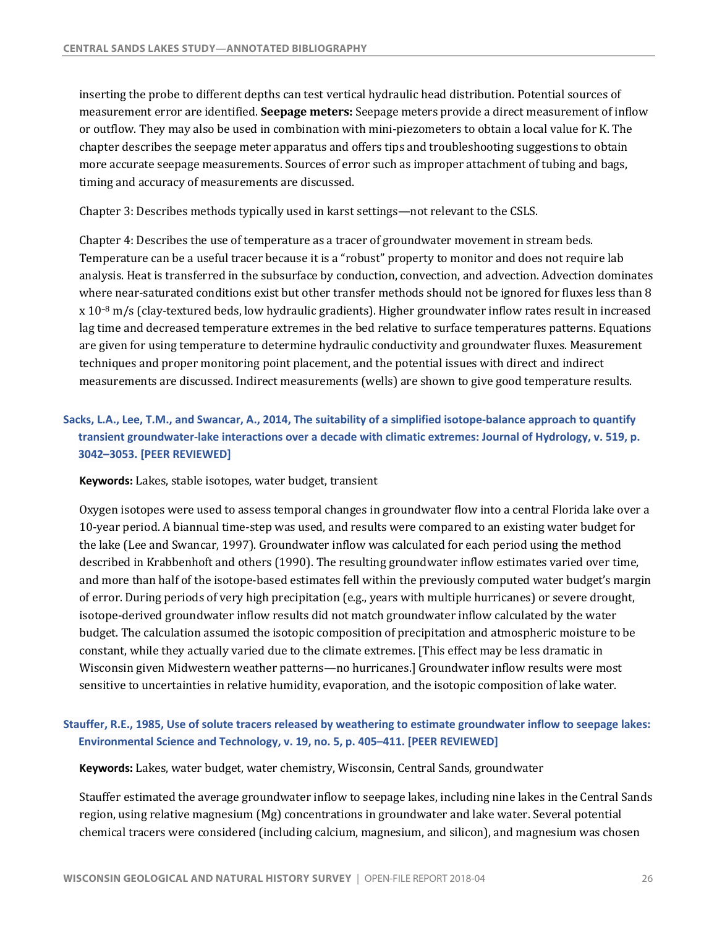inserting the probe to different depths can test vertical hydraulic head distribution. Potential sources of  measurement error are identified. **Seepage meters:** Seepage meters provide a direct measurement of inflow or outflow. They may also be used in combination with mini-piezometers to obtain a local value for K. The chapter describes the seepage meter apparatus and offers tips and troubleshooting suggestions to obtain more accurate seepage measurements. Sources of error such as improper attachment of tubing and bags, timing and accuracy of measurements are discussed.

Chapter 3: Describes methods typically used in karst settings—not relevant to the CSLS.

Chapter 4: Describes the use of temperature as a tracer of groundwater movement in stream beds. Temperature can be a useful tracer because it is a "robust" property to monitor and does not require lab analysis. Heat is transferred in the subsurface by conduction, convection, and advection. Advection dominates where near-saturated conditions exist but other transfer methods should not be ignored for fluxes less than 8 x 10<sup>-8</sup> m/s (clay-textured beds, low hydraulic gradients). Higher groundwater inflow rates result in increased are given for using temperature to determine hydraulic conductivity and groundwater fluxes. Measurement techniques and proper monitoring point placement, and the potential issues with direct and indirect measurements are discussed. Indirect measurements (wells) are shown to give good temperature results. lag time and decreased temperature extremes in the bed relative to surface temperatures patterns. Equations

# **Sacks, L.A., Lee, T.M., and Swancar, A., 2014, The suitability of a simplified isotope-balance approach to quantify transient groundwater-lake interactions over a decade with climatic extremes: Journal of Hydrology, v. 519, p. 3042–3053. [PEER REVIEWED]**

**Keywords:** Lakes, stable isotopes, water budget, transient

Oxygen isotopes were used to assess temporal changes in groundwater flow into a central Florida lake over a 10-year period. A biannual time-step was used, and results were compared to an existing water budget for the lake (Lee and Swancar, 1997). Groundwater inflow was calculated for each period using the method described in Krabbenhoft and others (1990). The resulting groundwater inflow estimates varied over time, and more than half of the isotope-based estimates fell within the previously computed water budget's margin of error. During periods of very high precipitation (e.g., years with multiple hurricanes) or severe drought, isotope-derived groundwater inflow results did not match groundwater inflow calculated by the water budget. The calculation assumed the isotopic composition of precipitation and atmospheric moisture to be constant, while they actually varied due to the climate extremes. [This effect may be less dramatic in Wisconsin given Midwestern weather patterns—no hurricanes.] Groundwater inflow results were most sensitive to uncertainties in relative humidity, evaporation, and the isotopic composition of lake water.

# **Stauffer, R.E., 1985, Use of solute tracers released by weathering to estimate groundwater inflow to seepage lakes: Environmental Science and Technology, v. 19, no. 5, p. 405–411. [PEER REVIEWED]**

**Keywords:** Lakes, water budget, water chemistry, Wisconsin, Central Sands, groundwater

Stauffer estimated the average groundwater inflow to seepage lakes, including nine lakes in the Central Sands region, using relative magnesium (Mg) concentrations in groundwater and lake water. Several potential chemical tracers were considered (including calcium, magnesium, and silicon), and magnesium was chosen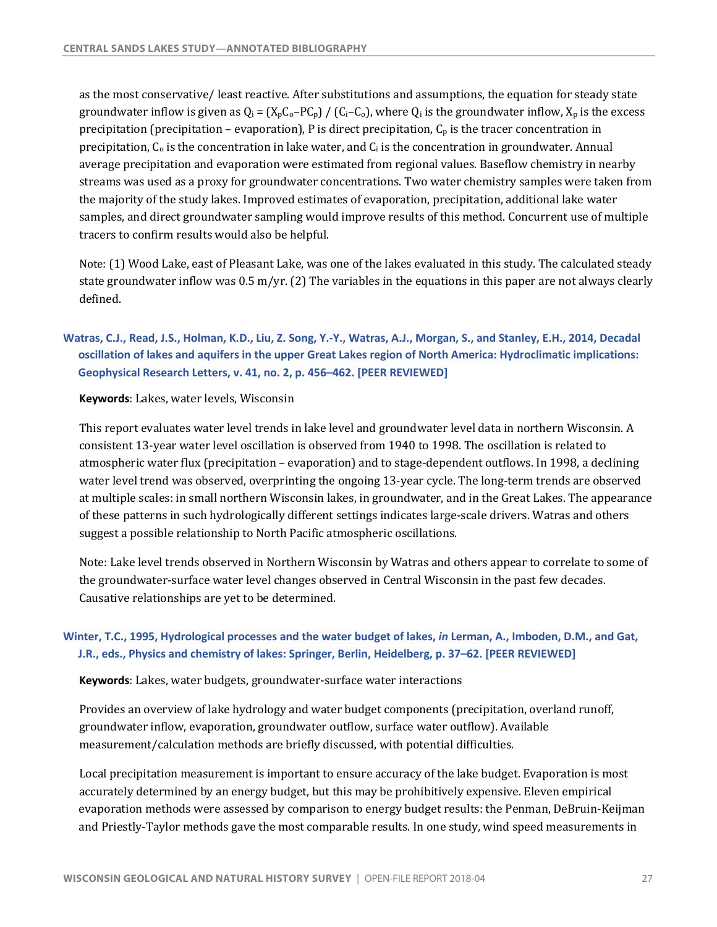<span id="page-28-0"></span>as the most conservative/ least reactive. After substitutions and assumptions, the equation for steady state groundwater inflow is given as  $Q_i = (X_p C_o - PC_p) / (C_i - C_o)$ , where  $Q_i$  is the groundwater inflow,  $X_p$  is the excess precipitation (precipitation – evaporation), P is direct precipitation,  $C_p$  is the tracer concentration in precipitation,  $C_0$  is the concentration in lake water, and  $C_i$  is the concentration in groundwater. Annual average precipitation and evaporation were estimated from regional values. Baseflow chemistry in nearby streams was used as a proxy for groundwater concentrations. Two water chemistry samples were taken from the majority of the study lakes. Improved estimates of evaporation, precipitation, additional lake water samples, and direct groundwater sampling would improve results of this method. Concurrent use of multiple tracers to confirm results would also be helpful.

Note: (1) Wood Lake, east of Pleasant Lake, was one of the lakes evaluated in this study. The calculated steady state groundwater inflow was  $0.5$  m/yr. (2) The variables in the equations in this paper are not always clearly defined.

# **Watras, C.J., Read, J.S., Holman, K.D., Liu, Z. Song, Y.-Y., Watras, A.J., Morgan, S., and Stanley, E.H., 2014, Decadal oscillation of lakes and aquifers in the upper Great Lakes region of North America: Hydroclimatic implications: Geophysical Research Letters, v. 41, no. 2, p. 456–462. [PEER REVIEWED]**

**Keywords:** Lakes, water levels, Wisconsin

This report evaluates water level trends in lake level and groundwater level data in northern Wisconsin. A atmospheric water flux (precipitation – evaporation) and to stage-dependent outflows. In 1998, a declining water level trend was observed, overprinting the ongoing 13-year cycle. The long-term trends are observed at multiple scales: in small northern Wisconsin lakes, in groundwater, and in the Great Lakes. The appearance of these patterns in such hydrologically different settings indicates large-scale drivers. Watras and others suggest a possible relationship to North Pacific atmospheric oscillations. consistent 13-year water level oscillation is observed from 1940 to 1998. The oscillation is related to

 Note: Lake level trends observed in Northern Wisconsin by Watras and others appear to correlate to some of the groundwater-surface water level changes observed in Central Wisconsin in the past few decades. Causative relationships are yet to be determined.

# **Winter, T.C., 1995, Hydrological processes and the water budget of lakes,** *in* **Lerman, A., Imboden, D.M., and Gat, J.R., eds., Physics and chemistry of lakes: Springer, Berlin, Heidelberg, p. 37–62. [PEER REVIEWED]**

**Keywords**: Lakes, water budgets, groundwater-surface water interactions

Provides an overview of lake hydrology and water budget components (precipitation, overland runoff, measurement/calculation methods are briefly discussed, with potential difficulties. groundwater inflow, evaporation, groundwater outflow, surface water outflow). Available

Local precipitation measurement is important to ensure accuracy of the lake budget. Evaporation is most accurately determined by an energy budget, but this may be prohibitively expensive. Eleven empirical evaporation methods were assessed by comparison to energy budget results: the Penman, DeBruin-Keijman and Priestly-Taylor methods gave the most comparable results. In one study, wind speed measurements in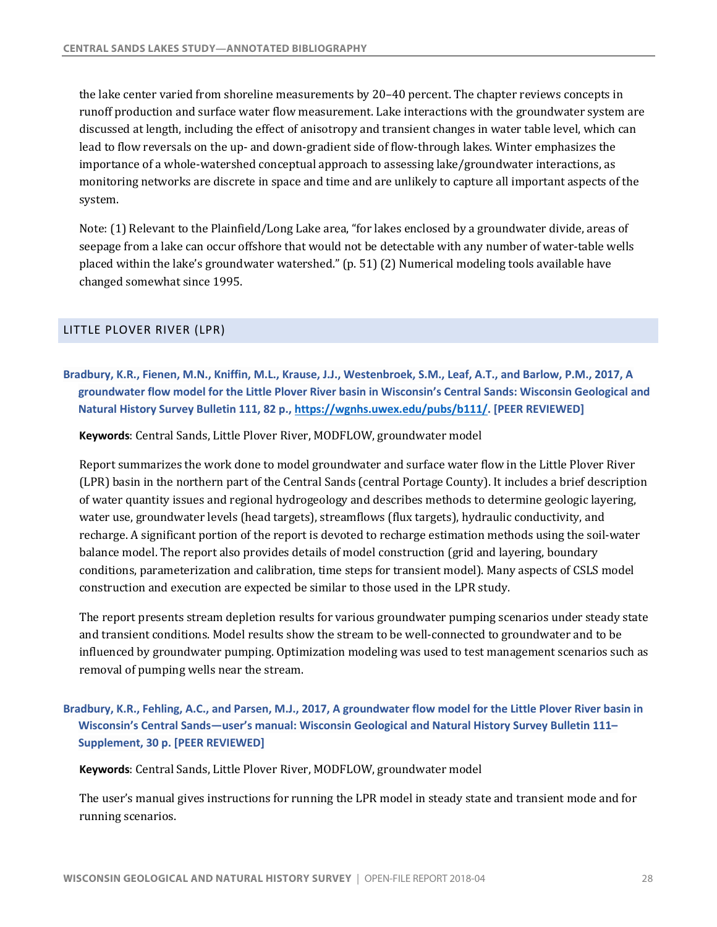<span id="page-29-0"></span>the lake center varied from shoreline measurements by 20–40 percent. The chapter reviews concepts in discussed at length, including the effect of anisotropy and transient changes in water table level, which can lead to flow reversals on the up- and down-gradient side of flow-through lakes. Winter emphasizes the importance of a whole-watershed conceptual approach to assessing lake/groundwater interactions, as monitoring networks are discrete in space and time and are unlikely to capture all important aspects of the runoff production and surface water flow measurement. Lake interactions with the groundwater system are system.

Note: (1) Relevant to the Plainfield/Long Lake area, "for lakes enclosed by a groundwater divide, areas of seepage from a lake can occur offshore that would not be detectable with any number of water-table wells placed within the lake's groundwater watershed."  $(p. 51)$  (2) Numerical modeling tools available have changed somewhat since 1995.

### LITTLE PLOVER RIVER (LPR)

**Bradbury, K.R., Fienen, M.N., Kniffin, M.L., Krause, J.J., Westenbroek, S.M., Leaf, A.T., and Barlow, P.M., 2017, A groundwater flow model for the Little Plover River basin in Wisconsin's Central Sands: Wisconsin Geological and Natural History Survey Bulletin 111, 82 p., <https://wgnhs.uwex.edu/pubs/b111>/. [PEER REVIEWED]** 

 **Keywords**: Central Sands, Little Plover River, MODFLOW, groundwater model

Report summarizes the work done to model groundwater and surface water flow in the Little Plover River (LPR) basin in the northern part of the Central Sands (central Portage County). It includes a brief description of water quantity issues and regional hydrogeology and describes methods to determine geologic layering, water use, groundwater levels (head targets), streamflows (flux targets), hydraulic conductivity, and recharge. A significant portion of the report is devoted to recharge estimation methods using the soil-water balance model. The report also provides details of model construction (grid and layering, boundary conditions, parameterization and calibration, time steps for transient model). Many aspects of CSLS model construction and execution are expected be similar to those used in the LPR study.

The report presents stream depletion results for various groundwater pumping scenarios under steady state and transient conditions. Model results show the stream to be well-connected to groundwater and to be influenced by groundwater pumping. Optimization modeling was used to test management scenarios such as removal of pumping wells near the stream.

# **Bradbury, K.R., Fehling, A.C., and Parsen, M.J., 2017, A groundwater flow model for the Little Plover River basin in Wisconsin's Central Sands—user's manual: Wisconsin Geological and Natural History Survey Bulletin 111– Supplement, 30 p. [PEER REVIEWED]**

 **Keywords**: Central Sands, Little Plover River, MODFLOW, groundwater model

The user's manual gives instructions for running the LPR model in steady state and transient mode and for running scenarios.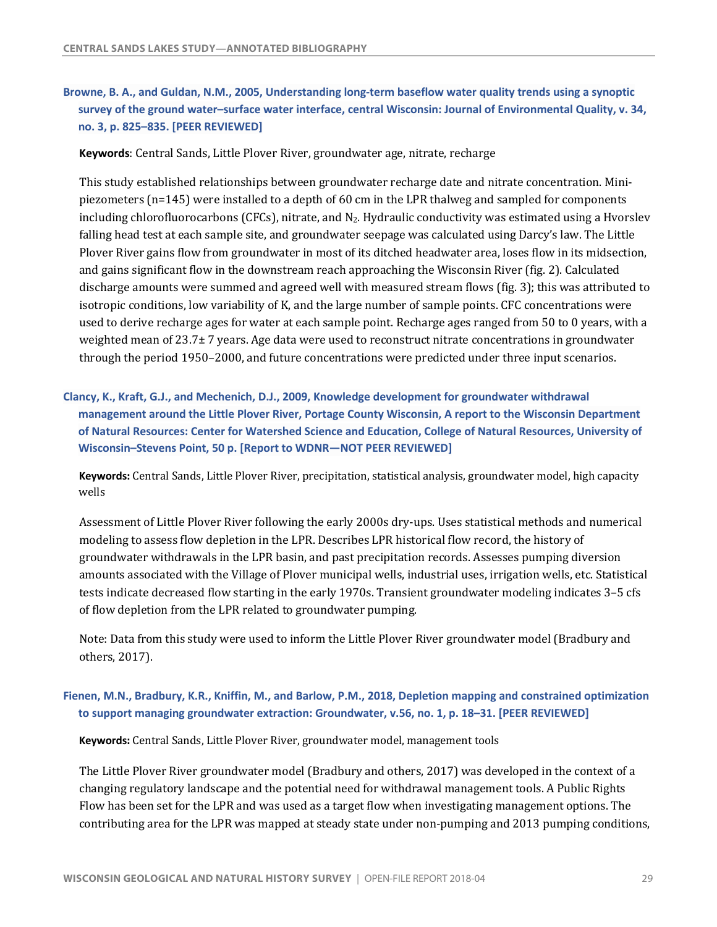# **Browne, B. A., and Guldan, N.M., 2005, Understanding long-term baseflow water quality trends using a synoptic survey of the ground water–surface water interface, central Wisconsin: Journal of Environmental Quality, v. 34, no. 3, p. 825–835. [PEER REVIEWED]**

**Keywords**: Central Sands, Little Plover River, groundwater age, nitrate, recharge

This study established relationships between groundwater recharge date and nitrate concentration. Minipiezometers (n=145) were installed to a depth of 60 cm in the LPR thalweg and sampled for components falling head test at each sample site, and groundwater seepage was calculated using Darcy's law. The Little Plover River gains flow from groundwater in most of its ditched headwater area, loses flow in its midsection, and gains significant flow in the downstream reach approaching the Wisconsin River (fig. 2). Calculated discharge amounts were summed and agreed well with measured stream flows (fig. 3); this was attributed to isotropic conditions, low variability of K, and the large number of sample points. CFC concentrations were used to derive recharge ages for water at each sample point. Recharge ages ranged from 50 to 0 years, with a weighted mean of 23.7± 7 years. Age data were used to reconstruct nitrate concentrations in groundwater through the period 1950–2000, and future concentrations were predicted under three input scenarios. including chlorofluorocarbons (CFCs), nitrate, and  $N_2$ . Hydraulic conductivity was estimated using a Hvorslev

# **Clancy, K., Kraft, G.J., and Mechenich, D.J., 2009, Knowledge development for groundwater withdrawal management around the Little Plover River, Portage County Wisconsin, A report to the Wisconsin Department of Natural Resources: Center for Watershed Science and Education, College of Natural Resources, University of Wisconsin–Stevens Point, 50 p. [Report to WDNR—NOT PEER REVIEWED]**

 **Keywords:** Central Sands, Little Plover River, precipitation, statistical analysis, groundwater model, high capacity wells

Assessment of Little Plover River following the early 2000s dry-ups. Uses statistical methods and numerical modeling to assess flow depletion in the LPR. Describes LPR historical flow record, the history of groundwater withdrawals in the LPR basin, and past precipitation records. Assesses pumping diversion amounts associated with the Village of Plover municipal wells, industrial uses, irrigation wells, etc. Statistical tests indicate decreased flow starting in the early 1970s. Transient groundwater modeling indicates 3-5 cfs of flow depletion from the LPR related to groundwater pumping.

Note: Data from this study were used to inform the Little Plover River groundwater model (Bradbury and others, 2017).

# **Fienen, M.N., Bradbury, K.R., Kniffin, M., and Barlow, P.M., 2018, Depletion mapping and constrained optimization to support managing groundwater extraction: Groundwater, v.56, no. 1, p. 18–31. [PEER REVIEWED]**

 **Keywords:** Central Sands, Little Plover River, groundwater model, management tools

The Little Plover River groundwater model (Bradbury and others, 2017) was developed in the context of a changing regulatory landscape and the potential need for withdrawal management tools. A Public Rights Flow has been set for the LPR and was used as a target flow when investigating management options. The contributing area for the LPR was mapped at steady state under non-pumping and 2013 pumping conditions,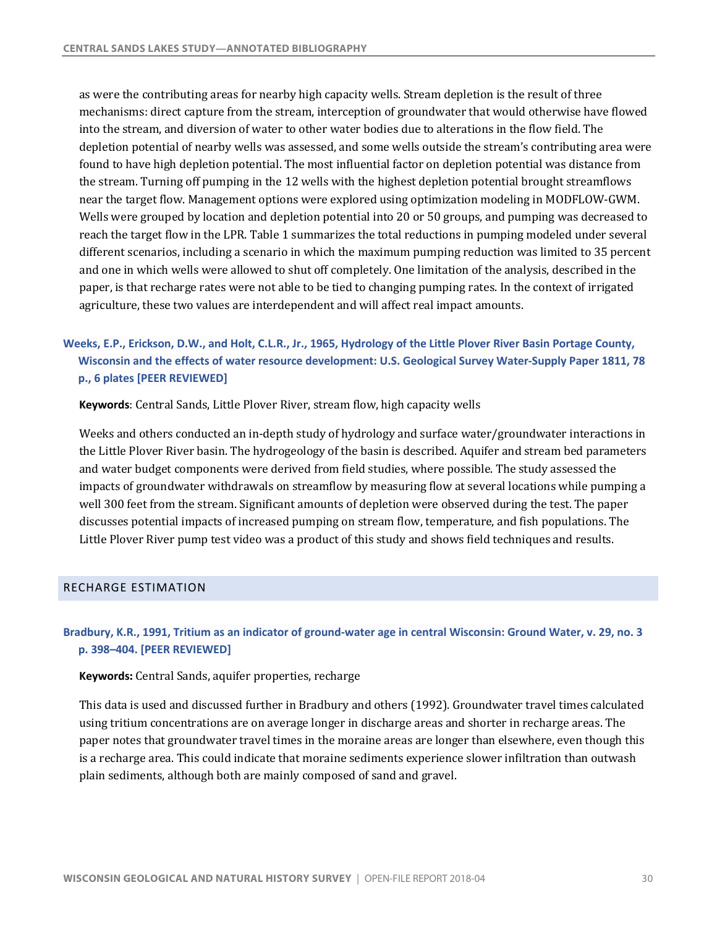<span id="page-31-0"></span>as were the contributing areas for nearby high capacity wells. Stream depletion is the result of three mechanisms: direct capture from the stream, interception of groundwater that would otherwise have flowed into the stream, and diversion of water to other water bodies due to alterations in the flow field. The depletion potential of nearby wells was assessed, and some wells outside the stream's contributing area were found to have high depletion potential. The most influential factor on depletion potential was distance from the stream. Turning off pumping in the 12 wells with the highest depletion potential brought streamflows near the target flow. Management options were explored using optimization modeling in MODFLOW-GWM. Wells were grouped by location and depletion potential into 20 or 50 groups, and pumping was decreased to reach the target flow in the LPR. Table 1 summarizes the total reductions in pumping modeled under several different scenarios, including a scenario in which the maximum pumping reduction was limited to 35 percent and one in which wells were allowed to shut off completely. One limitation of the analysis, described in the paper, is that recharge rates were not able to be tied to changing pumping rates. In the context of irrigated agriculture, these two values are interdependent and will affect real impact amounts.

# **Weeks, E.P., Erickson, D.W., and Holt, C.L.R., Jr., 1965, Hydrology of the Little Plover River Basin Portage County, Wisconsin and the effects of water resource development: U.S. Geological Survey Water-Supply Paper 1811, 78 p., 6 plates [PEER REVIEWED]**

**Keywords**: Central Sands, Little Plover River, stream flow, high capacity wells

Weeks and others conducted an in-depth study of hydrology and surface water/groundwater interactions in the Little Plover River basin. The hydrogeology of the basin is described. Aquifer and stream bed parameters and water budget components were derived from field studies, where possible. The study assessed the impacts of groundwater withdrawals on streamflow by measuring flow at several locations while pumping a well 300 feet from the stream. Significant amounts of depletion were observed during the test. The paper discusses potential impacts of increased pumping on stream flow, temperature, and fish populations. The Little Plover River pump test video was a product of this study and shows field techniques and results.

#### RECHARGE ESTIMATION

### **Bradbury, K.R., 1991, Tritium as an indicator of ground-water age in central Wisconsin: Ground Water, v. 29, no. 3 p. 398–404. [PEER REVIEWED]**

 **Keywords:** Central Sands, aquifer properties, recharge

This data is used and discussed further in Bradbury and others (1992). Groundwater travel times calculated paper notes that groundwater travel times in the moraine areas are longer than elsewhere, even though this is a recharge area. This could indicate that moraine sediments experience slower infiltration than outwash using tritium concentrations are on average longer in discharge areas and shorter in recharge areas. The plain sediments, although both are mainly composed of sand and gravel.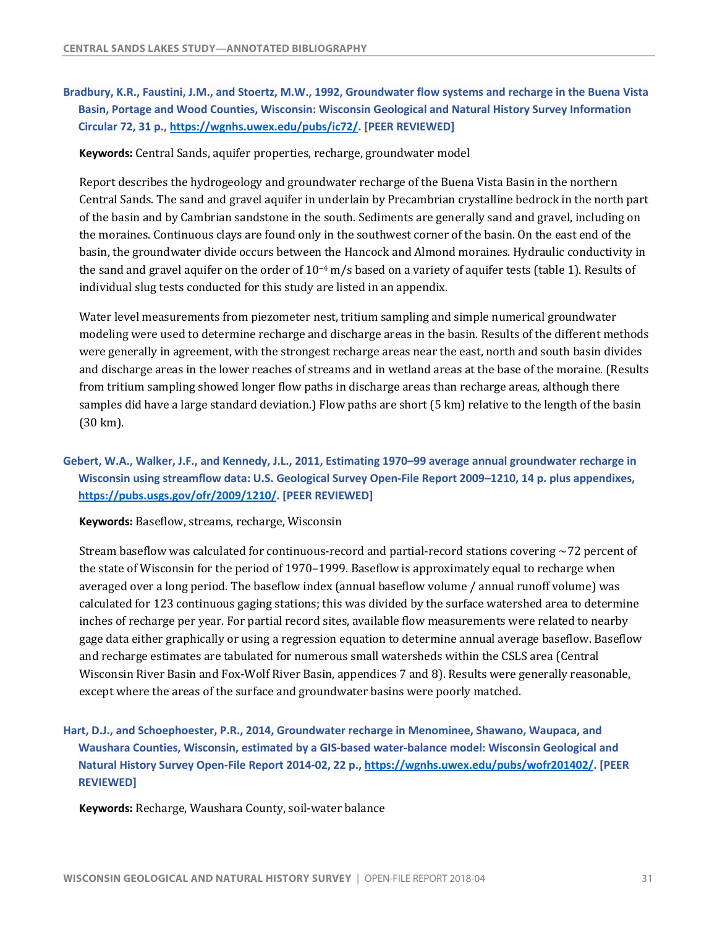**Bradbury, K.R., Faustini, J.M., and Stoertz, M.W., 1992, Groundwater flow systems and recharge in the Buena Vista Basin, Portage and Wood Counties, Wisconsin: Wisconsin Geological and Natural History Survey Information Circular 72, 31 p.,<https://wgnhs.uwex.edu/pubs/ic72>/. [PEER REVIEWED]** 

 **Keywords:** Central Sands, aquifer properties, recharge, groundwater model

Report describes the hydrogeology and groundwater recharge of the Buena Vista Basin in the northern Central Sands. The sand and gravel aquifer in underlain by Precambrian crystalline bedrock in the north part of the basin and by Cambrian sandstone in the south. Sediments are generally sand and gravel, including on the moraines. Continuous clays are found only in the southwest corner of the basin. On the east end of the basin, the groundwater divide occurs between the Hancock and Almond moraines. Hydraulic conductivity in the sand and gravel aquifer on the order of  $10^{-4}$  m/s based on a variety of aquifer tests (table 1). Results of individual slug tests conducted for this study are listed in an appendix.

Water level measurements from piezometer nest, tritium sampling and simple numerical groundwater modeling were used to determine recharge and discharge areas in the basin. Results of the different methods were generally in agreement, with the strongest recharge areas near the east, north and south basin divides and discharge areas in the lower reaches of streams and in wetland areas at the base of the moraine. (Results from tritium sampling showed longer flow paths in discharge areas than recharge areas, although there samples did have a large standard deviation.) Flow paths are short (5 km) relative to the length of the basin (30 km).

# **Gebert, W.A., Walker, J.F., and Kennedy, J.L., 2011, Estimating 1970–99 average annual groundwater recharge in Wisconsin using streamflow data: U.S. Geological Survey Open-File Report 2009–1210, 14 p. plus appendixes, [https://pubs.usgs.gov/ofr/2009/1210/](https://pubs.usgs.gov/ofr/2009/1210). [PEER REVIEWED]**

 **Keywords:** Baseflow, streams, recharge, Wisconsin

Stream baseflow was calculated for continuous-record and partial-record stations covering  $\sim$ 72 percent of the state of Wisconsin for the period of 1970–1999. Baseflow is approximately equal to recharge when calculated for 123 continuous gaging stations; this was divided by the surface watershed area to determine inches of recharge per year. For partial record sites, available flow measurements were related to nearby gage data either graphically or using a regression equation to determine annual average baseflow. Baseflow and recharge estimates are tabulated for numerous small watersheds within the CSLS area (Central Wisconsin River Basin and Fox-Wolf River Basin, appendices 7 and 8). Results were generally reasonable, averaged over a long period. The baseflow index (annual baseflow volume / annual runoff volume) was except where the areas of the surface and groundwater basins were poorly matched.

 **Hart, D.J., and Schoephoester, P.R., 2014, Groundwater recharge in Menominee, Shawano, Waupaca, and Waushara Counties, Wisconsin, estimated by a GIS-based water-balance model: Wisconsin Geological and Natural History Survey Open-File Report 2014-02, 22 p., [https://wgnhs.uwex.edu/pubs/wofr201402/](https://wgnhs.uwex.edu/pubs/wofr201402). [PEER REVIEWED]** 

 **Keywords:** Recharge, Waushara County, soil-water balance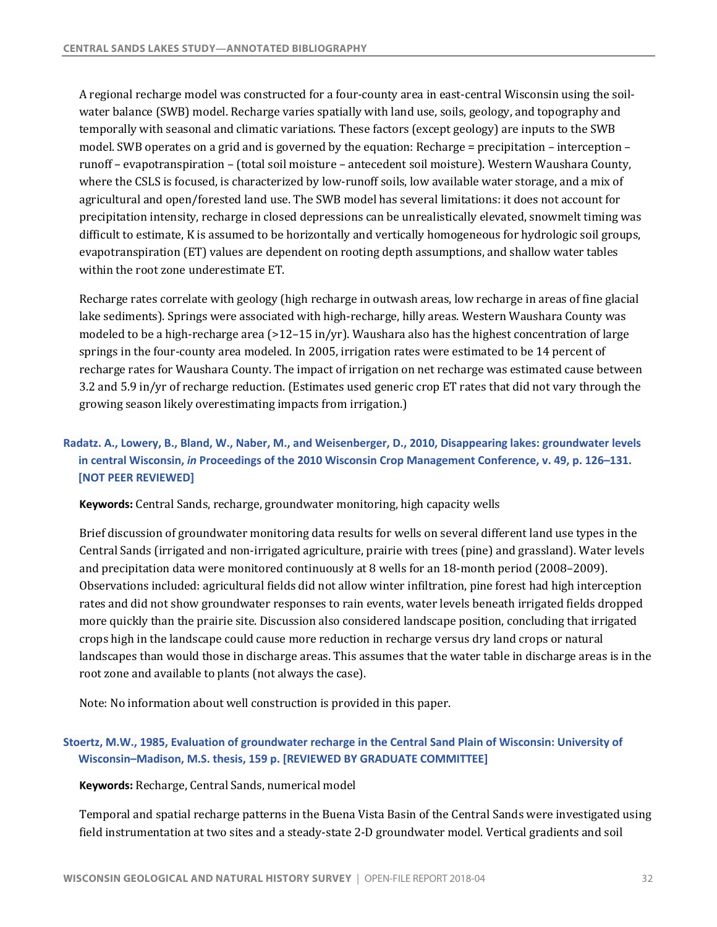A regional recharge model was constructed for a four-county area in east-central Wisconsin using the soilwater balance (SWB) model. Recharge varies spatially with land use, soils, geology, and topography and temporally with seasonal and climatic variations. These factors (except geology) are inputs to the SWB model. SWB operates on a grid and is governed by the equation: Recharge = precipitation – interception – runoff – evapotranspiration – (total soil moisture – antecedent soil moisture). Western Waushara County, where the CSLS is focused, is characterized by low-runoff soils, low available water storage, and a mix of agricultural and open/forested land use. The SWB model has several limitations: it does not account for precipitation intensity, recharge in closed depressions can be unrealistically elevated, snowmelt timing was difficult to estimate, K is assumed to be horizontally and vertically homogeneous for hydrologic soil groups, evapotranspiration (ET) values are dependent on rooting depth assumptions, and shallow water tables within the root zone underestimate ET.

Recharge rates correlate with geology (high recharge in outwash areas, low recharge in areas of fine glacial lake sediments). Springs were associated with high-recharge, hilly areas. Western Waushara County was modeled to be a high-recharge area  $(>12-15$  in/yr). Waushara also has the highest concentration of large springs in the four-county area modeled. In 2005, irrigation rates were estimated to be 14 percent of recharge rates for Waushara County. The impact of irrigation on net recharge was estimated cause between 3.2 and 5.9 in/yr of recharge reduction. (Estimates used generic crop ET rates that did not vary through the growing season likely overestimating impacts from irrigation.)

# **Radatz. A., Lowery, B., Bland, W., Naber, M., and Weisenberger, D., 2010, Disappearing lakes: groundwater levels in central Wisconsin,** *in* **Proceedings of the 2010 Wisconsin Crop Management Conference, v. 49, p. 126–131. [NOT PEER REVIEWED]**

**Keywords**: Central Sands, recharge, groundwater monitoring, high capacity wells

Brief discussion of groundwater monitoring data results for wells on several different land use types in the Central Sands (irrigated and non-irrigated agriculture, prairie with trees (pine) and grassland). Water levels and precipitation data were monitored continuously at 8 wells for an  $18$ -month period (2008–2009). Observations included: agricultural fields did not allow winter infiltration, pine forest had high interception rates and did not show groundwater responses to rain events, water levels beneath irrigated fields dropped more quickly than the prairie site. Discussion also considered landscape position, concluding that irrigated crops high in the landscape could cause more reduction in recharge versus dry land crops or natural root zone and available to plants (not always the case). landscapes than would those in discharge areas. This assumes that the water table in discharge areas is in the

 Note: No information about well construction is provided in this paper.

# **Stoertz, M.W., 1985, Evaluation of groundwater recharge in the Central Sand Plain of Wisconsin: University of Wisconsin–Madison, M.S. thesis, 159 p. [REVIEWED BY GRADUATE COMMITTEE]**

 **Keywords:** Recharge, Central Sands, numerical model

Temporal and spatial recharge patterns in the Buena Vista Basin of the Central Sands were investigated using field instrumentation at two sites and a steady-state 2-D groundwater model. Vertical gradients and soil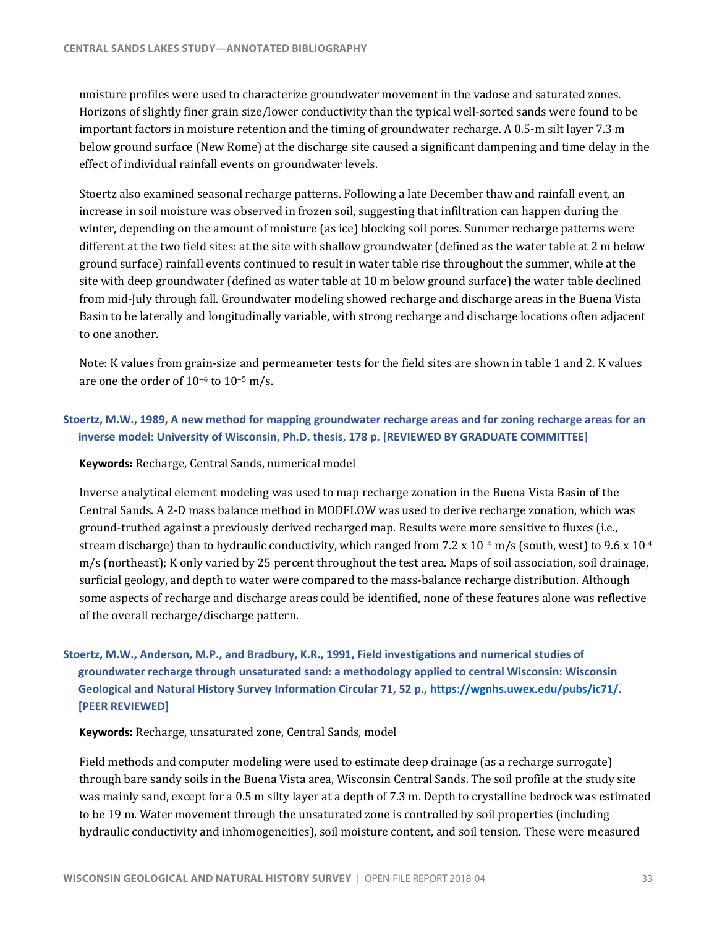moisture profiles were used to characterize groundwater movement in the vadose and saturated zones. Horizons of slightly finer grain size/lower conductivity than the typical well-sorted sands were found to be important factors in moisture retention and the timing of groundwater recharge. A 0.5-m silt layer 7.3 m below ground surface (New Rome) at the discharge site caused a significant dampening and time delay in the effect of individual rainfall events on groundwater levels.

Stoertz also examined seasonal recharge patterns. Following a late December thaw and rainfall event, an increase in soil moisture was observed in frozen soil, suggesting that infiltration can happen during the winter, depending on the amount of moisture (as ice) blocking soil pores. Summer recharge patterns were different at the two field sites: at the site with shallow groundwater (defined as the water table at 2 m below ground surface) rainfall events continued to result in water table rise throughout the summer, while at the site with deep groundwater (defined as water table at 10 m below ground surface) the water table declined from mid-July through fall. Groundwater modeling showed recharge and discharge areas in the Buena Vista to one another. Basin to be laterally and longitudinally variable, with strong recharge and discharge locations often adjacent

Note: K values from grain-size and permeameter tests for the field sites are shown in table 1 and 2. K values are one the order of  $10^{-4}$  to  $10^{-5}$  m/s.

# **Stoertz, M.W., 1989, A new method for mapping groundwater recharge areas and for zoning recharge areas for an inverse model: University of Wisconsin, Ph.D. thesis, 178 p. [REVIEWED BY GRADUATE COMMITTEE]**

 **Keywords:** Recharge, Central Sands, numerical model

Inverse analytical element modeling was used to map recharge zonation in the Buena Vista Basin of the Central Sands. A 2-D mass balance method in MODFLOW was used to derive recharge zonation, which was ground-truthed against a previously derived recharged map. Results were more sensitive to fluxes (i.e., stream discharge) than to hydraulic conductivity, which ranged from 7.2 x  $10^{-4}$  m/s (south, west) to 9.6 x  $10^{-4}$  m/s (northeast); K only varied by 25 percent throughout the test area. Maps of soil association, soil drainage, surficial geology, and depth to water were compared to the mass-balance recharge distribution. Although some aspects of recharge and discharge areas could be identified, none of these features alone was reflective of the overall recharge/discharge pattern.

# **Stoertz, M.W., Anderson, M.P., and Bradbury, K.R., 1991, Field investigations and numerical studies of groundwater recharge through unsaturated sand: a methodology applied to central Wisconsin: Wisconsin Geological and Natural History Survey Information Circular 71, 52 p., [https://wgnhs.uwex.edu/pubs/ic71/](https://wgnhs.uwex.edu/pubs/ic71). [PEER REVIEWED]**

 **Keywords:** Recharge, unsaturated zone, Central Sands, model

Field methods and computer modeling were used to estimate deep drainage (as a recharge surrogate) through bare sandy soils in the Buena Vista area, Wisconsin Central Sands. The soil profile at the study site was mainly sand, except for a 0.5 m silty layer at a depth of 7.3 m. Depth to crystalline bedrock was estimated to be 19 m. Water movement through the unsaturated zone is controlled by soil properties (including hydraulic conductivity and inhomogeneities), soil moisture content, and soil tension. These were measured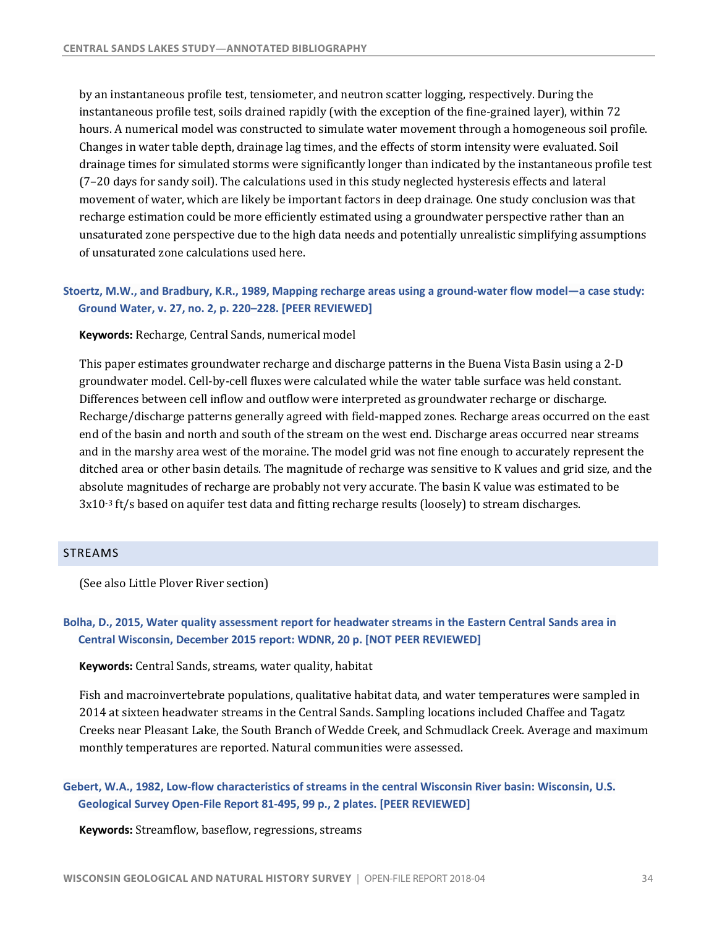<span id="page-35-0"></span>by an instantaneous profile test, tensiometer, and neutron scatter logging, respectively. During the instantaneous profile test, soils drained rapidly (with the exception of the fine-grained layer), within 72 hours. A numerical model was constructed to simulate water movement through a homogeneous soil profile. Changes in water table depth, drainage lag times, and the effects of storm intensity were evaluated. Soil drainage times for simulated storms were significantly longer than indicated by the instantaneous profile test (7-20 days for sandy soil). The calculations used in this study neglected hysteresis effects and lateral movement of water, which are likely be important factors in deep drainage. One study conclusion was that unsaturated zone perspective due to the high data needs and potentially unrealistic simplifying assumptions recharge estimation could be more efficiently estimated using a groundwater perspective rather than an of unsaturated zone calculations used here.

### **Stoertz, M.W., and Bradbury, K.R., 1989, Mapping recharge areas using a ground-water flow model—a case study: Ground Water, v. 27, no. 2, p. 220–228. [PEER REVIEWED]**

 **Keywords:** Recharge, Central Sands, numerical model

This paper estimates groundwater recharge and discharge patterns in the Buena Vista Basin using a 2-D groundwater model. Cell-by-cell fluxes were calculated while the water table surface was held constant. Differences between cell inflow and outflow were interpreted as groundwater recharge or discharge. Recharge/discharge patterns generally agreed with field-mapped zones. Recharge areas occurred on the east end of the basin and north and south of the stream on the west end. Discharge areas occurred near streams and in the marshy area west of the moraine. The model grid was not fine enough to accurately represent the ditched area or other basin details. The magnitude of recharge was sensitive to K values and grid size, and the absolute magnitudes of recharge are probably not very accurate. The basin K value was estimated to be  $3x10^{-3}$  ft/s based on aquifer test data and fitting recharge results (loosely) to stream discharges.

### STREAMS

(See also Little Plover River section)

### **Bolha, D., 2015, Water quality assessment report for headwater streams in the Eastern Central Sands area in Central Wisconsin, December 2015 report: WDNR, 20 p. [NOT PEER REVIEWED]**

 **Keywords:** Central Sands, streams, water quality, habitat

Fish and macroinvertebrate populations, qualitative habitat data, and water temperatures were sampled in 2014 at sixteen headwater streams in the Central Sands. Sampling locations included Chaffee and Tagatz Creeks near Pleasant Lake, the South Branch of Wedde Creek, and Schmudlack Creek. Average and maximum monthly temperatures are reported. Natural communities were assessed.

### **Gebert, W.A., 1982, Low-flow characteristics of streams in the central Wisconsin River basin: Wisconsin, U.S. Geological Survey Open-File Report 81-495, 99 p., 2 plates. [PEER REVIEWED]**

 **Keywords:** Streamflow, baseflow, regressions, streams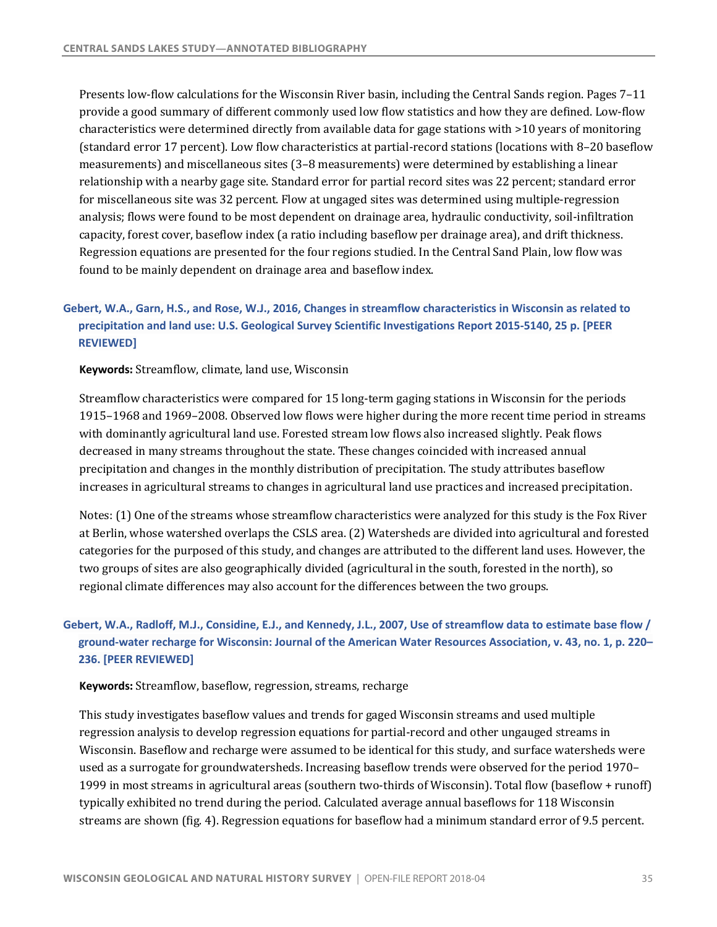Presents low-flow calculations for the Wisconsin River basin, including the Central Sands region. Pages 7-11 provide a good summary of different commonly used low flow statistics and how they are defined. Low-flow characteristics were determined directly from available data for gage stations with >10 years of monitoring (standard error 17 percent). Low flow characteristics at partial-record stations (locations with 8-20 baseflow measurements) and miscellaneous sites (3–8 measurements) were determined by establishing a linear relationship with a nearby gage site. Standard error for partial record sites was 22 percent; standard error for miscellaneous site was 32 percent. Flow at ungaged sites was determined using multiple-regression analysis; flows were found to be most dependent on drainage area, hydraulic conductivity, soil-infiltration capacity, forest cover, baseflow index (a ratio including baseflow per drainage area), and drift thickness. Regression equations are presented for the four regions studied. In the Central Sand Plain, low flow was found to be mainly dependent on drainage area and baseflow index.

# **Gebert, W.A., Garn, H.S., and Rose, W.J., 2016, Changes in streamflow characteristics in Wisconsin as related to precipitation and land use: U.S. Geological Survey Scientific Investigations Report 2015-5140, 25 p. [PEER REVIEWED]**

 **Keywords:** Streamflow, climate, land use, Wisconsin

Streamflow characteristics were compared for 15 long-term gaging stations in Wisconsin for the periods 1915–1968 and 1969–2008. Observed low flows were higher during the more recent time period in streams with dominantly agricultural land use. Forested stream low flows also increased slightly. Peak flows decreased in many streams throughout the state. These changes coincided with increased annual precipitation and changes in the monthly distribution of precipitation. The study attributes baseflow increases in agricultural streams to changes in agricultural land use practices and increased precipitation.

Notes: (1) One of the streams whose streamflow characteristics were analyzed for this study is the Fox River at Berlin, whose watershed overlaps the CSLS area. (2) Watersheds are divided into agricultural and forested categories for the purposed of this study, and changes are attributed to the different land uses. However, the two groups of sites are also geographically divided (agricultural in the south, forested in the north), so regional climate differences may also account for the differences between the two groups.

# **Gebert, W.A., Radloff, M.J., Considine, E.J., and Kennedy, J.L., 2007, Use of streamflow data to estimate base flow / ground-water recharge for Wisconsin: Journal of the American Water Resources Association, v. 43, no. 1, p. 220– 236. [PEER REVIEWED]**

#### **Keywords:** Streamflow, baseflow, regression, streams, recharge

This study investigates baseflow values and trends for gaged Wisconsin streams and used multiple regression analysis to develop regression equations for partial-record and other ungauged streams in Wisconsin. Baseflow and recharge were assumed to be identical for this study, and surface watersheds were used as a surrogate for groundwatersheds. Increasing baseflow trends were observed for the period 1970– 1999 in most streams in agricultural areas (southern two-thirds of Wisconsin). Total flow (baseflow + runoff) typically exhibited no trend during the period. Calculated average annual baseflows for 118 Wisconsin streams are shown (fig. 4). Regression equations for baseflow had a minimum standard error of 9.5 percent.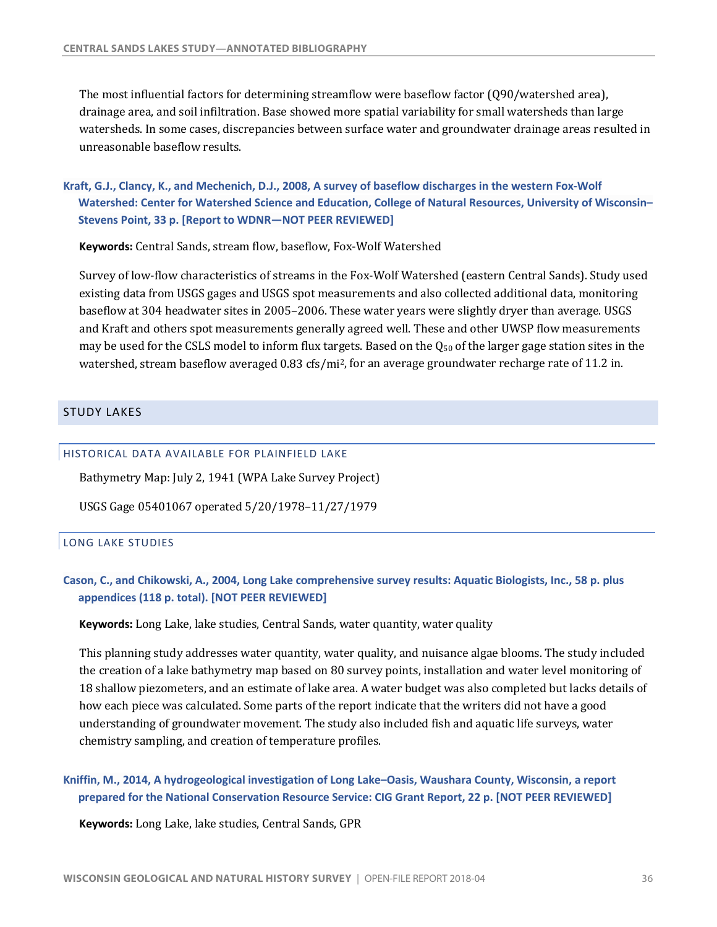<span id="page-37-0"></span>The most influential factors for determining streamflow were baseflow factor  $(Q90/watershed~area)$ , drainage area, and soil infiltration. Base showed more spatial variability for small watersheds than large watersheds. In some cases, discrepancies between surface water and groundwater drainage areas resulted in unreasonable baseflow results.

 **Kraft, G.J., Clancy, K., and Mechenich, D.J., 2008, A survey of baseflow discharges in the western Fox-Wolf Watershed: Center for Watershed Science and Education, College of Natural Resources, University of Wisconsin– Stevens Point, 33 p. [Report to WDNR—NOT PEER REVIEWED]** 

 **Keywords:** Central Sands, stream flow, baseflow, Fox-Wolf Watershed

Survey of low-flow characteristics of streams in the Fox-Wolf Watershed (eastern Central Sands). Study used existing data from USGS gages and USGS spot measurements and also collected additional data, monitoring baseflow at 304 headwater sites in 2005–2006. These water years were slightly dryer than average. USGS and Kraft and others spot measurements generally agreed well. These and other UWSP flow measurements may be used for the CSLS model to inform flux targets. Based on the  $Q_{50}$  of the larger gage station sites in the watershed, stream baseflow averaged 0.83 cfs/mi<sup>2</sup>, for an average groundwater recharge rate of 11.2 in.

### STUDY LAKES

### HISTORICAL DATA AVAILABLE FOR PLAINFIELD LAKE

 Bathymetry Map: July 2, 1941 (WPA Lake Survey Project)

 USGS Gage 05401067 operated 5/20/1978–11/27/1979

#### LONG LAKE STUDIES

### **Cason, C., and Chikowski, A., 2004, Long Lake comprehensive survey results: Aquatic Biologists, Inc., 58 p. plus appendices (118 p. total). [NOT PEER REVIEWED]**

**Keywords:** Long Lake, lake studies, Central Sands, water quantity, water quality

This planning study addresses water quantity, water quality, and nuisance algae blooms. The study included the creation of a lake bathymetry map based on 80 survey points, installation and water level monitoring of 18 shallow piezometers, and an estimate of lake area. A water budget was also completed but lacks details of how each piece was calculated. Some parts of the report indicate that the writers did not have a good understanding of groundwater movement. The study also included fish and aquatic life surveys, water chemistry sampling, and creation of temperature profiles.

### **Kniffin, M., 2014, A hydrogeological investigation of Long Lake–Oasis, Waushara County, Wisconsin, a report prepared for the National Conservation Resource Service: CIG Grant Report, 22 p. [NOT PEER REVIEWED]**

 **Keywords:** Long Lake, lake studies, Central Sands, GPR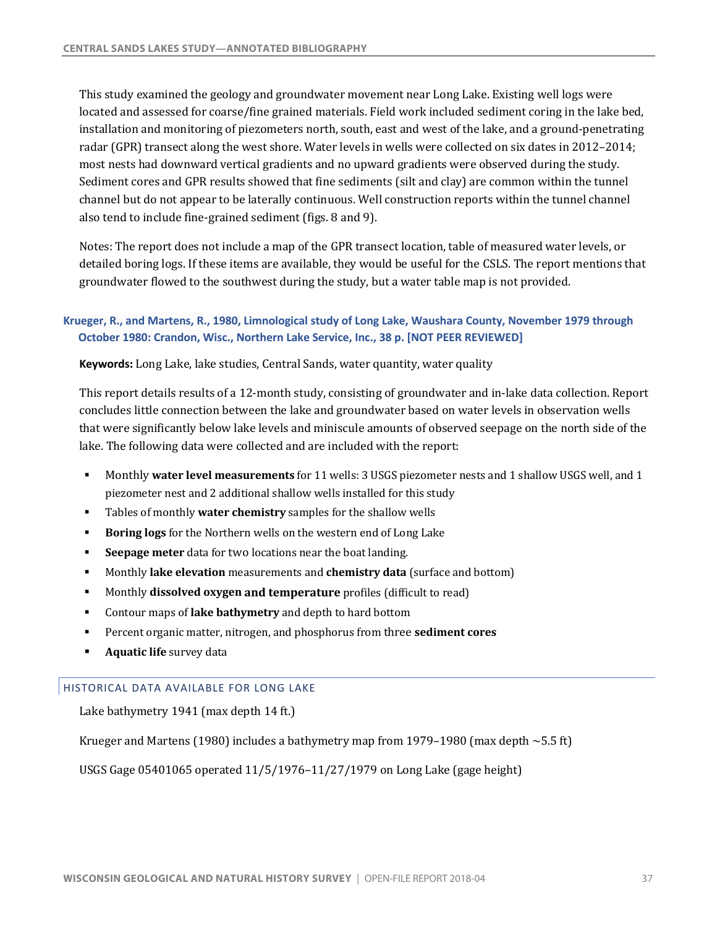This study examined the geology and groundwater movement near Long Lake. Existing well logs were located and assessed for coarse/fine grained materials. Field work included sediment coring in the lake bed, installation and monitoring of piezometers north, south, east and west of the lake, and a ground-penetrating radar (GPR) transect along the west shore. Water levels in wells were collected on six dates in 2012-2014; most nests had downward vertical gradients and no upward gradients were observed during the study. Sediment cores and GPR results showed that fine sediments (silt and clay) are common within the tunnel channel but do not appear to be laterally continuous. Well construction reports within the tunnel channel also tend to include fine-grained sediment (figs. 8 and 9).

Notes: The report does not include a map of the GPR transect location, table of measured water levels, or detailed boring logs. If these items are available, they would be useful for the CSLS. The report mentions that groundwater flowed to the southwest during the study, but a water table map is not provided.

# **Krueger, R., and Martens, R., 1980, Limnological study of Long Lake, Waushara County, November 1979 through October 1980: Crandon, Wisc., Northern Lake Service, Inc., 38 p. [NOT PEER REVIEWED]**

### **Keywords:** Long Lake, lake studies, Central Sands, water quantity, water quality

This report details results of a 12-month study, consisting of groundwater and in-lake data collection. Report concludes little connection between the lake and groundwater based on water levels in observation wells that were significantly below lake levels and miniscule amounts of observed seepage on the north side of the lake. The following data were collected and are included with the report:

- **Monthly water level measurements** for 11 wells: 3 USGS piezometer nests and 1 shallow USGS well, and 1 piezometer nest and 2 additional shallow wells installed for this study
- **Tables of monthly water chemistry** samples for the shallow wells
- **Boring logs** for the Northern wells on the western end of Long Lake
- **Seepage meter** data for two locations near the boat landing.
- **Monthly lake elevation** measurements and **chemistry data** (surface and bottom)
- **Monthly dissolved oxygen and temperature** profiles (difficult to read)
- **•** Contour maps of lake bathymetry and depth to hard bottom
- **•** Percent organic matter, nitrogen, and phosphorus from three **sediment cores**
- **Aquatic life** survey data

### HISTORICAL DATA AVAILABLE FOR LONG LAKE

Lake bathymetry 1941 (max depth 14 ft.)

Krueger and Martens (1980) includes a bathymetry map from 1979–1980 (max depth  $\sim$  5.5 ft)

USGS Gage 05401065 operated 11/5/1976-11/27/1979 on Long Lake (gage height)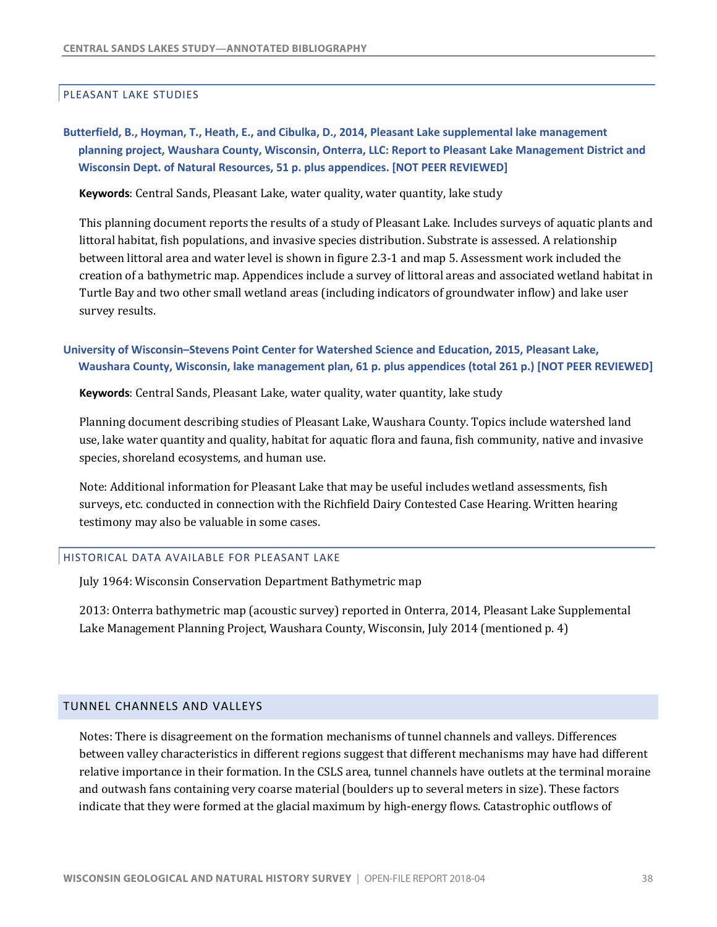#### <span id="page-39-0"></span>PLEASANT LAKE STUDIES

# **Butterfield, B., Hoyman, T., Heath, E., and Cibulka, D., 2014, Pleasant Lake supplemental lake management planning project, Waushara County, Wisconsin, Onterra, LLC: Report to Pleasant Lake Management District and Wisconsin Dept. of Natural Resources, 51 p. plus appendices. [NOT PEER REVIEWED]**

 **Keywords**: Central Sands, Pleasant Lake, water quality, water quantity, lake study

This planning document reports the results of a study of Pleasant Lake. Includes surveys of aquatic plants and between littoral area and water level is shown in figure 2.3-1 and map 5. Assessment work included the creation of a bathymetric map. Appendices include a survey of littoral areas and associated wetland habitat in Turtle Bay and two other small wetland areas (including indicators of groundwater inflow) and lake user survey results. littoral habitat, fish populations, and invasive species distribution. Substrate is assessed. A relationship

### **University of Wisconsin–Stevens Point Center for Watershed Science and Education, 2015, Pleasant Lake, Waushara County, Wisconsin, lake management plan, 61 p. plus appendices (total 261 p.) [NOT PEER REVIEWED]**

**Keywords**: Central Sands, Pleasant Lake, water quality, water quantity, lake study

Planning document describing studies of Pleasant Lake, Waushara County. Topics include watershed land use, lake water quantity and quality, habitat for aquatic flora and fauna, fish community, native and invasive species, shoreland ecosystems, and human use.

Note: Additional information for Pleasant Lake that may be useful includes wetland assessments, fish surveys, etc. conducted in connection with the Richfield Dairy Contested Case Hearing. Written hearing testimony may also be valuable in some cases.

#### HISTORICAL DATA AVAILABLE FOR PLEASANT LAKE

July 1964: Wisconsin Conservation Department Bathymetric map

2013: Onterra bathymetric map (acoustic survey) reported in Onterra, 2014, Pleasant Lake Supplemental Lake Management Planning Project, Waushara County, Wisconsin, July 2014 (mentioned p. 4)

#### TUNNEL CHANNELS AND VALLEYS

 Notes: There is disagreement on the formation mechanisms of tunnel channels and valleys. Differences between valley characteristics in different regions suggest that different mechanisms may have had different relative importance in their formation. In the CSLS area, tunnel channels have outlets at the terminal moraine and outwash fans containing very coarse material (boulders up to several meters in size). These factors indicate that they were formed at the glacial maximum by high-energy flows. Catastrophic outflows of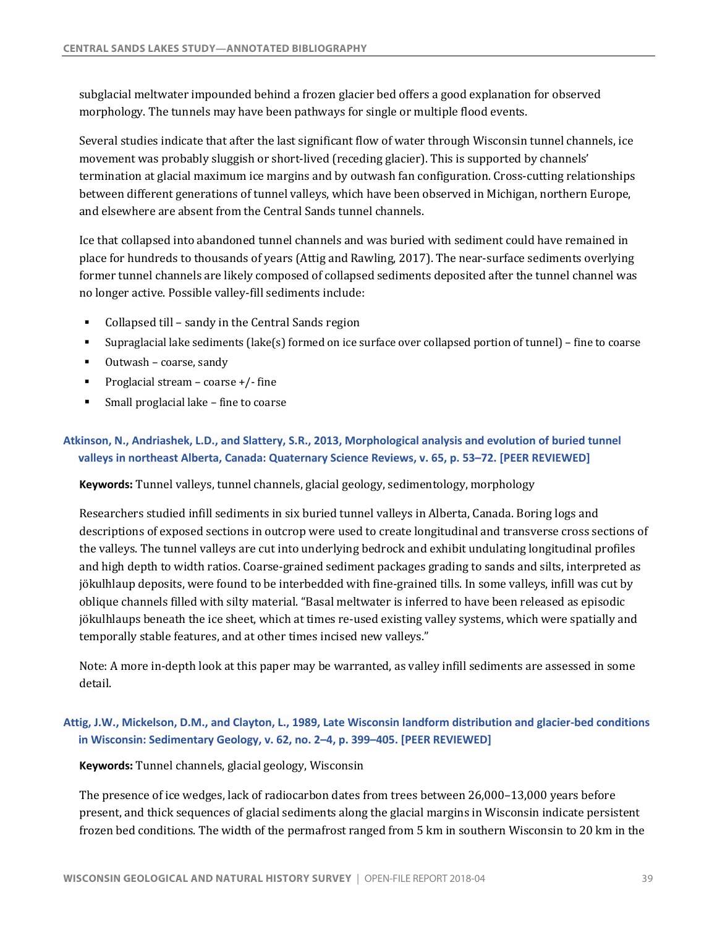subglacial meltwater impounded behind a frozen glacier bed offers a good explanation for observed morphology. The tunnels may have been pathways for single or multiple flood events.

Several studies indicate that after the last significant flow of water through Wisconsin tunnel channels, ice movement was probably sluggish or short-lived (receding glacier). This is supported by channels' termination at glacial maximum ice margins and by outwash fan configuration. Cross-cutting relationships between different generations of tunnel valleys, which have been observed in Michigan, northern Europe, and elsewhere are absent from the Central Sands tunnel channels.

Ice that collapsed into abandoned tunnel channels and was buried with sediment could have remained in place for hundreds to thousands of years (Attig and Rawling, 2017). The near-surface sediments overlying former tunnel channels are likely composed of collapsed sediments deposited after the tunnel channel was no longer active. Possible valley-fill sediments include:

- Collapsed till sandy in the Central Sands region
- Supraglacial lake sediments (lake(s) formed on ice surface over collapsed portion of tunnel) fine to coarse
- Outwash – coarse, sandy
- **•** Proglacial stream coarse  $+/-$  fine
- **•** Small proglacial lake fine to coarse

### **Atkinson, N., Andriashek, L.D., and Slattery, S.R., 2013, Morphological analysis and evolution of buried tunnel valleys in northeast Alberta, Canada: Quaternary Science Reviews, v. 65, p. 53–72. [PEER REVIEWED]**

 **Keywords:** Tunnel valleys, tunnel channels, glacial geology, sedimentology, morphology

Researchers studied infill sediments in six buried tunnel valleys in Alberta, Canada. Boring logs and descriptions of exposed sections in outcrop were used to create longitudinal and transverse cross sections of the valleys. The tunnel valleys are cut into underlying bedrock and exhibit undulating longitudinal profiles and high depth to width ratios. Coarse-grained sediment packages grading to sands and silts, interpreted as oblique channels filled with silty material. "Basal meltwater is inferred to have been released as episodic jökulhlaups beneath the ice sheet, which at times re-used existing valley systems, which were spatially and temporally stable features, and at other times incised new valleys." jökulhlaup deposits, were found to be interbedded with fine-grained tills. In some valleys, infill was cut by

Note: A more in-depth look at this paper may be warranted, as valley infill sediments are assessed in some detail.

## **Attig, J.W., Mickelson, D.M., and Clayton, L., 1989, Late Wisconsin landform distribution and glacier-bed conditions in Wisconsin: Sedimentary Geology, v. 62, no. 2–4, p. 399–405. [PEER REVIEWED]**

 **Keywords:** Tunnel channels, glacial geology, Wisconsin

The presence of ice wedges, lack of radiocarbon dates from trees between 26,000-13,000 years before frozen bed conditions. The width of the permafrost ranged from 5 km in southern Wisconsin to 20 km in the present, and thick sequences of glacial sediments along the glacial margins in Wisconsin indicate persistent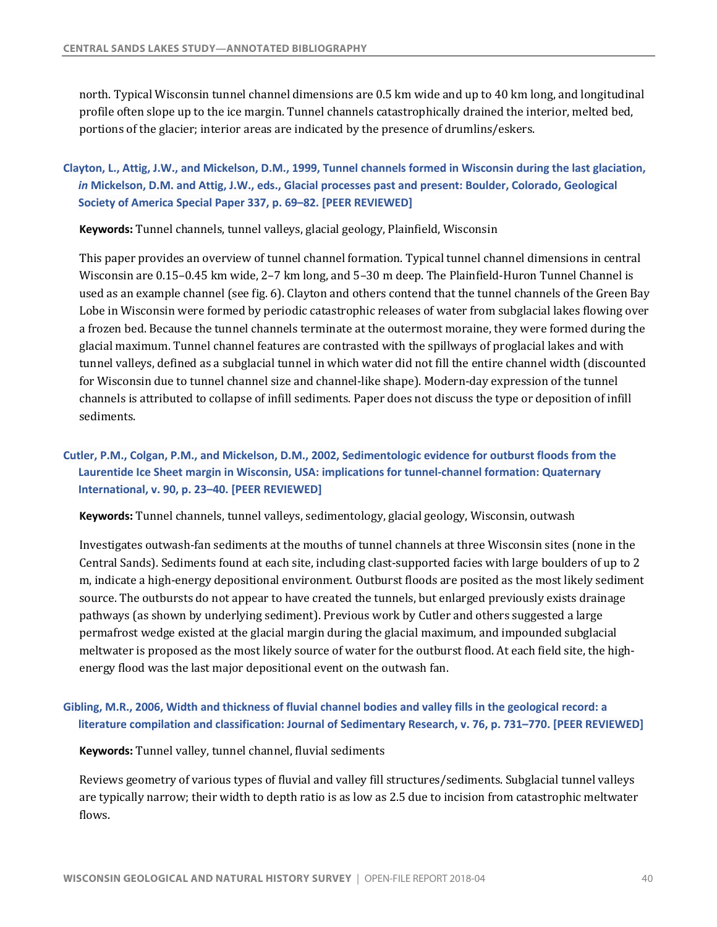<span id="page-41-0"></span>north. Typical Wisconsin tunnel channel dimensions are 0.5 km wide and up to 40 km long, and longitudinal profile often slope up to the ice margin. Tunnel channels catastrophically drained the interior, melted bed, portions of the glacier; interior areas are indicated by the presence of drumlins/eskers.

 **Clayton, L., Attig, J.W., and Mickelson, D.M., 1999, Tunnel channels formed in Wisconsin during the last glaciation,**  *in* **Mickelson, D.M. and Attig, J.W., eds., Glacial processes past and present: Boulder, Colorado, Geological Society of America Special Paper 337, p. 69–82. [PEER REVIEWED]** 

 **Keywords:** Tunnel channels, tunnel valleys, glacial geology, Plainfield, Wisconsin

This paper provides an overview of tunnel channel formation. Typical tunnel channel dimensions in central Wisconsin are 0.15–0.45 km wide, 2–7 km long, and 5–30 m deep. The Plainfield-Huron Tunnel Channel is used as an example channel (see fig. 6). Clayton and others contend that the tunnel channels of the Green Bay Lobe in Wisconsin were formed by periodic catastrophic releases of water from subglacial lakes flowing over a frozen bed. Because the tunnel channels terminate at the outermost moraine, they were formed during the glacial maximum. Tunnel channel features are contrasted with the spillways of proglacial lakes and with tunnel valleys, defined as a subglacial tunnel in which water did not fill the entire channel width (discounted for Wisconsin due to tunnel channel size and channel-like shape). Modern-day expression of the tunnel channels is attributed to collapse of infill sediments. Paper does not discuss the type or deposition of infill sediments.

# **Cutler, P.M., Colgan, P.M., and Mickelson, D.M., 2002, Sedimentologic evidence for outburst floods from the Laurentide Ice Sheet margin in Wisconsin, USA: implications for tunnel-channel formation: Quaternary International, v. 90, p. 23–40. [PEER REVIEWED]**

 **Keywords:** Tunnel channels, tunnel valleys, sedimentology, glacial geology, Wisconsin, outwash

Investigates outwash-fan sediments at the mouths of tunnel channels at three Wisconsin sites (none in the Central Sands). Sediments found at each site, including clast-supported facies with large boulders of up to 2 m, indicate a high-energy depositional environment. Outburst floods are posited as the most likely sediment source. The outbursts do not appear to have created the tunnels, but enlarged previously exists drainage pathways (as shown by underlying sediment). Previous work by Cutler and others suggested a large permafrost wedge existed at the glacial margin during the glacial maximum, and impounded subglacial meltwater is proposed as the most likely source of water for the outburst flood. At each field site, the highenergy flood was the last major depositional event on the outwash fan.

# **Gibling, M.R., 2006, Width and thickness of fluvial channel bodies and valley fills in the geological record: a literature compilation and classification: Journal of Sedimentary Research, v. 76, p. 731–770. [PEER REVIEWED]**

 **Keywords:** Tunnel valley, tunnel channel, fluvial sediments

Reviews geometry of various types of fluvial and valley fill structures/sediments. Subglacial tunnel valleys are typically narrow; their width to depth ratio is as low as 2.5 due to incision from catastrophic meltwater flows.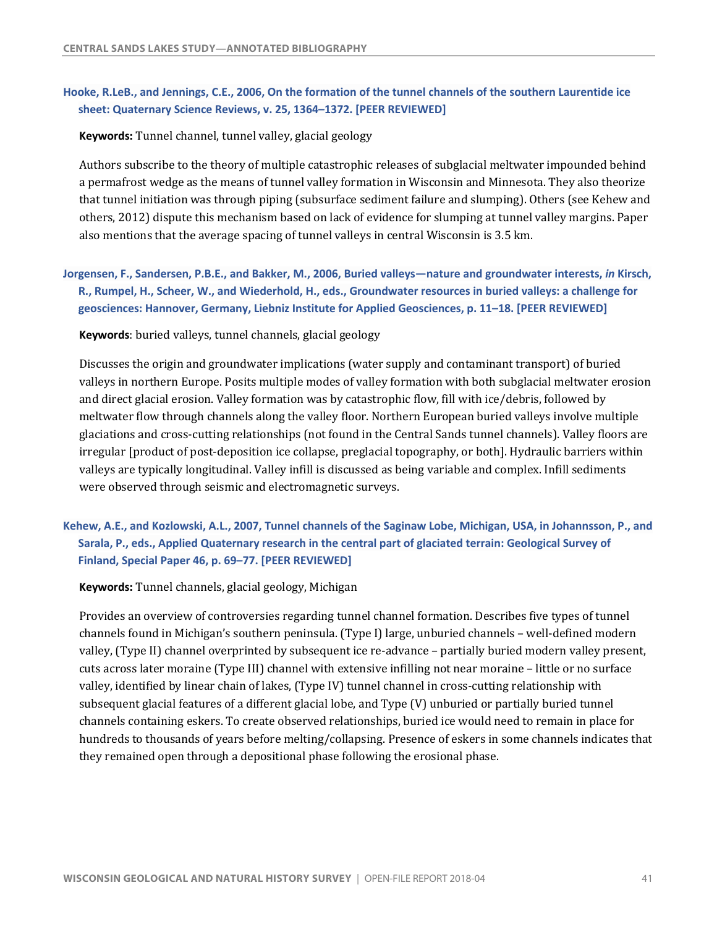# <span id="page-42-0"></span> **Hooke, R.LeB., and Jennings, C.E., 2006, On the formation of the tunnel channels of the southern Laurentide ice sheet: Quaternary Science Reviews, v. 25, 1364–1372. [PEER REVIEWED]**

 **Keywords:** Tunnel channel, tunnel valley, glacial geology

Authors subscribe to the theory of multiple catastrophic releases of subglacial meltwater impounded behind a permafrost wedge as the means of tunnel valley formation in Wisconsin and Minnesota. They also theorize that tunnel initiation was through piping (subsurface sediment failure and slumping). Others (see Kehew and others, 2012) dispute this mechanism based on lack of evidence for slumping at tunnel valley margins. Paper also mentions that the average spacing of tunnel valleys in central Wisconsin is 3.5 km.

 **Jorgensen, F., Sandersen, P.B.E., and Bakker, M., 2006, Buried valleys—nature and groundwater interests,** *in* **Kirsch, R., Rumpel, H., Scheer, W., and Wiederhold, H., eds., Groundwater resources in buried valleys: a challenge for geosciences: Hannover, Germany, Liebniz Institute for Applied Geosciences, p. 11–18. [PEER REVIEWED]** 

**Keywords**: buried valleys, tunnel channels, glacial geology

 Discusses the origin and groundwater implications (water supply and contaminant transport) of buried and direct glacial erosion. Valley formation was by catastrophic flow, fill with ice/debris, followed by glaciations and cross-cutting relationships (not found in the Central Sands tunnel channels). Valley floors are irregular [product of post-deposition ice collapse, preglacial topography, or both]. Hydraulic barriers within valleys are typically longitudinal. Valley infill is discussed as being variable and complex. Infill sediments were observed through seismic and electromagnetic surveys. valleys in northern Europe. Posits multiple modes of valley formation with both subglacial meltwater erosion meltwater flow through channels along the valley floor. Northern European buried valleys involve multiple

# **Kehew, A.E., and Kozlowski, A.L., 2007, Tunnel channels of the Saginaw Lobe, Michigan, USA, in Johannsson, P., and Sarala, P., eds., Applied Quaternary research in the central part of glaciated terrain: Geological Survey of Finland, Special Paper 46, p. 69–77. [PEER REVIEWED]**

 **Keywords:** Tunnel channels, glacial geology, Michigan

Provides an overview of controversies regarding tunnel channel formation. Describes five types of tunnel channels found in Michigan's southern peninsula. (Type I) large, unburied channels - well-defined modern valley, (Type II) channel overprinted by subsequent ice re-advance – partially buried modern valley present, cuts across later moraine (Type III) channel with extensive infilling not near moraine - little or no surface valley, identified by linear chain of lakes, (Type IV) tunnel channel in cross-cutting relationship with subsequent glacial features of a different glacial lobe, and Type (V) unburied or partially buried tunnel channels containing eskers. To create observed relationships, buried ice would need to remain in place for hundreds to thousands of years before melting/collapsing. Presence of eskers in some channels indicates that they remained open through a depositional phase following the erosional phase.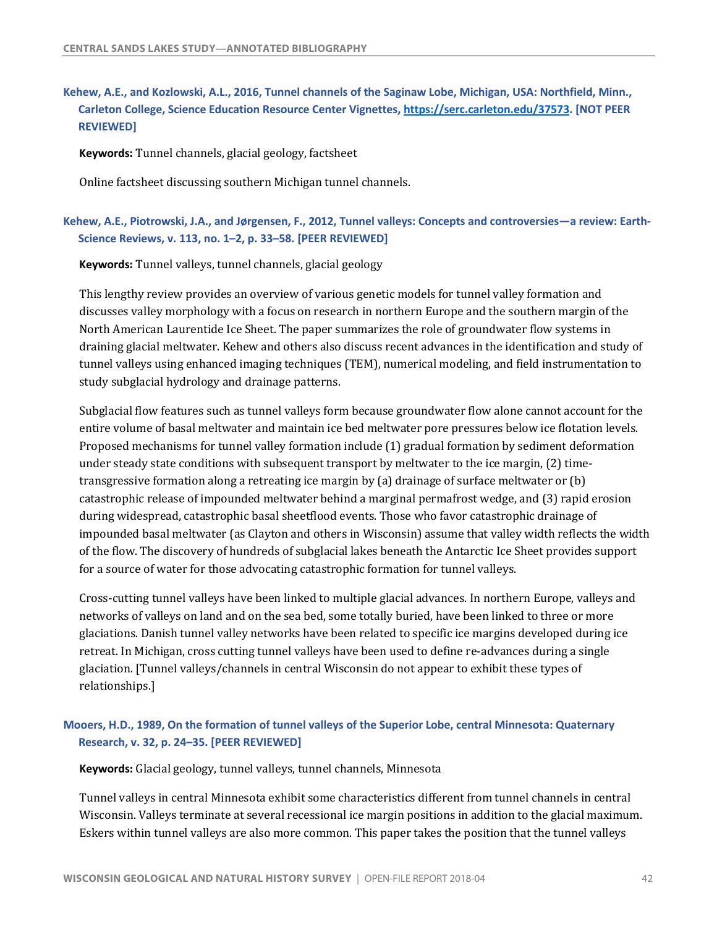# **Kehew, A.E., and Kozlowski, A.L., 2016, Tunnel channels of the Saginaw Lobe, Michigan, USA: Northfield, Minn., Carleton College, Science Education Resource Center Vignettes, <https://serc.carleton.edu/37573>. [NOT PEER REVIEWED]**

 **Keywords:** Tunnel channels, glacial geology, factsheet

Online factsheet discussing southern Michigan tunnel channels.

### **Kehew, A.E., Piotrowski, J.A., and Jørgensen, F., 2012, Tunnel valleys: Concepts and controversies—a review: Earth- Science Reviews, v. 113, no. 1–2, p. 33–58. [PEER REVIEWED]**

 **Keywords:** Tunnel valleys, tunnel channels, glacial geology

This lengthy review provides an overview of various genetic models for tunnel valley formation and discusses valley morphology with a focus on research in northern Europe and the southern margin of the North American Laurentide Ice Sheet. The paper summarizes the role of groundwater flow systems in draining glacial meltwater. Kehew and others also discuss recent advances in the identification and study of tunnel valleys using enhanced imaging techniques (TEM), numerical modeling, and field instrumentation to study subglacial hydrology and drainage patterns.

Subglacial flow features such as tunnel valleys form because groundwater flow alone cannot account for the entire volume of basal meltwater and maintain ice bed meltwater pore pressures below ice flotation levels. Proposed mechanisms for tunnel valley formation include (1) gradual formation by sediment deformation under steady state conditions with subsequent transport by meltwater to the ice margin, (2) time- transgressive formation along a retreating ice margin by (a) drainage of surface meltwater or (b) catastrophic release of impounded meltwater behind a marginal permafrost wedge, and (3) rapid erosion during widespread, catastrophic basal sheetflood events. Those who favor catastrophic drainage of impounded basal meltwater (as Clayton and others in Wisconsin) assume that valley width reflects the width of the flow. The discovery of hundreds of subglacial lakes beneath the Antarctic Ice Sheet provides support for a source of water for those advocating catastrophic formation for tunnel valleys.

Cross-cutting tunnel valleys have been linked to multiple glacial advances. In northern Europe, valleys and glaciations. Danish tunnel valley networks have been related to specific ice margins developed during ice glaciation. [Tunnel valleys/channels in central Wisconsin do not appear to exhibit these types of networks of valleys on land and on the sea bed, some totally buried, have been linked to three or more retreat. In Michigan, cross cutting tunnel valleys have been used to define re-advances during a single relationships.]

### **Mooers, H.D., 1989, On the formation of tunnel valleys of the Superior Lobe, central Minnesota: Quaternary Research, v. 32, p. 24–35. [PEER REVIEWED]**

 **Keywords:** Glacial geology, tunnel valleys, tunnel channels, Minnesota

 Tunnel valleys in central Minnesota exhibit some characteristics different from tunnel channels in central Wisconsin. Valleys terminate at several recessional ice margin positions in addition to the glacial maximum. Eskers within tunnel valleys are also more common. This paper takes the position that the tunnel valleys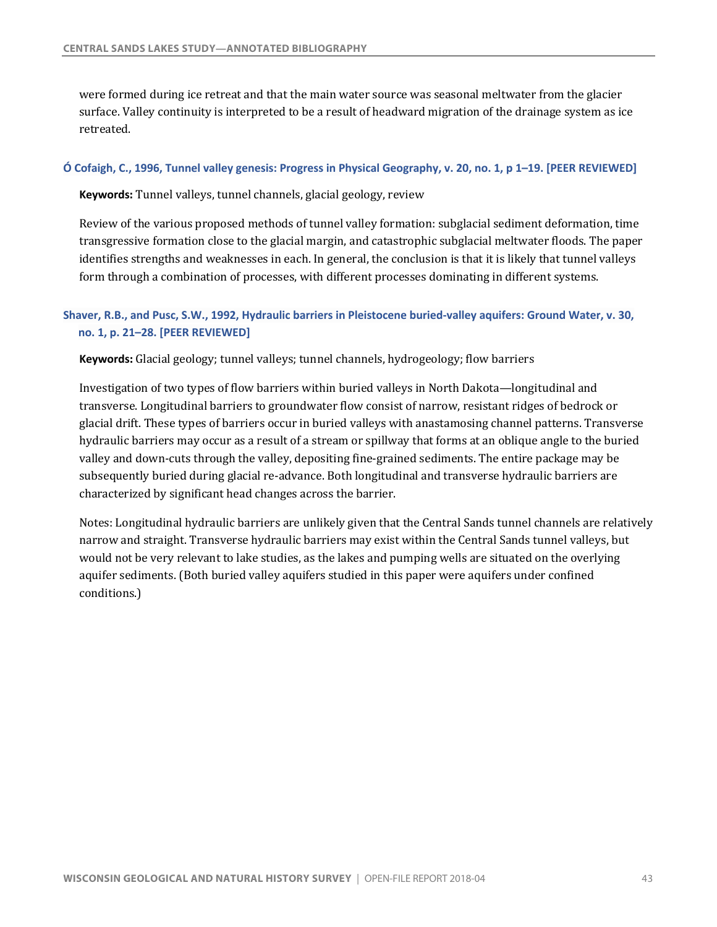were formed during ice retreat and that the main water source was seasonal meltwater from the glacier surface. Valley continuity is interpreted to be a result of headward migration of the drainage system as ice retreated.

#### **Ó Cofaigh, C., 1996, Tunnel valley genesis: Progress in Physical Geography, v. 20, no. 1, p 1–19. [PEER REVIEWED]**

 **Keywords:** Tunnel valleys, tunnel channels, glacial geology, review

Review of the various proposed methods of tunnel valley formation: subglacial sediment deformation, time transgressive formation close to the glacial margin, and catastrophic subglacial meltwater floods. The paper identifies strengths and weaknesses in each. In general, the conclusion is that it is likely that tunnel valleys form through a combination of processes, with different processes dominating in different systems.

### **Shaver, R.B., and Pusc, S.W., 1992, Hydraulic barriers in Pleistocene buried-valley aquifers: Ground Water, v. 30, no. 1, p. 21–28. [PEER REVIEWED]**

 **Keywords:** Glacial geology; tunnel valleys; tunnel channels, hydrogeology; flow barriers

Investigation of two types of flow barriers within buried valleys in North Dakota—longitudinal and transverse. Longitudinal barriers to groundwater flow consist of narrow, resistant ridges of bedrock or glacial drift. These types of barriers occur in buried valleys with anastamosing channel patterns. Transverse hydraulic barriers may occur as a result of a stream or spillway that forms at an oblique angle to the buried valley and down-cuts through the valley, depositing fine-grained sediments. The entire package may be subsequently buried during glacial re-advance. Both longitudinal and transverse hydraulic barriers are characterized by significant head changes across the barrier.

Notes: Longitudinal hydraulic barriers are unlikely given that the Central Sands tunnel channels are relatively narrow and straight. Transverse hydraulic barriers may exist within the Central Sands tunnel valleys, but would not be very relevant to lake studies, as the lakes and pumping wells are situated on the overlying aquifer sediments. (Both buried valley aquifers studied in this paper were aquifers under confined conditions.)